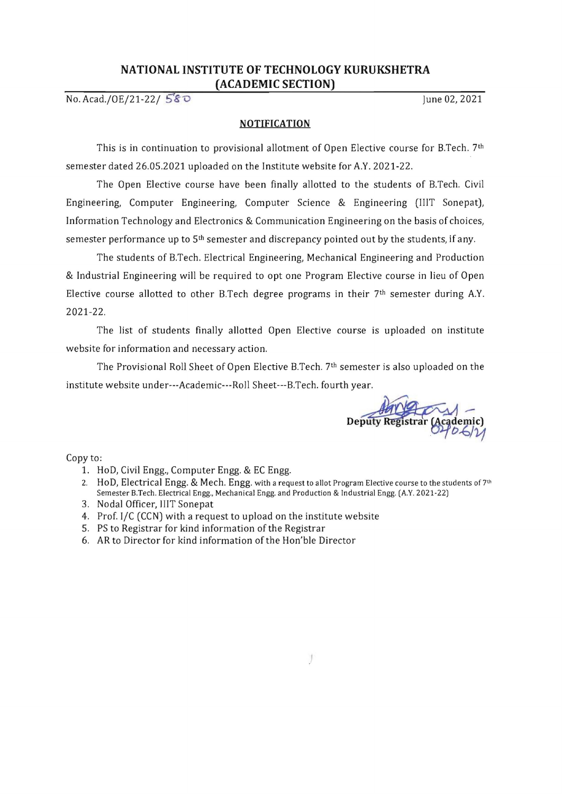## **NATIONAL INSTITUTE OF TECHNOLOGY KURUKSHETRA (ACADEMIC SECTION)**

No. *Acad./OE/21-22/* 5'8  $\overline{O}$  June 02, 2021

## **NOTIFICATION**

This is in continuation to provisional allotment of Open Elective course for B.Tech. 7th semester dated 26.05.2021 uploaded on the Institute website for A.Y. 2021-22.

The Open Elective course have been finally allotted to the students of B.Tech. Civil Engineering, Computer Engineering, Computer Science & Engineering (IIIT Sonepat), Information Technology and Electronics & Communication Engineering on the basis of choices, semester performance up to  $5<sup>th</sup>$  semester and discrepancy pointed out by the students, if any.

The students of B.Tech. Electrical Engineering, Mechanical Engineering and Production & Industrial Engineering will be required to opt one Program Elective course in lieu of Open Elective course allotted to other B.Tech degree programs in their  $7<sup>th</sup>$  semester during A.Y. 2021-22.

The list of students finally allotted Open Elective course is uploaded on institute website for information and necessary action.

The Provisional Roll Sheet of Open Elective B.Tech. 7th semester is also uploaded on the institute website under---Academic---Roll Sheet---B.Tech. fourth year.

**Deputy Reg**  $U$ 

Copy to:

- 1. HoD, Civil Engg., Computer Engg. & EC Engg.
- 2. HoD, Electrical Engg. & Mech. Engg. with a request to allot Program Elective course to the students of  $7<sup>th</sup>$ Semester B.Tech. Electrical Engg., Mechanical Engg. and Production & Industrial Engg. (A.Y. 2021-22)
- 3. Nodal Officer, IIIT Sonepat
- 4. Prof. I/C (CCN) with a request to upload on the institute website
- 5. PS to Registrar for kind information of the Registrar
- 6. AR to Director for kind information of the Hon'ble Director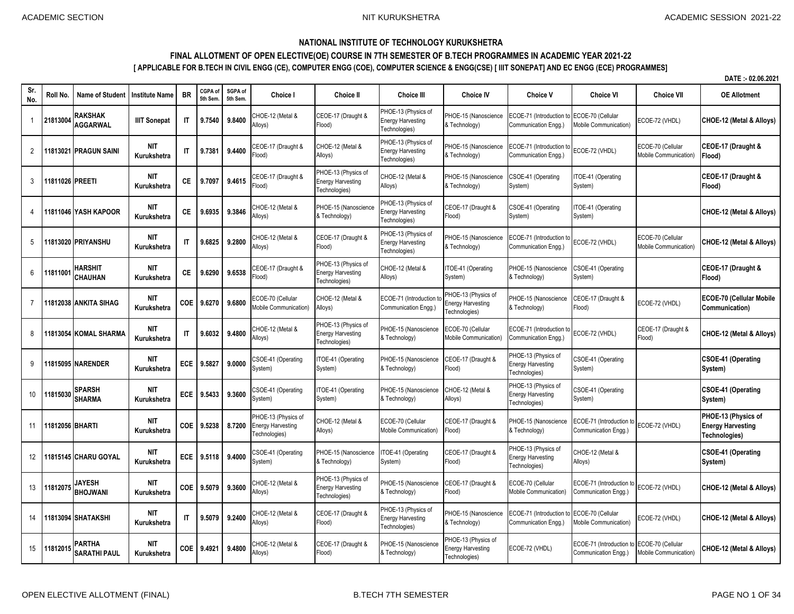## **NATIONAL INSTITUTE OF TECHNOLOGY KURUKSHETRA**

## **FINAL ALLOTMENT OF OPEN ELECTIVE(OE) COURSE IN 7TH SEMESTER OF B.TECH PROGRAMMES IN ACADEMIC YEAR 2021-22**

**[ APPLICABLE FOR B.TECH IN CIVIL ENGG (CE), COMPUTER ENGG (COE), COMPUTER SCIENCE & ENGG(CSE) [ IIIT SONEPAT] AND EC ENGG (ECE) PROGRAMMES]**

|                |                 |                                   |                           |              |                    |                    |                                                                  |                                                                  |                                                                  |                                                                  |                                                                  |                                                   |                                            | DATE: - 02.06.2021                                               |
|----------------|-----------------|-----------------------------------|---------------------------|--------------|--------------------|--------------------|------------------------------------------------------------------|------------------------------------------------------------------|------------------------------------------------------------------|------------------------------------------------------------------|------------------------------------------------------------------|---------------------------------------------------|--------------------------------------------|------------------------------------------------------------------|
| Sr.<br>No.     | Roll No.        | <b>Name of Student</b>            | <b>Institute Name</b>     | <b>BR</b>    | CGPA of<br>5th Sem | SGPA of<br>5th Sem | Choice I                                                         | <b>Choice II</b>                                                 | <b>Choice III</b>                                                | <b>Choice IV</b>                                                 | <b>Choice V</b>                                                  | <b>Choice VI</b>                                  | <b>Choice VII</b>                          | <b>OE Allotment</b>                                              |
| $\overline{1}$ | 21813004        | <b>RAKSHAK</b><br><b>AGGARWAL</b> | <b>IIIT Sonepat</b>       | IT           | 9.7540             | 9.8400             | CHOE-12 (Metal &<br>(lloys                                       | CEOE-17 (Draught &<br>Flood)                                     | PHOE-13 (Physics of<br><b>Energy Harvesting</b><br>Technologies) | PHOE-15 (Nanoscience<br>& Technology)                            | ECOE-71 (Introduction<br>Communication Engg.)                    | ECOE-70 (Cellular<br><b>Mobile Communication)</b> | ECOE-72 (VHDL)                             | CHOE-12 (Metal & Alloys)                                         |
| $\overline{2}$ |                 | 11813021 PRAGUN SAINI             | <b>NIT</b><br>Kurukshetra | $\mathsf{I}$ | 9.7381             | 9.4400             | CEOE-17 (Draught &<br>Flood)                                     | CHOE-12 (Metal &<br>Alloys)                                      | PHOE-13 (Physics of<br><b>Energy Harvesting</b><br>Technologies) | PHOE-15 (Nanoscience<br>& Technology)                            | ECOE-71 (Introduction t<br>Communication Engg.)                  | ECOE-72 (VHDL)                                    | ECOE-70 (Cellular<br>Mobile Communication) | CEOE-17 (Draught &<br>Flood)                                     |
| 3              | 11811026 PREETI |                                   | <b>NIT</b><br>Kurukshetra | CE           | 9.7097             | 9.4615             | CEOE-17 (Draught &<br>Flood)                                     | PHOE-13 (Physics of<br><b>Energy Harvesting</b><br>Technologies) | CHOE-12 (Metal &<br>Alloys)                                      | PHOE-15 (Nanoscience<br>& Technology)                            | CSOE-41 (Operating<br>System)                                    | ITOE-41 (Operating<br>System)                     |                                            | CEOE-17 (Draught &<br>Flood)                                     |
| 4              |                 | 11811046 YASH KAPOOR              | <b>NIT</b><br>Kurukshetra | <b>CE</b>    | 9.6935             | 9.3846             | CHOE-12 (Metal &<br>(lloys                                       | PHOE-15 (Nanoscience<br>& Technology)                            | PHOE-13 (Physics of<br><b>Energy Harvesting</b><br>Technologies) | CEOE-17 (Draught &<br>Flood)                                     | SOE-41 (Operating<br>System)                                     | ITOE-41 (Operating<br>System)                     |                                            | CHOE-12 (Metal & Alloys)                                         |
| 5              |                 | 11813020 PRIYANSHU                | <b>NIT</b><br>Kurukshetra | IT           | 9.6825             | 9.2800             | CHOE-12 (Metal &<br>Alloys)                                      | CEOE-17 (Draught &<br>Flood)                                     | PHOE-13 (Physics of<br><b>Energy Harvesting</b><br>Fechnologies) | PHOE-15 (Nanoscience<br>& Technology)                            | ECOE-71 (Introduction to<br>Communication Engg.)                 | ECOE-72 (VHDL)                                    | ECOE-70 (Cellular<br>Mobile Communication) | CHOE-12 (Metal & Alloys)                                         |
| 6              | 1181100         | <b>HARSHIT</b><br><b>CHAUHAN</b>  | <b>NIT</b><br>Kurukshetra | CE           | 9.6290             | 9.6538             | CEOE-17 (Draught &<br>Flood)                                     | PHOE-13 (Physics of<br>Energy Harvesting<br>Technologies)        | CHOE-12 (Metal &<br>Alloys)                                      | ITOE-41 (Operating<br>System)                                    | PHOE-15 (Nanoscience<br>& Technology)                            | CSOE-41 (Operating<br>System)                     |                                            | CEOE-17 (Draught &<br>(Flood                                     |
| 7              |                 | 11812038 ANKITA SIHAG             | <b>NIT</b><br>Kurukshetra | <b>COE</b>   | 9.6270             | 9.6800             | ECOE-70 (Cellular<br><b>Mobile Communication)</b>                | CHOE-12 (Metal &<br>Alloys)                                      | ECOE-71 (Introduction t<br>Communication Enga.)                  | PHOE-13 (Physics of<br><b>Energy Harvesting</b><br>Technologies) | <b>PHOE-15 (Nanoscience</b><br>& Technology)                     | CEOE-17 (Draught &<br>Flood)                      | ECOE-72 (VHDL)                             | <b>ECOE-70 (Cellular Mobile</b><br>Communication)                |
| 8              |                 | 11813054 KOMAL SHARMA             | <b>NIT</b><br>Kurukshetra | IT.          | 9.6032             | 9.4800             | CHOE-12 (Metal &<br>Alloys)                                      | PHOE-13 (Physics of<br><b>Energy Harvesting</b><br>Technologies) | PHOE-15 (Nanoscience<br>& Technology)                            | ECOE-70 (Cellular<br>Mobile Communication)                       | ECOE-71 (Introduction t<br>Communication Engg.)                  | ECOE-72 (VHDL)                                    | CEOE-17 (Draught &<br>Flood)               | <b>CHOE-12 (Metal &amp; Alloys)</b>                              |
| 9              |                 | 1815095 NARENDER                  | <b>NIT</b><br>Kurukshetra | <b>ECE</b>   | 9.5827             | 9.0000             | CSOE-41 (Operating<br>System)                                    | TOE-41 (Operating<br>System)                                     | PHOE-15 (Nanoscience<br>& Technology)                            | CEOE-17 (Draught &<br>Flood)                                     | PHOE-13 (Physics of<br><b>Energy Harvesting</b><br>Fechnologies) | CSOE-41 (Operating<br>System)                     |                                            | <b>CSOE-41 (Operating</b><br>System)                             |
| 10             | 11815030        | SPARSH<br><b>SHARMA</b>           | <b>NIT</b><br>Kurukshetra | <b>ECE</b>   | 9.5433             | 9.3600             | SOE-41 (Operating<br>System)                                     | TOE-41 (Operating<br>System)                                     | PHOE-15 (Nanoscience<br>& Technology)                            | CHOE-12 (Metal &<br>Alloys)                                      | PHOE-13 (Physics of<br><b>Energy Harvesting</b><br>Technologies) | CSOE-41 (Operating<br>System)                     |                                            | CSOE-41 (Operating<br>System)                                    |
| -11            | 11812056 BHARTI |                                   | <b>NIT</b><br>Kurukshetra | <b>COE</b>   | 9.5238             | 8.7200             | PHOE-13 (Physics of<br><b>Energy Harvesting</b><br>Fechnologies) | CHOE-12 (Metal &<br>Alloys)                                      | ECOE-70 (Cellular<br>Mobile Communication)                       | CEOE-17 (Draught &<br>Flood)                                     | PHOE-15 (Nanoscience<br>& Technology)                            | ECOE-71 (Introduction to<br>Communication Engg.)  | ECOE-72 (VHDL)                             | PHOE-13 (Physics of<br><b>Energy Harvesting</b><br>Technologies) |
| 12             |                 | 11815145 CHARU GOYAL              | <b>NIT</b><br>Kurukshetra | <b>ECE</b>   | 9.5118             | 9.4000             | CSOE-41 (Operating<br>System)                                    | PHOE-15 (Nanoscience<br>& Technology)                            | TOE-41 (Operating<br>System)                                     | CEOE-17 (Draught &<br>Flood)                                     | PHOE-13 (Physics of<br><b>Inergy Harvesting</b><br>Fechnologies) | CHOE-12 (Metal &<br>Alloys)                       |                                            | <b>CSOE-41 (Operating</b><br>System)                             |
| 13             | 1181207         | <b>JAYESH</b><br><b>BHOJWANI</b>  | <b>NIT</b><br>Kurukshetra | <b>COE</b>   | 9.5079             | 9.3600             | CHOE-12 (Metal &<br>Alloys)                                      | PHOE-13 (Physics of<br><b>Energy Harvesting</b><br>Technologies) | PHOE-15 (Nanoscience<br>& Technology)                            | CEOE-17 (Draught &<br>Flood)                                     | ECOE-70 (Cellular<br>Mobile Communication)                       | ECOE-71 (Introduction to<br>Communication Engg.)  | ECOE-72 (VHDL)                             | <b>CHOE-12 (Metal &amp; Alloys)</b>                              |
| 14             |                 | 11813094 SHATAKSHI                | <b>NIT</b><br>Kurukshetra | IT           | 9.5079             | 9.2400             | CHOE-12 (Metal &<br>Alloys)                                      | CEOE-17 (Draught &<br>Flood)                                     | PHOE-13 (Physics of<br><b>Energy Harvesting</b><br>Technologies) | PHOE-15 (Nanoscience<br>& Technology)                            | ECOE-71 (Introduction<br>Communication Engg.)                    | ECOE-70 (Cellular<br>Mobile Communication)        | ECOE-72 (VHDL)                             | CHOE-12 (Metal & Alloys)                                         |
| 15             | 1181201         | PARTHA<br><b>SARATHI PAUL</b>     | <b>NIT</b><br>Kurukshetra | <b>COE</b>   | 9.4921             | 9.4800             | CHOE-12 (Metal &<br>Alloys)                                      | CEOE-17 (Draught &<br>Flood)                                     | PHOE-15 (Nanoscience<br>& Technology)                            | PHOE-13 (Physics of<br>Energy Harvesting<br>Technologies)        | ECOE-72 (VHDL)                                                   | ECOE-71 (Introduction<br>Communication Engg.)     | ECOE-70 (Cellular<br>Mobile Communication) | CHOE-12 (Metal & Alloys)                                         |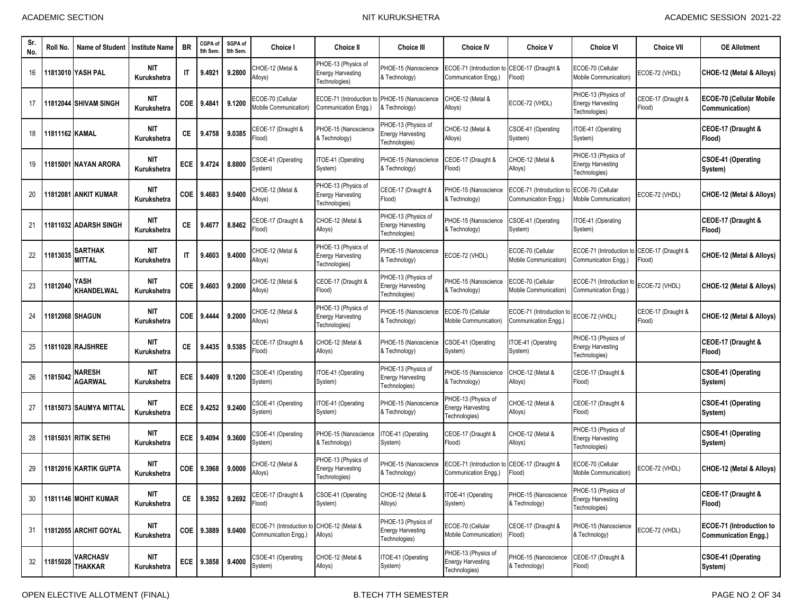| Sr.<br>No. | Roll No.       | Name of Student                 | <b>Institute Name</b>     | <b>BR</b>              | CGPA of<br>5th Sem | SGPA of<br>5th Sem. | <b>Choice I</b>                                                   | <b>Choice II</b>                                                 | <b>Choice III</b>                                                | <b>Choice IV</b>                                                    | <b>Choice V</b>                                  | <b>Choice VI</b>                                                 | <b>Choice VII</b>            | <b>OE Allotment</b>                                     |
|------------|----------------|---------------------------------|---------------------------|------------------------|--------------------|---------------------|-------------------------------------------------------------------|------------------------------------------------------------------|------------------------------------------------------------------|---------------------------------------------------------------------|--------------------------------------------------|------------------------------------------------------------------|------------------------------|---------------------------------------------------------|
| 16         |                | 11813010 YASH PAL               | <b>NIT</b><br>Kurukshetra | $\mathsf{I}$           | 9.4921             | 9.2800              | CHOE-12 (Metal &<br>Alloys)                                       | PHOE-13 (Physics of<br><b>Energy Harvesting</b><br>Technologies) | PHOE-15 (Nanoscience<br>& Technology)                            | ECOE-71 (Introduction to CEOE-17 (Draught &<br>Communication Engg.) | Flood)                                           | ECOE-70 (Cellular<br><b>Mobile Communication)</b>                | ECOE-72 (VHDL)               | CHOE-12 (Metal & Alloys)                                |
| 17         |                | 11812044 SHIVAM SINGH           | <b>NIT</b><br>Kurukshetra | <b>COE</b>             | 9.4841             | 9.1200              | ECOE-70 (Cellular<br>Mobile Communication)                        | ECOE-71 (Introduction to<br>Communication Engg.)                 | PHOE-15 (Nanoscience<br>& Technology)                            | CHOE-12 (Metal &<br>Alloys)                                         | ECOE-72 (VHDL)                                   | PHOE-13 (Physics of<br><b>Energy Harvesting</b><br>Technologies) | CEOE-17 (Draught &<br>Flood) | <b>ECOE-70 (Cellular Mobile</b><br>Communication)       |
| 18         | 11811162 KAMAL |                                 | <b>NIT</b><br>Kurukshetra | СE                     | 9.4758             | 9.0385              | CEOE-17 (Draught &<br>Flood)                                      | PHOE-15 (Nanoscience<br>& Technology)                            | PHOE-13 (Physics of<br><b>Energy Harvesting</b><br>Technologies) | CHOE-12 (Metal &<br>Alloys)                                         | CSOE-41 (Operating<br>System)                    | TOE-41 (Operating<br>System)                                     |                              | CEOE-17 (Draught &<br>Flood)                            |
| 19         |                | 11815001 NAYAN ARORA            | NIT<br>Kurukshetra        | ECE                    | 9.4724             | 8.8800              | CSOE-41 (Operating<br>System)                                     | ITOE-41 (Operating<br>System)                                    | PHOE-15 (Nanoscience<br>& Technology)                            | CEOE-17 (Draught &<br>Flood)                                        | CHOE-12 (Metal &<br>Alloys)                      | PHOE-13 (Physics of<br><b>Energy Harvesting</b><br>Technologies) |                              | CSOE-41 (Operating<br>System)                           |
| 20         |                | 11812081 IANKIT KUMAR           | <b>NIT</b><br>Kurukshetra | <b>COE</b>             | 9.4683             | 9.0400              | CHOE-12 (Metal &<br>Alloys)                                       | PHOE-13 (Physics of<br><b>Energy Harvesting</b><br>Technologies) | CEOE-17 (Draught &<br>[lood]                                     | PHOE-15 (Nanoscience<br>& Technology)                               | ECOE-71 (Introduction f<br>Communication Engg.)  | ECOE-70 (Cellular<br><b>Mobile Communication)</b>                | ECOE-72 (VHDL)               | CHOE-12 (Metal & Alloys)                                |
| 21         |                | 11811032 IADARSH SINGH          | <b>NIT</b><br>Kurukshetra | СE                     | 9.4677             | 8.8462              | CEOE-17 (Draught &<br>Flood)                                      | CHOE-12 (Metal &<br>Alloys)                                      | PHOE-13 (Physics of<br><b>Energy Harvesting</b><br>Technologies) | PHOE-15 (Nanoscience<br>& Technology)                               | CSOE-41 (Operating<br>System)                    | TOE-41 (Operating<br>System)                                     |                              | CEOE-17 (Draught &<br>Flood)                            |
| 22         | 11813035       | <b>SARTHAK</b><br><b>MITTAL</b> | <b>NIT</b><br>Kurukshetra | $\mathsf{I}\mathsf{T}$ | 9.4603             | 9.4000              | CHOE-12 (Metal &<br>Alloys)                                       | PHOE-13 (Physics of<br><b>Energy Harvesting</b><br>Technologies) | PHOE-15 (Nanoscience<br>& Technology)                            | ECOE-72 (VHDL)                                                      | ECOE-70 (Cellular<br>Mobile Communication)       | ECOE-71 (Introduction<br>Communication Engg.)                    | CEOE-17 (Draught &<br>Flood) | CHOE-12 (Metal & Alloys)                                |
| 23         | 11812040       | YASH<br><b>KHANDELWAL</b>       | <b>NIT</b><br>Kurukshetra | COE                    | 9.4603             | 9.2000              | CHOE-12 (Metal &<br>Alloys)                                       | CEOE-17 (Draught &<br>Flood)                                     | PHOE-13 (Physics of<br><b>Energy Harvesting</b><br>Technologies) | PHOE-15 (Nanoscience<br>& Technology)                               | ECOE-70 (Cellular<br>Mobile Communication)       | ECOE-71 (Introduction to<br>Communication Engg.)                 | ECOE-72 (VHDL)               | CHOE-12 (Metal & Alloys)                                |
| 24         |                | 11812068 SHAGUN                 | <b>NIT</b><br>Kurukshetra | COE                    | 9.4444             | 9.2000              | CHOE-12 (Metal &<br>Alloys)                                       | PHOE-13 (Physics of<br><b>Energy Harvesting</b><br>Technologies) | PHOE-15 (Nanoscience<br>& Technology)                            | ECOE-70 (Cellular<br>Mobile Communication)                          | ECOE-71 (Introduction to<br>Communication Engg.) | ECOE-72 (VHDL)                                                   | CEOE-17 (Draught &<br>Flood) | CHOE-12 (Metal & Alloys)                                |
| 25         |                | 1811028 RAJSHREE                | <b>NIT</b><br>Kurukshetra | СE                     | 9.4435             | 9.5385              | CEOE-17 (Draught &<br>Flood)                                      | CHOE-12 (Metal &<br>Alloys)                                      | PHOE-15 (Nanoscience<br>& Technology)                            | CSOE-41 (Operating<br>System)                                       | TOE-41 (Operating<br>System)                     | PHOE-13 (Physics of<br><b>Energy Harvesting</b><br>Technologies) |                              | CEOE-17 (Draught &<br>Flood)                            |
| 26         | 1815042        | NARESH<br><b>AGARWAL</b>        | <b>NIT</b><br>Kurukshetra | ECE                    | 9.4409             | 9.1200              | CSOE-41 (Operating<br>System)                                     | ITOE-41 (Operating<br>System)                                    | PHOE-13 (Physics of<br><b>Energy Harvesting</b><br>Technologies) | PHOE-15 (Nanoscience<br>& Technology)                               | CHOE-12 (Metal &<br>Alloys)                      | CEOE-17 (Draught &<br>Flood)                                     |                              | <b>CSOE-41 (Operating</b><br>System)                    |
| 27         |                | 11815073 SAUMYA MITTAL          | <b>NIT</b><br>Kurukshetra | ECE                    | 9.4252             | 9.2400              | CSOE-41 (Operating<br>System)                                     | ITOE-41 (Operating<br>System)                                    | PHOE-15 (Nanoscience<br>& Technology)                            | PHOE-13 (Physics of<br><b>Energy Harvesting</b><br>Technologies)    | CHOE-12 (Metal &<br>Alloys)                      | CEOE-17 (Draught &<br>Flood)                                     |                              | <b>CSOE-41 (Operating</b><br>System)                    |
| 28         |                | 11815031 RITIK SETHI            | <b>NIT</b><br>Kurukshetra | ECE                    | 9.4094             | 9.3600              | CSOE-41 (Operating<br>System)                                     | PHOE-15 (Nanoscience<br>& Technology)                            | TOE-41 (Operating<br>System)                                     | CEOE-17 (Draught &<br>Flood)                                        | CHOE-12 (Metal &<br>Alloys)                      | PHOE-13 (Physics of<br><b>Energy Harvesting</b><br>Technologies) |                              | <b>CSOE-41 (Operating</b><br>System)                    |
| 29         |                | 11812016 KARTIK GUPTA           | <b>NIT</b><br>Kurukshetra | COE                    | 9.3968             | 9.0000              | CHOE-12 (Metal &<br>Alloys)                                       | PHOE-13 (Physics of<br><b>Energy Harvesting</b><br>Technologies) | PHOE-15 (Nanoscience<br>& Technology)                            | ECOE-71 (Introduction to CEOE-17 (Draught &<br>Communication Engg.) | Flood)                                           | ECOE-70 (Cellular<br>Mobile Communication)                       | ECOE-72 (VHDL)               | CHOE-12 (Metal & Alloys)                                |
| 30         |                | 11811146 MOHIT KUMAR            | <b>NIT</b><br>Kurukshetra | <b>CE</b>              | 9.3952             | 9.2692              | CEOE-17 (Draught &<br>Flood)                                      | CSOE-41 (Operating<br>System)                                    | CHOE-12 (Metal &<br>Alloys)                                      | ITOE-41 (Operating<br>System)                                       | PHOE-15 (Nanoscience<br>& Technology)            | PHOE-13 (Physics of<br><b>Energy Harvesting</b><br>Technologies) |                              | CEOE-17 (Draught &<br>Flood)                            |
| 31         |                | 11812055 ARCHIT GOYAL           | <b>NIT</b><br>Kurukshetra | COE                    | 9.3889             | 9.0400              | ECOE-71 (Introduction to CHOE-12 (Metal &<br>Communication Engg.) | Alloys)                                                          | PHOE-13 (Physics of<br><b>Energy Harvesting</b><br>Technologies) | ECOE-70 (Cellular<br>Mobile Communication)                          | CEOE-17 (Draught &<br>Flood)                     | PHOE-15 (Nanoscience<br>& Technology)                            | ECOE-72 (VHDL)               | ECOE-71 (Introduction to<br><b>Communication Engg.)</b> |
| 32         | 11815028       | VARCHASV<br><b>THAKKAR</b>      | NIT<br>Kurukshetra        |                        | ECE 9.3858         | 9.4000              | CSOE-41 (Operating<br>System)                                     | CHOE-12 (Metal &<br>Alloys)                                      | TOE-41 (Operating<br>System)                                     | PHOE-13 (Physics of<br><b>Energy Harvesting</b><br>Technologies)    | PHOE-15 (Nanoscience<br>& Technology)            | CEOE-17 (Draught &<br>Flood)                                     |                              | <b>CSOE-41 (Operating</b><br>System)                    |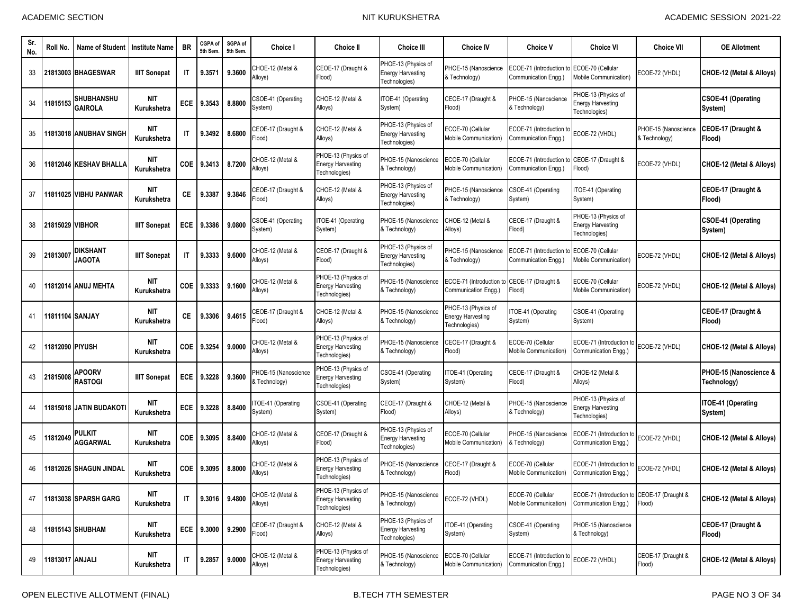| Sr.<br>No. | Roll No.        | <b>Name of Student</b>              | <b>Institute Name</b>     | <b>BR</b>    | CGPA of<br>5th Sem. | SGPA of<br>5th Sem. | Choice I                              | <b>Choice II</b>                                                 | <b>Choice III</b>                                                | <b>Choice IV</b>                                                 | <b>Choice V</b>                                  | <b>Choice VI</b>                                                    | <b>Choice VII</b>                     | <b>OE Allotment</b>                   |
|------------|-----------------|-------------------------------------|---------------------------|--------------|---------------------|---------------------|---------------------------------------|------------------------------------------------------------------|------------------------------------------------------------------|------------------------------------------------------------------|--------------------------------------------------|---------------------------------------------------------------------|---------------------------------------|---------------------------------------|
| 33         |                 | 21813003 BHAGESWAR                  | <b>IIIT Sonepat</b>       | IT           | 9.3571              | 9.3600              | CHOE-12 (Metal &<br>Alloys)           | CEOE-17 (Draught &<br>Flood)                                     | PHOE-13 (Physics of<br><b>Energy Harvesting</b><br>Fechnologies) | PHOE-15 (Nanoscience<br>& Technology)                            | ECOE-71 (Introduction to<br>Communication Engg.  | ECOE-70 (Cellular<br>Mobile Communication)                          | ECOE-72 (VHDL)                        | CHOE-12 (Metal & Alloys)              |
| 34         | 11815153        | <b>SHUBHANSHU</b><br><b>GAIROLA</b> | <b>NIT</b><br>Kurukshetra | ECE          | 9.3543              | 8.8800              | CSOE-41 (Operating<br>System)         | CHOE-12 (Metal &<br>Alloys)                                      | ITOE-41 (Operating<br>System)                                    | CEOE-17 (Draught &<br>Flood)                                     | PHOE-15 (Nanoscience<br>& Technology)            | PHOE-13 (Physics of<br><b>Energy Harvesting</b><br>Technologies)    |                                       | <b>CSOE-41 (Operating</b><br>System)  |
| 35         |                 | 1813018 ANUBHAV SINGH               | <b>NIT</b><br>Kurukshetra | $\mathsf{I}$ | 9.3492              | 8.6800              | CEOE-17 (Draught &<br>Flood)          | CHOE-12 (Metal &<br>Alloys)                                      | PHOE-13 (Physics of<br><b>Energy Harvesting</b><br>Technologies) | ECOE-70 (Cellular<br><b>Mobile Communication)</b>                | ECOE-71 (Introduction to<br>Communication Engg.) | ECOE-72 (VHDL)                                                      | PHOE-15 (Nanoscience<br>& Technology) | CEOE-17 (Draught &<br>Flood)          |
| 36         |                 | 1812046 KESHAV BHALLA               | <b>NIT</b><br>Kurukshetra | <b>COE</b>   | 9.3413              | 8.7200              | CHOE-12 (Metal &<br>Alloys)           | PHOE-13 (Physics of<br><b>Energy Harvesting</b><br>Technologies) | PHOE-15 (Nanoscience<br>& Technology)                            | ECOE-70 (Cellular<br>Mobile Communication)                       | ECOE-71 (Introduction t<br>Communication Engg.)  | CEOE-17 (Draught &<br>(bool <sup>=</sup>                            | ECOE-72 (VHDL)                        | CHOE-12 (Metal & Alloys)              |
| 37         |                 | 11811025 VIBHU PANWAR               | <b>NIT</b><br>Kurukshetra | CE           | 9.3387              | 9.3846              | CEOE-17 (Draught &<br>Flood)          | CHOE-12 (Metal &<br>Alloys)                                      | PHOE-13 (Physics of<br><b>Energy Harvesting</b><br>Technologies) | PHOE-15 (Nanoscience<br>& Technology)                            | CSOE-41 (Operating<br>System)                    | TOE-41 (Operating<br>System)                                        |                                       | CEOE-17 (Draught &<br>Flood)          |
| 38         | 21815029 VIBHOR |                                     | <b>IIIT Sonepat</b>       | ECE          | 9.3386              | 9.0800              | CSOE-41 (Operating<br>System)         | ITOE-41 (Operating<br>System)                                    | PHOE-15 (Nanoscience<br>& Technology)                            | CHOE-12 (Metal &<br>Alloys)                                      | CEOE-17 (Draught &<br>Flood)                     | PHOE-13 (Physics of<br><b>Energy Harvesting</b><br>Technologies)    |                                       | <b>CSOE-41 (Operating</b><br>System)  |
| 39         | 21813007        | DIKSHANT<br><b>JAGOTA</b>           | <b>IIIT Sonepat</b>       | $\mathsf{I}$ | 9.3333              | 9.6000              | CHOE-12 (Metal &<br>Alloys)           | CEOE-17 (Draught &<br>Flood)                                     | PHOE-13 (Physics of<br><b>Energy Harvesting</b><br>Technologies) | PHOE-15 (Nanoscience<br>& Technology)                            | ECOE-71 (Introduction t<br>Communication Engg.)  | ECOE-70 (Cellular<br><b>Mobile Communication)</b>                   | ECOE-72 (VHDL)                        | CHOE-12 (Metal & Alloys)              |
| 40         |                 | 11812014 ANUJ MEHTA                 | <b>NIT</b><br>Kurukshetra | COE          | 9.3333              | 9.1600              | CHOE-12 (Metal &<br>Alloys)           | PHOE-13 (Physics of<br><b>Energy Harvesting</b><br>Technologies) | PHOE-15 (Nanoscience<br>& Technology)                            | ECOE-71 (Introduction<br>Communication Engg.)                    | CEOE-17 (Draught &<br>[lood]                     | ECOE-70 (Cellular<br>Mobile Communication)                          | ECOE-72 (VHDL)                        | CHOE-12 (Metal & Alloys)              |
| 41         | 11811104 SANJAY |                                     | <b>NIT</b><br>Kurukshetra | СE           | 9.3306              | 9.4615              | CEOE-17 (Draught &<br>Flood)          | CHOE-12 (Metal &<br>Alloys)                                      | PHOE-15 (Nanoscience<br>& Technology)                            | PHOE-13 (Physics of<br><b>Energy Harvesting</b><br>Technologies) | TOE-41 (Operating<br>System)                     | CSOE-41 (Operating<br>System)                                       |                                       | CEOE-17 (Draught &<br>Flood)          |
| 42         | 1812090 PIYUSH  |                                     | <b>NIT</b><br>Kurukshetra | <b>COE</b>   | 9.3254              | 9.0000              | CHOE-12 (Metal &<br>Alloys)           | PHOE-13 (Physics of<br><b>Energy Harvesting</b><br>Technologies) | PHOE-15 (Nanoscience<br>& Technology)                            | CEOE-17 (Draught &<br>Flood)                                     | ECOE-70 (Cellular<br>Mobile Communication)       | ECOE-71 (Introduction to<br>Communication Engg.)                    | ECOE-72 (VHDL)                        | CHOE-12 (Metal & Alloys)              |
| 43         | 21815008        | <b>APOORV</b><br><b>RASTOGI</b>     | <b>IIIT Sonepat</b>       | <b>ECE</b>   | 9.3228              | 9.3600              | PHOE-15 (Nanoscience<br>& Technology) | PHOE-13 (Physics of<br><b>Energy Harvesting</b><br>Technologies) | CSOE-41 (Operating<br>System)                                    | TOE-41 (Operating<br>System)                                     | CEOE-17 (Draught &<br>Flood)                     | CHOE-12 (Metal &<br>Alloys)                                         |                                       | PHOE-15 (Nanoscience &<br>Technology) |
| 44         |                 | 1815018 JATIN BUDAKOT               | <b>NIT</b><br>Kurukshetra | <b>ECE</b>   | 9.3228              | 8.8400              | TOE-41 (Operating<br>System)          | CSOE-41 (Operating<br>System)                                    | CEOE-17 (Draught &<br>Flood)                                     | CHOE-12 (Metal &<br>Alloys)                                      | PHOE-15 (Nanoscience<br>& Technology)            | PHOE-13 (Physics of<br><b>Energy Harvesting</b><br>Technologies)    |                                       | ITOE-41 (Operating<br>System)         |
| 45         | 1812049         | <b>PULKIT</b><br><b>AGGARWAL</b>    | <b>NIT</b><br>Kurukshetra | COE          | 9.3095              | 8.8400              | CHOE-12 (Metal &<br>Alloys)           | CEOE-17 (Draught &<br>Flood)                                     | PHOE-13 (Physics of<br><b>Energy Harvesting</b><br>Technologies) | ECOE-70 (Cellular<br>Mobile Communication)                       | PHOE-15 (Nanoscience<br>& Technology)            | ECOE-71 (Introduction to<br>Communication Engg.)                    | ECOE-72 (VHDL)                        | CHOE-12 (Metal & Alloys)              |
| 46         |                 | 11812026 SHAGUN JINDAL              | <b>NIT</b><br>Kurukshetra | COE          | 9.3095              | 8.8000              | CHOE-12 (Metal &<br>Alloys)           | PHOE-13 (Physics of<br><b>Energy Harvesting</b><br>Technologies) | PHOE-15 (Nanoscience<br>& Technology)                            | CEOE-17 (Draught &<br>Flood)                                     | ECOE-70 (Cellular<br>Mobile Communication)       | ECOE-71 (Introduction to<br>Communication Engg.)                    | ECOE-72 (VHDL)                        | CHOE-12 (Metal & Alloys)              |
| 47         |                 | 11813038 SPARSH GARG                | NIT<br>Kurukshetra        | IT           |                     | 9.3016 9.4800       | CHOE-12 (Metal &<br>Alloys)           | PHOE-13 (Physics of<br><b>Energy Harvesting</b><br>Technologies) | PHOE-15 (Nanoscience<br>& Technology)                            | ECOE-72 (VHDL)                                                   | ECOE-70 (Cellular<br>Mobile Communication)       | ECOE-71 (Introduction to CEOE-17 (Draught &<br>Communication Engg.) | Flood)                                | CHOE-12 (Metal & Allovs)              |
| 48         |                 | 11815143 SHUBHAM                    | <b>NIT</b><br>Kurukshetra | ECE          | 9.3000              | 9.2900              | CEOE-17 (Draught &<br>Flood)          | CHOE-12 (Metal &<br>Alloys)                                      | PHOE-13 (Physics of<br><b>Energy Harvesting</b><br>Technologies) | TOE-41 (Operating<br>System)                                     | CSOE-41 (Operating<br>System)                    | PHOE-15 (Nanoscience<br>& Technology)                               |                                       | CEOE-17 (Draught &<br>Flood)          |
| 49         | 11813017 ANJALI |                                     | <b>NIT</b><br>Kurukshetra | IT           | 9.2857              | 9.0000              | CHOE-12 (Metal &<br>Alloys)           | PHOE-13 (Physics of<br><b>Energy Harvesting</b><br>Technologies) | PHOE-15 (Nanoscience<br>& Technology)                            | ECOE-70 (Cellular<br>Mobile Communication)                       | ECOE-71 (Introduction to<br>Communication Engg.) | ECOE-72 (VHDL)                                                      | CEOE-17 (Draught &<br>Flood)          | CHOE-12 (Metal & Alloys)              |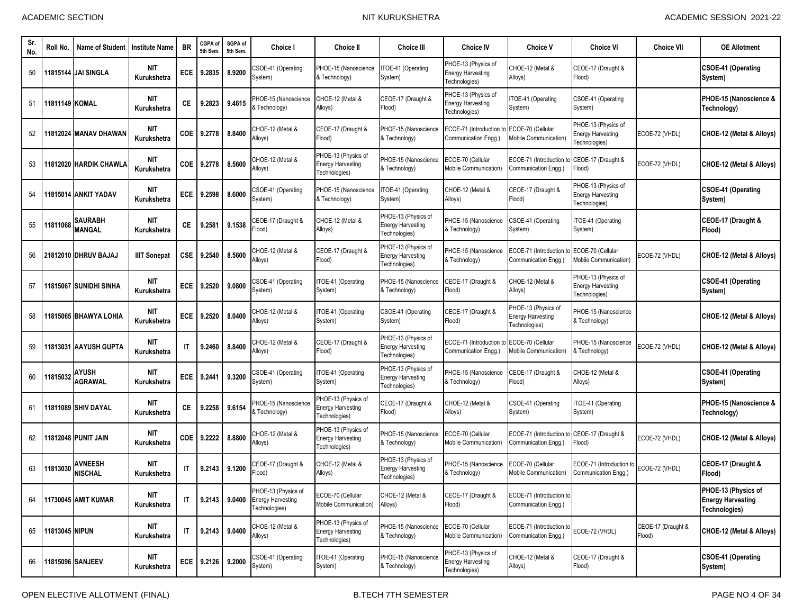| Sr.<br>No. | Roll No.       | <b>Name of Student</b>           | <b>Institute Name</b>     | <b>BR</b>    | CGPA of<br>5th Sem. | SGPA of<br>5th Sem. | Choice I                                                         | <b>Choice II</b>                                                 | <b>Choice III</b>                                                | <b>Choice IV</b>                                                 | <b>Choice V</b>                                                  | <b>Choice VI</b>                                                 | <b>Choice VII</b>            | <b>OE Allotment</b>                                              |
|------------|----------------|----------------------------------|---------------------------|--------------|---------------------|---------------------|------------------------------------------------------------------|------------------------------------------------------------------|------------------------------------------------------------------|------------------------------------------------------------------|------------------------------------------------------------------|------------------------------------------------------------------|------------------------------|------------------------------------------------------------------|
| 50         |                | 11815144 IJAI SINGLA             | <b>NIT</b><br>Kurukshetra | ECE          | 9.2835              | 8.9200              | CSOE-41 (Operating<br>System)                                    | PHOE-15 (Nanoscience<br>& Technology)                            | ITOE-41 (Operating<br>System)                                    | PHOE-13 (Physics of<br><b>Energy Harvesting</b><br>Technologies) | CHOE-12 (Metal &<br>Alloys)                                      | CEOE-17 (Draught &<br>Flood)                                     |                              | <b>CSOE-41 (Operating</b><br>System)                             |
| 51         | 11811149 KOMAL |                                  | <b>NIT</b><br>Kurukshetra | CЕ           | 9.2823              | 9.4615              | PHOE-15 (Nanoscience<br>& Technology)                            | CHOE-12 (Metal &<br>Alloys)                                      | CEOE-17 (Draught &<br>Flood)                                     | PHOE-13 (Physics of<br><b>Energy Harvesting</b><br>Technologies) | TOE-41 (Operating<br>System)                                     | CSOE-41 (Operating<br>System)                                    |                              | PHOE-15 (Nanoscience &<br>Technology)                            |
| 52         |                | 1812024 MANAV DHAWAN             | <b>NIT</b><br>Kurukshetra | COE          | 9.2778              | 8.8400              | CHOE-12 (Metal &<br>Alloys)                                      | CEOE-17 (Draught &<br>Flood)                                     | PHOE-15 (Nanoscience<br>& Technology)                            | ECOE-71 (Introduction<br>Communication Engg.)                    | ECOE-70 (Cellular<br>Mobile Communication)                       | PHOE-13 (Physics of<br><b>Energy Harvesting</b><br>Technologies) | ECOE-72 (VHDL)               | CHOE-12 (Metal & Alloys)                                         |
| 53         |                | 1812020 HARDIK CHAWLA            | <b>NIT</b><br>Kurukshetra | <b>COE</b>   | 9.2778              | 8.5600              | CHOE-12 (Metal &<br>Alloys)                                      | PHOE-13 (Physics of<br><b>Energy Harvesting</b><br>Technologies) | PHOE-15 (Nanoscience<br>& Technology)                            | ECOE-70 (Cellular<br>Mobile Communication)                       | ECOE-71 (Introduction to<br>Communication Engg.)                 | CEOE-17 (Draught &<br>(bool <sup>=</sup>                         | ECOE-72 (VHDL)               | CHOE-12 (Metal & Alloys)                                         |
| 54         |                | 1815014 ANKIT YADAV              | <b>NIT</b><br>Kurukshetra | <b>ECE</b>   | 9.2598              | 8.6000              | CSOE-41 (Operating<br>System)                                    | PHOE-15 (Nanoscience<br>& Technology)                            | ITOE-41 (Operating<br>System)                                    | CHOE-12 (Metal &<br>Alloys)                                      | CEOE-17 (Draught &<br>Flood)                                     | PHOE-13 (Physics of<br><b>Energy Harvesting</b><br>Technologies) |                              | <b>CSOE-41 (Operating</b><br>System)                             |
| 55         | 11811068       | <b>SAURABH</b><br><b>MANGAL</b>  | <b>NIT</b><br>Kurukshetra | СE           | 9.2581              | 9.1538              | CEOE-17 (Draught &<br>Flood)                                     | CHOE-12 (Metal &<br>Alloys)                                      | PHOE-13 (Physics of<br><b>Energy Harvesting</b><br>Fechnologies) | PHOE-15 (Nanoscience<br>& Technology)                            | CSOE-41 (Operating<br>System)                                    | TOE-41 (Operating<br>System)                                     |                              | CEOE-17 (Draught &<br>Flood)                                     |
| 56         |                | 21812010 DHRUV BAJAJ             | <b>IIIT Sonepat</b>       | <b>CSE</b>   | 9.2540              | 8.5600              | CHOE-12 (Metal &<br>Alloys)                                      | CEOE-17 (Draught &<br>Flood)                                     | PHOE-13 (Physics of<br><b>Energy Harvesting</b><br>Technologies) | PHOE-15 (Nanoscience<br>& Technology)                            | ECOE-71 (Introduction t<br>Communication Engg.)                  | ECOE-70 (Cellular<br><b>Mobile Communication)</b>                | ECOE-72 (VHDL)               | CHOE-12 (Metal & Alloys)                                         |
| 57         |                | 1815067 SUNIDHI SINHA            | <b>NIT</b><br>Kurukshetra | ECE          | 9.2520              | 9.0800              | CSOE-41 (Operating<br>System)                                    | ITOE-41 (Operating<br>System)                                    | PHOE-15 (Nanoscience<br>& Technology)                            | CEOE-17 (Draught &<br>Flood)                                     | CHOE-12 (Metal &<br>Alloys)                                      | PHOE-13 (Physics of<br><b>Energy Harvesting</b><br>Technologies) |                              | <b>CSOE-41 (Operating</b><br>System)                             |
| 58         |                | 1815065 BHAWYA LOHIA             | <b>NIT</b><br>Kurukshetra | <b>ECE</b>   | 9.2520              | 8.0400              | CHOE-12 (Metal &<br>Alloys)                                      | ITOE-41 (Operating<br>System)                                    | CSOE-41 (Operating<br>System)                                    | CEOE-17 (Draught &<br>Flood)                                     | PHOE-13 (Physics of<br><b>Energy Harvesting</b><br>Technologies) | PHOE-15 (Nanoscience<br>& Technology)                            |                              | CHOE-12 (Metal & Alloys)                                         |
| 59         |                | 1813031 AAYUSH GUPTA             | <b>NIT</b><br>Kurukshetra | $\mathsf{I}$ | 9.2460              | 8.8400              | CHOE-12 (Metal &<br>Alloys)                                      | CEOE-17 (Draught &<br>Flood)                                     | PHOE-13 (Physics of<br><b>Energy Harvesting</b><br>Fechnologies) | ECOE-71 (Introduction<br>Communication Engg.)                    | ECOE-70 (Cellular<br>Mobile Communication)                       | <b>PHOE-15 (Nanoscience</b><br>& Technology)                     | ECOE-72 (VHDL)               | CHOE-12 (Metal & Alloys)                                         |
| 60         | 181503         | AYUSH<br><b>AGRAWAL</b>          | <b>NIT</b><br>Kurukshetra | ECE          | 9.2441              | 9.3200              | CSOE-41 (Operating<br>System)                                    | ITOE-41 (Operating<br>System)                                    | PHOE-13 (Physics of<br><b>Energy Harvesting</b><br>Technologies) | PHOE-15 (Nanoscience<br>& Technology)                            | CEOE-17 (Draught &<br>Flood)                                     | CHOE-12 (Metal &<br>Alloys)                                      |                              | <b>CSOE-41 (Operating</b><br>System)                             |
| 61         |                | 1811089 SHIV DAYAL               | <b>NIT</b><br>Kurukshetra | СE           | 9.2258              | 9.6154              | PHOE-15 (Nanoscience<br>& Technology)                            | PHOE-13 (Physics of<br><b>Energy Harvesting</b><br>Technologies) | CEOE-17 (Draught &<br>Flood)                                     | CHOE-12 (Metal &<br>Alloys)                                      | CSOE-41 (Operating<br>System)                                    | TOE-41 (Operating<br>System)                                     |                              | PHOE-15 (Nanoscience &<br>Technology)                            |
| 62         |                | 1812048 PUNIT JAIN               | <b>NIT</b><br>Kurukshetra | COE          | 9.2222              | 8.8800              | CHOE-12 (Metal &<br>Alloys)                                      | PHOE-13 (Physics of<br><b>Energy Harvesting</b><br>Technologies) | PHOE-15 (Nanoscience<br>& Technology)                            | ECOE-70 (Cellular<br>Mobile Communication)                       | ECOE-71 (Introduction to<br>Communication Engg.)                 | CEOE-17 (Draught &<br>Flood)                                     | ECOE-72 (VHDL)               | CHOE-12 (Metal & Alloys)                                         |
| 63         | 1813030        | <b>AVNEESH</b><br><b>NISCHAL</b> | <b>NIT</b><br>Kurukshetra | $\mathsf{I}$ | 9.2143              | 9.1200              | CEOE-17 (Draught &<br>Flood)                                     | CHOE-12 (Metal &<br>Alloys)                                      | PHOE-13 (Physics of<br><b>Energy Harvesting</b><br>Technologies) | PHOE-15 (Nanoscience<br>& Technology)                            | ECOE-70 (Cellular<br>Mobile Communication)                       | ECOE-71 (Introduction to<br>Communication Enga.)                 | ECOE-72 (VHDL)               | CEOE-17 (Draught &<br>Flood)                                     |
| 64         |                | <b>11730045 AMIT KUMAR</b>       | <b>NIT</b><br>Kurukshetra | IT           | 9.2143              | 9.0400              | PHOE-13 (Physics of<br><b>Energy Harvesting</b><br>Technologies) | ECOE-70 (Cellular<br>Mobile Communication)                       | CHOE-12 (Metal &<br>Alloys)                                      | CEOE-17 (Draught &<br>Flood)                                     | ECOE-71 (Introduction to<br>Communication Engg.)                 |                                                                  |                              | PHOE-13 (Physics of<br><b>Energy Harvesting</b><br>Technologies) |
| 65         | 11813045 NIPUN |                                  | NIT<br>Kurukshetra        | IT           | 9.2143              | 9.0400              | CHOE-12 (Metal &<br>Alloys)                                      | PHOE-13 (Physics of<br><b>Energy Harvesting</b><br>Technologies) | PHOE-15 (Nanoscience<br>& Technology)                            | ECOE-70 (Cellular<br>Mobile Communication)                       | ECOE-71 (Introduction to<br>Communication Engg.)                 | ECOE-72 (VHDL)                                                   | CEOE-17 (Draught &<br>Flood) | CHOE-12 (Metal & Alloys)                                         |
| 66         |                | 11815096 SANJEEV                 | nit<br>Kurukshetra        |              | ECE 9.2126 9.2000   |                     | CSOE-41 (Operating<br>System)                                    | ITOE-41 (Operating<br>System)                                    | PHOE-15 (Nanoscience<br>& Technology)                            | PHOE-13 (Physics of<br><b>Energy Harvesting</b><br>Technologies) | CHOE-12 (Metal &<br>Alloys)                                      | CEOE-17 (Draught &<br>Flood)                                     |                              | <b>CSOE-41 (Operating</b><br>System)                             |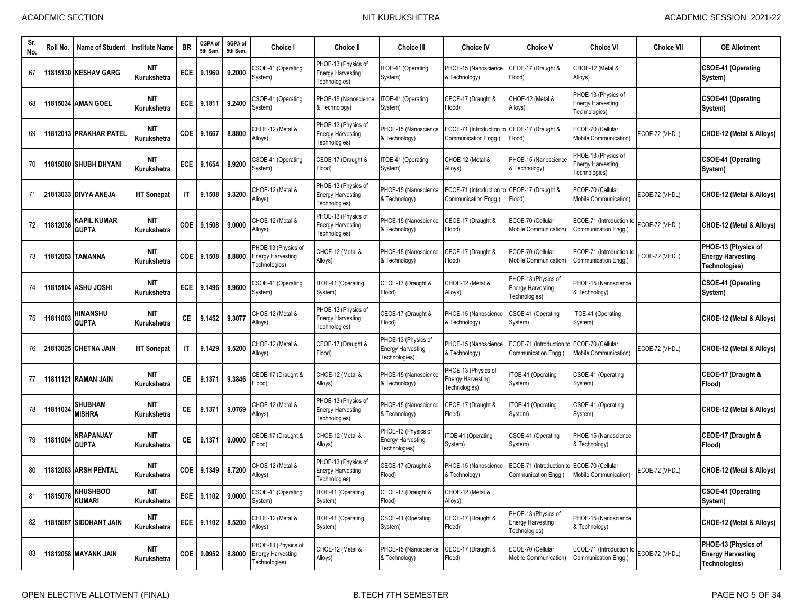| Sr.<br>No. | Roll No. | <b>Name of Student</b>           | <b>Institute Name</b>     | <b>BR</b>    | CGPA of<br>5th Sem. | SGPA of<br>5th Sem. | Choice I                                                         | <b>Choice II</b>                                                 | <b>Choice III</b>                                                | <b>Choice IV</b>                                                    | <b>Choice V</b>                                                  | <b>Choice VI</b>                                                 | <b>Choice VII</b> | <b>OE Allotment</b>                                              |
|------------|----------|----------------------------------|---------------------------|--------------|---------------------|---------------------|------------------------------------------------------------------|------------------------------------------------------------------|------------------------------------------------------------------|---------------------------------------------------------------------|------------------------------------------------------------------|------------------------------------------------------------------|-------------------|------------------------------------------------------------------|
| 67         |          | 11815130 KESHAV GARG             | <b>NIT</b><br>Kurukshetra | ECE          | 9.1969              | 9.2000              | CSOE-41 (Operating<br>System)                                    | PHOE-13 (Physics of<br><b>Energy Harvesting</b><br>Technologies) | ITOE-41 (Operating<br>System)                                    | PHOE-15 (Nanoscience<br>& Technology)                               | CEOE-17 (Draught &<br>Flood)                                     | CHOE-12 (Metal &<br>Alloys)                                      |                   | <b>CSOE-41 (Operating</b><br>System)                             |
| 68         |          | 11815034 AMAN GOEL               | <b>NIT</b><br>Kurukshetra | ECE          | 9.1811              | 9.2400              | CSOE-41 (Operating<br>System)                                    | PHOE-15 (Nanoscience<br>& Technology)                            | ITOE-41 (Operating<br>System)                                    | CEOE-17 (Draught &<br>Flood)                                        | CHOE-12 (Metal &<br>Alloys)                                      | PHOE-13 (Physics of<br><b>Energy Harvesting</b><br>Technologies) |                   | <b>CSOE-41 (Operating</b><br>System)                             |
| 69         |          | 1812013 PRAKHAR PATEI            | <b>NIT</b><br>Kurukshetra | COE          | 9.1667              | 8.8800              | CHOE-12 (Metal &<br>Alloys)                                      | PHOE-13 (Physics of<br><b>Energy Harvesting</b><br>Technologies) | PHOE-15 (Nanoscience<br>& Technology)                            | ECOE-71 (Introduction to CEOE-17 (Draught &<br>Communication Engg.) | Flood)                                                           | ECOE-70 (Cellular<br>Mobile Communication)                       | ECOE-72 (VHDL)    | CHOE-12 (Metal & Alloys)                                         |
| 70         |          | 1815080 SHUBH DHYANI             | <b>NIT</b><br>Kurukshetra | <b>ECE</b>   | 9.1654              | 8.9200              | CSOE-41 (Operating<br>System)                                    | CEOE-17 (Draught &<br>Flood)                                     | ITOE-41 (Operating<br>System)                                    | CHOE-12 (Metal &<br>Alloys)                                         | PHOE-15 (Nanoscience<br>& Technology)                            | PHOE-13 (Physics of<br><b>Energy Harvesting</b><br>Technologies) |                   | CSOE-41 (Operating<br>System)                                    |
| 71         |          | 21813033 DIVYA ANEJA             | <b>IIIT Sonepat</b>       | $\mathsf{I}$ | 9.1508              | 9.3200              | CHOE-12 (Metal &<br>Alloys)                                      | PHOE-13 (Physics of<br><b>Energy Harvesting</b><br>Technologies) | PHOE-15 (Nanoscience<br>& Technology)                            | ECOE-71 (Introduction to CEOE-17 (Draught &<br>Communication Engg.) | Flood)                                                           | ECOE-70 (Cellular<br>Mobile Communication)                       | ECOE-72 (VHDL)    | CHOE-12 (Metal & Alloys)                                         |
| 72         | 11812036 | KAPIL KUMAR<br><b>GUPTA</b>      | <b>NIT</b><br>Kurukshetra | COE          | 9.1508              | 9.0000              | CHOE-12 (Metal &<br>Alloys)                                      | PHOE-13 (Physics of<br><b>Energy Harvesting</b><br>Technologies) | PHOE-15 (Nanoscience<br>& Technology)                            | CEOE-17 (Draught &<br>Flood)                                        | ECOE-70 (Cellular<br>Mobile Communication)                       | ECOE-71 (Introduction to<br>Communication Engg.)                 | ECOE-72 (VHDL)    | CHOE-12 (Metal & Alloys)                                         |
| 73         |          | 1812053 TAMANNA                  | <b>NIT</b><br>Kurukshetra | COE          | 9.1508              | 8.8800              | PHOE-13 (Physics of<br><b>Energy Harvesting</b><br>Technologies) | CHOE-12 (Metal &<br>Alloys)                                      | PHOE-15 (Nanoscience<br>& Technology)                            | CEOE-17 (Draught &<br>Flood)                                        | ECOE-70 (Cellular<br>Mobile Communication)                       | ECOE-71 (Introduction to<br>Communication Engg.)                 | ECOE-72 (VHDL)    | PHOE-13 (Physics of<br><b>Energy Harvesting</b><br>Technologies) |
| 74         |          | 1815104 ASHU JOSHI               | <b>NIT</b><br>Kurukshetra | <b>ECE</b>   | 9.1496              | 8.9600              | CSOE-41 (Operating<br>System)                                    | ITOE-41 (Operating<br>System)                                    | CEOE-17 (Draught &<br>Flood)                                     | CHOE-12 (Metal &<br>Alloys)                                         | PHOE-13 (Physics of<br><b>Energy Harvesting</b><br>Technologies) | PHOE-15 (Nanoscience<br>& Technology)                            |                   | <b>CSOE-41 (Operating</b><br>System)                             |
| 75         | 11811003 | <b>HIMANSHU</b><br><b>GUPTA</b>  | <b>NIT</b><br>Kurukshetra | СE           | 9.1452              | 9.3077              | CHOE-12 (Metal &<br>Alloys)                                      | PHOE-13 (Physics of<br><b>Energy Harvesting</b><br>Technologies) | CEOE-17 (Draught &<br>Flood)                                     | PHOE-15 (Nanoscience<br>& Technology)                               | CSOE-41 (Operating<br>System)                                    | TOE-41 (Operating<br>System)                                     |                   | CHOE-12 (Metal & Alloys)                                         |
| 76         |          | 21813025 CHETNA JAIN             | <b>IIIT Sonepat</b>       | IT           | 9.1429              | 9.5200              | CHOE-12 (Metal &<br>Alloys)                                      | CEOE-17 (Draught &<br>Flood)                                     | PHOE-13 (Physics of<br><b>Energy Harvesting</b><br>Fechnologies) | PHOE-15 (Nanoscience<br>& Technology)                               | ECOE-71 (Introduction to<br>Communication Engg.)                 | ECOE-70 (Cellular<br>Mobile Communication)                       | ECOE-72 (VHDL)    | CHOE-12 (Metal & Alloys)                                         |
| 77         |          | 11811121 RAMAN JAIN              | <b>NIT</b><br>Kurukshetra | СE           | 9.1371              | 9.3846              | CEOE-17 (Draught &<br>Flood)                                     | CHOE-12 (Metal &<br>Alloys)                                      | PHOE-15 (Nanoscience<br>& Technology)                            | PHOE-13 (Physics of<br><b>Energy Harvesting</b><br>Technologies)    | TOE-41 (Operating<br>System)                                     | CSOE-41 (Operating<br>System)                                    |                   | CEOE-17 (Draught &<br>Flood)                                     |
| 78         | 1181103  | <b>SHUBHAM</b><br>MISHRA         | <b>NIT</b><br>Kurukshetra | СE           | 9.1371              | 9.0769              | CHOE-12 (Metal &<br>Alloys)                                      | PHOE-13 (Physics of<br><b>Energy Harvesting</b><br>Technologies) | PHOE-15 (Nanoscience<br>& Technology)                            | CEOE-17 (Draught &<br>Flood)                                        | TOE-41 (Operating<br>System)                                     | CSOE-41 (Operating<br>System)                                    |                   | CHOE-12 (Metal & Alloys)                                         |
| 79         | 11811004 | NRAPANJAY<br><b>GUPTA</b>        | <b>NIT</b><br>Kurukshetra | СE           | 9.1371              | 9.0000              | CEOE-17 (Draught &<br>Flood)                                     | CHOE-12 (Metal &<br>Alloys)                                      | PHOE-13 (Physics of<br><b>Energy Harvesting</b><br>Technologies) | TOE-41 (Operating<br>System)                                        | CSOE-41 (Operating<br>System)                                    | PHOE-15 (Nanoscience<br>& Technology)                            |                   | CEOE-17 (Draught &<br>Flood)                                     |
| 80         |          | 1812063 ARSH PENTAL              | <b>NIT</b><br>Kurukshetra | COE          | 9.1349              | 8.7200              | CHOE-12 (Metal &<br>Alloys)                                      | PHOE-13 (Physics of<br><b>Energy Harvesting</b><br>Technologies) | CEOE-17 (Draught &<br>Flood)                                     | PHOE-15 (Nanoscience<br>& Technology)                               | ECOE-71 (Introduction to<br>Communication Engg.)                 | ECOE-70 (Cellular<br>Mobile Communication)                       | ECOE-72 (VHDL)    | CHOE-12 (Metal & Allovs)                                         |
| 81         | 11815076 | <b>KHUSHBOO</b><br><b>KUMARI</b> | NIT<br>Kurukshetra        |              | ECE 9.1102 9.0000   |                     | CSOE-41 (Operating<br>System)                                    | ITOE-41 (Operating<br>System)                                    | CEOE-17 (Draught &<br>Flood)                                     | CHOE-12 (Metal &<br>Alloys)                                         |                                                                  |                                                                  |                   | <b>CSOE-41 (Operating</b><br>System)                             |
| 82         |          | 11815087 SIDDHANT JAIN           | NIT<br>Kurukshetra        |              | ECE 9.1102          | 8.5200              | CHOE-12 (Metal &<br>Alloys)                                      | ITOE-41 (Operating<br>System)                                    | CSOE-41 (Operating<br>System)                                    | CEOE-17 (Draught &<br>Flood)                                        | PHOE-13 (Physics of<br><b>Energy Harvesting</b><br>Technologies) | PHOE-15 (Nanoscience<br>& Technology)                            |                   | CHOE-12 (Metal & Alloys)                                         |
| 83         |          | <b>11812058 MAYANK JAIN</b>      | <b>NIT</b><br>Kurukshetra |              | COE 9.0952          | 8.8000              | PHOE-13 (Physics of<br><b>Energy Harvesting</b><br>Technologies) | CHOE-12 (Metal &<br>Alloys)                                      | PHOE-15 (Nanoscience<br>& Technology)                            | CEOE-17 (Draught &<br>Flood)                                        | ECOE-70 (Cellular<br>Mobile Communication)                       | ECOE-71 (Introduction to<br>Communication Engg.)                 | ECOE-72 (VHDL)    | PHOE-13 (Physics of<br><b>Energy Harvesting</b><br>Technologies) |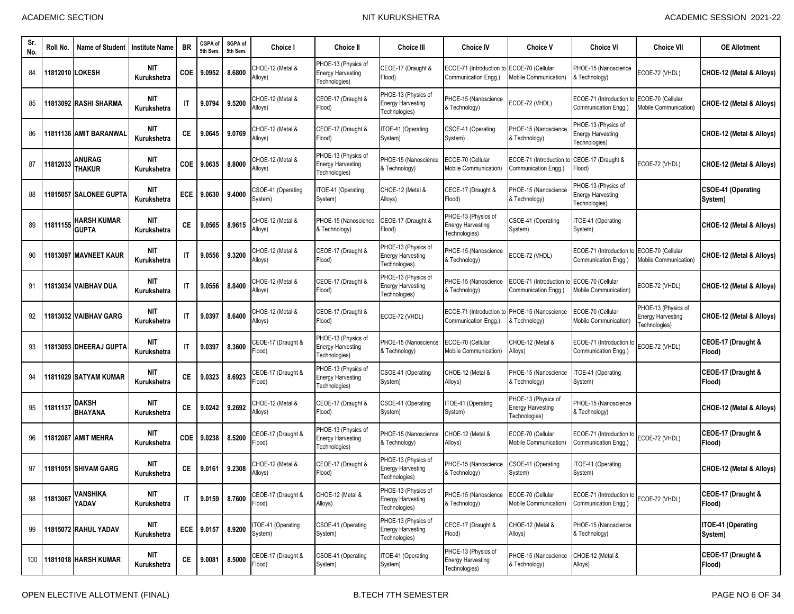| -Sr<br>No. | Roll No. | <b>Name of Student</b>         | Institute Name            | <b>BR</b>              | CGPA of<br>5th Sem. | SGPA of<br>5th Sem. | Choice I                      | <b>Choice II</b>                                                 | <b>Choice III</b>                                                | <b>Choice IV</b>                                                 | <b>Choice V</b>                                                  | <b>Choice VI</b>                                                 | <b>Choice VII</b>                                                | <b>OE Allotment</b>                  |
|------------|----------|--------------------------------|---------------------------|------------------------|---------------------|---------------------|-------------------------------|------------------------------------------------------------------|------------------------------------------------------------------|------------------------------------------------------------------|------------------------------------------------------------------|------------------------------------------------------------------|------------------------------------------------------------------|--------------------------------------|
| 84         |          | 1812010 LOKESH                 | <b>NIT</b><br>Kurukshetra | <b>COE</b>             | 9.0952              | 8.6800              | CHOE-12 (Metal &<br>Alloys)   | PHOE-13 (Physics of<br><b>Energy Harvesting</b><br>Technologies) | CEOE-17 (Draught &<br>Flood)                                     | ECOE-71 (Introduction<br>Communication Engg.)                    | ECOE-70 (Cellular<br>Mobile Communication)                       | PHOE-15 (Nanoscience<br>& Technology)                            | ECOE-72 (VHDL)                                                   | CHOE-12 (Metal & Alloys)             |
| 85         |          | 1813092 RASHI SHARMA           | <b>NIT</b><br>Kurukshetra | IT                     | 9.0794              | 9.5200              | CHOE-12 (Metal &<br>Alloys)   | CEOE-17 (Draught &<br>Flood)                                     | PHOE-13 (Physics of<br><b>Energy Harvesting</b><br>Technologies) | PHOE-15 (Nanoscience<br>& Technology)                            | ECOE-72 (VHDL)                                                   | ECOE-71 (Introduction t<br>Communication Engg.)                  | ECOE-70 (Cellular<br>Mobile Communication)                       | CHOE-12 (Metal & Alloys)             |
| 86         |          | 11811136 AMIT BARANWAI         | <b>NIT</b><br>Kurukshetra | СE                     | 9.0645              | 9.0769              | CHOE-12 (Metal &<br>Alloys)   | CEOE-17 (Draught &<br>Flood)                                     | TOE-41 (Operating<br>System)                                     | CSOE-41 (Operating<br>System)                                    | PHOE-15 (Nanoscience<br>& Technology)                            | PHOE-13 (Physics of<br><b>Energy Harvesting</b><br>Technologies) |                                                                  | CHOE-12 (Metal & Alloys)             |
| 87         | 11812033 | ANURAG<br><b>THAKUR</b>        | <b>NIT</b><br>Kurukshetra | COE                    | 9.0635              | 8.8000              | CHOE-12 (Metal &<br>Alloys)   | PHOE-13 (Physics of<br><b>Energy Harvesting</b><br>Technologies) | PHOE-15 (Nanoscience<br>& Technology)                            | ECOE-70 (Cellular<br>Mobile Communication)                       | ECOE-71 (Introduction t<br>Communication Engg.)                  | CEOE-17 (Draught &<br>Flood)                                     | ECOE-72 (VHDL)                                                   | CHOE-12 (Metal & Alloys)             |
| 88         |          | 1815057 SALONEE GUPTA          | <b>NIT</b><br>Kurukshetra | <b>ECE</b>             | 9.0630              | 9.4000              | CSOE-41 (Operating<br>System) | ITOE-41 (Operating<br>System)                                    | CHOE-12 (Metal &<br>Alloys)                                      | CEOE-17 (Draught &<br>Flood)                                     | PHOE-15 (Nanoscience<br>& Technology)                            | PHOE-13 (Physics of<br><b>Energy Harvesting</b><br>Technologies) |                                                                  | <b>CSOE-41 (Operating</b><br>System) |
| 89         | 11811155 | HARSH KUMAR<br><b>GUPTA</b>    | <b>NIT</b><br>Kurukshetra | СE                     | 9.0565              | 8.9615              | CHOE-12 (Metal &<br>Alloys)   | PHOE-15 (Nanoscience<br>& Technology)                            | EOE-17 (Draught &<br>Flood)                                      | PHOE-13 (Physics of<br><b>Energy Harvesting</b><br>Technologies) | CSOE-41 (Operating<br>System)                                    | TOE-41 (Operating<br>System)                                     |                                                                  | CHOE-12 (Metal & Alloys)             |
| 90         |          | 1813097 MAVNEET KAUR           | <b>NIT</b><br>Kurukshetra | $\mathsf{I}$           | 9.0556              | 9.3200              | CHOE-12 (Metal &<br>Alloys)   | CEOE-17 (Draught &<br>Flood)                                     | PHOE-13 (Physics of<br><b>Energy Harvesting</b><br>Technologies) | PHOE-15 (Nanoscience<br>& Technology)                            | ECOE-72 (VHDL)                                                   | ECOE-71 (Introduction<br>Communication Engg.)                    | ECOE-70 (Cellular<br>Mobile Communication)                       | CHOE-12 (Metal & Alloys)             |
| 91         |          | 11813034 VAIBHAV DUA           | <b>NIT</b><br>Kurukshetra | $\mathsf{I}\mathsf{T}$ | 9.0556              | 8.8400              | CHOE-12 (Metal &<br>Alloys)   | CEOE-17 (Draught &<br>Flood)                                     | PHOE-13 (Physics of<br><b>Energy Harvesting</b><br>Technologies) | PHOE-15 (Nanoscience<br>& Technology)                            | ECOE-71 (Introduction t<br>Communication Engg.)                  | <b>ECOE-70 (Cellular</b><br>Mobile Communication)                | ECOE-72 (VHDL)                                                   | CHOE-12 (Metal & Alloys)             |
| 92         |          | 1813032 VAIBHAV GARG           | <b>NIT</b><br>Kurukshetra | $\mathsf{I}$           | 9.0397              | 8.6400              | CHOE-12 (Metal &<br>Alloys)   | CEOE-17 (Draught &<br>Flood)                                     | ECOE-72 (VHDL)                                                   | ECOE-71 (Introduction<br>Communication Engg.)                    | PHOE-15 (Nanoscience<br>& Technology)                            | ECOE-70 (Cellular<br>Mobile Communication)                       | PHOE-13 (Physics of<br><b>Energy Harvesting</b><br>Technologies) | CHOE-12 (Metal & Alloys)             |
| 93         |          | 1813093 DHEERAJ GUPTA          | <b>NIT</b><br>Kurukshetra | $\mathsf{I}$           | 9.0397              | 8.3600              | CEOE-17 (Draught &<br>Flood)  | PHOE-13 (Physics of<br><b>Energy Harvesting</b><br>Technologies) | PHOE-15 (Nanoscience<br>& Technology)                            | ECOE-70 (Cellular<br>Mobile Communication)                       | CHOE-12 (Metal &<br>Alloys)                                      | ECOE-71 (Introduction to<br>Communication Engg.)                 | ECOE-72 (VHDL)                                                   | CEOE-17 (Draught &<br>(Flood         |
| 94         |          | 1811029 SATYAM KUMAR           | <b>NIT</b><br>Kurukshetra | СE                     | 9.0323              | 8.6923              | CEOE-17 (Draught &<br>Flood)  | PHOE-13 (Physics of<br><b>Energy Harvesting</b><br>Technologies) | CSOE-41 (Operating<br>System)                                    | CHOE-12 (Metal &<br>Alloys)                                      | PHOE-15 (Nanoscience<br>& Technology)                            | TOE-41 (Operating<br>System)                                     |                                                                  | CEOE-17 (Draught &<br>Flood)         |
| 95         | 181113   | <b>DAKSH</b><br><b>BHAYANA</b> | <b>NIT</b><br>Kurukshetra | СE                     | 9.0242              | 9.2692              | CHOE-12 (Metal &<br>Alloys)   | CEOE-17 (Draught &<br>Flood)                                     | CSOE-41 (Operating<br>System)                                    | TOE-41 (Operating<br>System)                                     | PHOE-13 (Physics of<br><b>Energy Harvesting</b><br>Technologies) | PHOE-15 (Nanoscience<br>& Technology)                            |                                                                  | CHOE-12 (Metal & Alloys)             |
| 96         | 1812087  | <b>AMIT MEHRA</b>              | <b>NIT</b><br>Kurukshetra | <b>COE</b>             | 9.0238              | 8.5200              | CEOE-17 (Draught &<br>Flood)  | PHOE-13 (Physics of<br><b>Energy Harvesting</b><br>Technologies) | PHOE-15 (Nanoscience<br>& Technology)                            | CHOE-12 (Metal &<br>Alloys)                                      | ECOE-70 (Cellular<br>Mobile Communication)                       | ECOE-71 (Introduction to<br>Communication Engg.)                 | ECOE-72 (VHDL)                                                   | CEOE-17 (Draught &<br>Flood)         |
| 97         |          | 11811051 SHIVAM GARG           | <b>NIT</b><br>Kurukshetra | СE                     | 9.0161              | 9.2308              | CHOE-12 (Metal &<br>Alloys)   | CEOE-17 (Draught &<br>Flood)                                     | PHOE-13 (Physics of<br><b>Energy Harvesting</b><br>Fechnologies) | PHOE-15 (Nanoscience<br>& Technology)                            | CSOE-41 (Operating<br>System)                                    | TOE-41 (Operating<br>System)                                     |                                                                  | CHOE-12 (Metal & Alloys)             |
| 98         | 11813067 | <b>VANSHIKA</b><br>YADAV       | <b>NIT</b><br>Kurukshetra | IT                     | 9.0159 8.7600       |                     | CEOE-17 (Draught &<br>Flood)  | CHOE-12 (Metal &<br>Alloys)                                      | PHOE-13 (Physics of<br><b>Energy Harvesting</b><br>Technologies) | PHOE-15 (Nanoscience<br>& Technology)                            | ECOE-70 (Cellular<br>Mobile Communication)                       | ECOE-71 (Introduction to ECOE-72 (VHDL)<br>Communication Enga.)  |                                                                  | CEOE-17 (Draught &<br>Flood)         |
| 99         |          | 11815072 RAHUL YADAV           | <b>NIT</b><br>Kurukshetra | ECE                    | 9.0157              | 8.9200              | TOE-41 (Operating<br>System)  | CSOE-41 (Operating<br>System)                                    | PHOE-13 (Physics of<br><b>Energy Harvesting</b><br>Technologies) | CEOE-17 (Draught &<br>Flood)                                     | CHOE-12 (Metal &<br>Alloys)                                      | PHOE-15 (Nanoscience<br>& Technology)                            |                                                                  | ITOE-41 (Operating<br>System)        |
|            |          | 100 11811018 HARSH KUMAR       | <b>NIT</b><br>Kurukshetra | <b>CE</b>              | 9.0081              | 8.5000              | CEOE-17 (Draught &<br>Flood)  | CSOE-41 (Operating<br>System)                                    | ITOE-41 (Operating<br>System)                                    | PHOE-13 (Physics of<br><b>Energy Harvesting</b><br>Technologies) | PHOE-15 (Nanoscience<br>& Technology)                            | CHOE-12 (Metal &<br>Alloys)                                      |                                                                  | CEOE-17 (Draught &<br>Flood)         |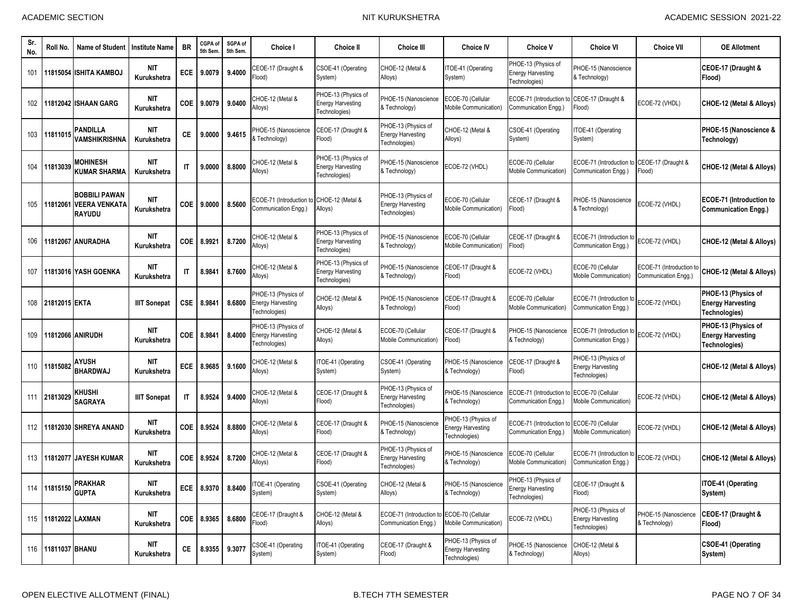| Sr.<br>No. | Roll No.            | <b>Name of Student</b>                          | <b>Institute Name</b>     | <b>BR</b>              | CGPA of<br>5th Sem | SGPA of<br>5th Sem. | <b>Choice I</b>                                                  | <b>Choice II</b>                                                 | <b>Choice III</b>                                                  | <b>Choice IV</b>                                                 | <b>Choice V</b>                                                  | <b>Choice VI</b>                                                    | <b>Choice VII</b>                               | <b>OE Allotment</b>                                              |
|------------|---------------------|-------------------------------------------------|---------------------------|------------------------|--------------------|---------------------|------------------------------------------------------------------|------------------------------------------------------------------|--------------------------------------------------------------------|------------------------------------------------------------------|------------------------------------------------------------------|---------------------------------------------------------------------|-------------------------------------------------|------------------------------------------------------------------|
| 101        |                     | 11815054 ISHITA KAMBOJ                          | <b>NIT</b><br>Kurukshetra | <b>ECE</b>             | 9.0079             | 9.4000              | CEOE-17 (Draught &<br>Flood)                                     | CSOE-41 (Operating<br>System)                                    | CHOE-12 (Metal &<br>Alloys)                                        | ITOE-41 (Operating<br>System)                                    | PHOE-13 (Physics of<br><b>Energy Harvesting</b><br>Fechnologies) | PHOE-15 (Nanoscience<br>& Technology)                               |                                                 | CEOE-17 (Draught &<br>Flood)                                     |
| 102        |                     | 11812042 ISHAAN GARG                            | <b>NIT</b><br>Kurukshetra | COE                    | 9.0079             | 9.0400              | CHOE-12 (Metal &<br>Alloys)                                      | PHOE-13 (Physics of<br><b>Energy Harvesting</b><br>Technologies) | PHOE-15 (Nanoscience<br>& Technology)                              | ECOE-70 (Cellular<br>Mobile Communication)                       | ECOE-71 (Introduction t<br>Communication Engg.)                  | CEOE-17 (Draught &<br>Flood)                                        | ECOE-72 (VHDL)                                  | CHOE-12 (Metal & Alloys)                                         |
| 103        | 11811015            | PANDILLA<br>VAMSHIKRISHNA                       | <b>NIT</b><br>Kurukshetra | СE                     | 9.0000             | 9.4615              | PHOE-15 (Nanoscience<br>& Technology)                            | CEOE-17 (Draught &<br>Flood)                                     | PHOE-13 (Physics of<br><b>Energy Harvesting</b><br>Technologies)   | CHOE-12 (Metal &<br>Alloys)                                      | CSOE-41 (Operating<br>System)                                    | TOE-41 (Operating<br>System)                                        |                                                 | PHOE-15 (Nanoscience &<br>Technology)                            |
| 104        | 11813039            | <b>MOHINESH</b><br><b>KUMAR SHARMA</b>          | <b>NIT</b><br>Kurukshetra | $\mathsf{I}$           | 9.0000             | 8.8000              | CHOE-12 (Metal &<br>Alloys)                                      | PHOE-13 (Physics of<br><b>Energy Harvesting</b><br>Fechnologies) | PHOE-15 (Nanoscience<br>& Technology)                              | ECOE-72 (VHDL)                                                   | ECOE-70 (Cellular<br><b>Mobile Communication)</b>                | ECOE-71 (Introduction to CEOE-17 (Draught &<br>Communication Engg.) | Flood)                                          | CHOE-12 (Metal & Alloys)                                         |
| 105        | 11812061            | <b>BOBBILI PAWAN</b><br>VEERA VENKATA<br>RAYUDU | <b>NIT</b><br>Kurukshetra | COE                    | 9.0000             | 8.5600              | ECOE-71 (Introduction to<br>Communication Engg.)                 | CHOE-12 (Metal &<br>Alloys)                                      | PHOE-13 (Physics of<br><b>Energy Harvesting</b><br>Technologies)   | ECOE-70 (Cellular<br><b>Mobile Communication)</b>                | CEOE-17 (Draught &<br>Flood)                                     | PHOE-15 (Nanoscience<br>& Technology)                               | ECOE-72 (VHDL)                                  | <b>ECOE-71 (Introduction to</b><br><b>Communication Engg.)</b>   |
| 106        |                     | 11812067 ANURADHA                               | <b>NIT</b><br>Kurukshetra | COE                    | 8.9921             | 8.7200              | CHOE-12 (Metal &<br>Alloys)                                      | PHOE-13 (Physics of<br><b>Energy Harvesting</b><br>Technologies) | PHOE-15 (Nanoscience<br>& Technology)                              | ECOE-70 (Cellular<br><b>Mobile Communication)</b>                | CEOE-17 (Draught &<br>Flood)                                     | ECOE-71 (Introduction to<br>Communication Engg.)                    | ECOE-72 (VHDL)                                  | CHOE-12 (Metal & Alloys)                                         |
| 107        |                     | 11813016 YASH GOENKA                            | <b>NIT</b><br>Kurukshetra | IT                     | 8.9841             | 8.7600              | CHOE-12 (Metal &<br>Alloys)                                      | PHOE-13 (Physics of<br><b>Energy Harvesting</b><br>Technologies) | <b>PHOE-15 (Nanoscience</b><br>& Technology)                       | CEOE-17 (Draught &<br>Flood)                                     | ECOE-72 (VHDL)                                                   | ECOE-70 (Cellular<br>Mobile Communication)                          | ECOE-71 (Introduction t<br>Communication Engg.) | CHOE-12 (Metal & Alloys)                                         |
| 108        | 21812015 EKTA       |                                                 | <b>IIIT Sonepat</b>       | CSE                    | 8.9841             | 8.6800              | PHOE-13 (Physics of<br><b>Energy Harvesting</b><br>Technologies) | CHOE-12 (Metal &<br>Alloys)                                      | PHOE-15 (Nanoscience<br>& Technology)                              | CEOE-17 (Draught &<br>Flood)                                     | ECOE-70 (Cellular<br><b>Mobile Communication)</b>                | ECOE-71 (Introduction to<br>Communication Engg.)                    | ECOE-72 (VHDL)                                  | PHOE-13 (Physics of<br><b>Energy Harvesting</b><br>Technologies) |
| 109        |                     | 11812066 ANIRUDH                                | NIT<br>Kurukshetra        | COE                    | 8.9841             | 8.4000              | PHOE-13 (Physics of<br><b>Energy Harvesting</b><br>Technologies) | CHOE-12 (Metal &<br>Alloys)                                      | ECOE-70 (Cellular<br>Mobile Communication)                         | CEOE-17 (Draught &<br>Flood)                                     | PHOE-15 (Nanoscience<br>& Technology)                            | ECOE-71 (Introduction to<br>Communication Engg.)                    | ECOE-72 (VHDL)                                  | PHOE-13 (Physics of<br><b>Energy Harvesting</b><br>Technologies) |
| 110        | 11815082            | AYUSH<br><b>BHARDWAJ</b>                        | <b>NIT</b><br>Kurukshetra | <b>ECE</b>             | 8.9685             | 9.1600              | CHOE-12 (Metal &<br>Alloys)                                      | ITOE-41 (Operating<br>System)                                    | CSOE-41 (Operating<br>System)                                      | PHOE-15 (Nanoscience<br>& Technology)                            | CEOE-17 (Draught &<br>Flood)                                     | PHOE-13 (Physics of<br><b>Energy Harvesting</b><br>Technologies)    |                                                 | CHOE-12 (Metal & Alloys)                                         |
|            | 111 21813029        | KHUSHI<br><b>SAGRAYA</b>                        | <b>IIIT Sonepat</b>       | $\mathsf{I}\mathsf{T}$ | 8.9524             | 9.4000              | CHOE-12 (Metal &<br>Alloys)                                      | CEOE-17 (Draught &<br>Flood)                                     | PHOE-13 (Physics of<br><b>Energy Harvesting</b><br>Technologies)   | PHOE-15 (Nanoscience<br>& Technology)                            | ECOE-71 (Introduction t<br>Communication Engg.)                  | ECOE-70 (Cellular<br><b>Mobile Communication)</b>                   | ECOE-72 (VHDL)                                  | CHOE-12 (Metal & Alloys)                                         |
|            |                     | 112 11812030 SHREYA ANAND                       | <b>NIT</b><br>Kurukshetra | COE                    | 8.9524             | 8.8800              | CHOE-12 (Metal &<br>Alloys)                                      | CEOE-17 (Draught &<br>Flood)                                     | PHOE-15 (Nanoscience<br>& Technology)                              | PHOE-13 (Physics of<br>Energy Harvesting<br>Technologies)        | ECOE-71 (Introduction t<br>Communication Engg.)                  | ECOE-70 (Cellular<br>Mobile Communication)                          | ECOE-72 (VHDL)                                  | CHOE-12 (Metal & Alloys)                                         |
|            |                     | 113 11812077 JAYESH KUMAR                       | <b>NIT</b><br>Kurukshetra | COE                    | 8.9524             | 8.7200              | CHOE-12 (Metal &<br>Alloys)                                      | CEOE-17 (Draught &<br>Flood)                                     | PHOE-13 (Physics of<br><b>Energy Harvesting</b><br>Technologies)   | PHOE-15 (Nanoscience<br>& Technology)                            | COE-70 (Cellular<br><b>Mobile Communication)</b>                 | ECOE-71 (Introduction to<br>Communication Engg.)                    | ECOE-72 (VHDL)                                  | CHOE-12 (Metal & Alloys)                                         |
|            |                     | 114 11815150 PRAKHAR<br><b>GUPTA</b>            | <b>NIT</b><br>Kurukshetra | ECE                    |                    | 8.9370 8.8400       | ITOE-41 (Operating<br>System)                                    | CSOE-41 (Operating<br>System)                                    | CHOE-12 (Metal &<br>Alloys)                                        | PHOE-15 (Nanoscience<br>& Technology)                            | PHOE-13 (Physics of<br>Energy Harvesting<br>Technologies)        | CEOE-17 (Draught &<br>Flood)                                        |                                                 | ITOE-41 (Operating<br>System)                                    |
|            | 115 11812022 LAXMAN |                                                 | NIT<br>Kurukshetra        |                        | COE 8.9365         | 8.6800              | CEOE-17 (Draught &<br>Flood)                                     | CHOE-12 (Metal &<br>Alloys)                                      | ECOE-71 (Introduction to ECOE-70 (Cellular<br>Communication Engg.) | Mobile Communication)                                            | ECOE-72 (VHDL)                                                   | PHOE-13 (Physics of<br><b>Energy Harvesting</b><br>Technologies)    | PHOE-15 (Nanoscience<br>& Technology)           | CEOE-17 (Draught &<br>Flood)                                     |
|            | 116 11811037 BHANU  |                                                 | NIT<br>Kurukshetra        | CE                     | 8.9355             | 9.3077              | CSOE-41 (Operating<br>System)                                    | ITOE-41 (Operating<br>System)                                    | CEOE-17 (Draught &<br>Flood)                                       | PHOE-13 (Physics of<br><b>Energy Harvesting</b><br>Technologies) | PHOE-15 (Nanoscience<br>& Technology)                            | CHOE-12 (Metal &<br>Alloys)                                         |                                                 | CSOE-41 (Operating<br>System)                                    |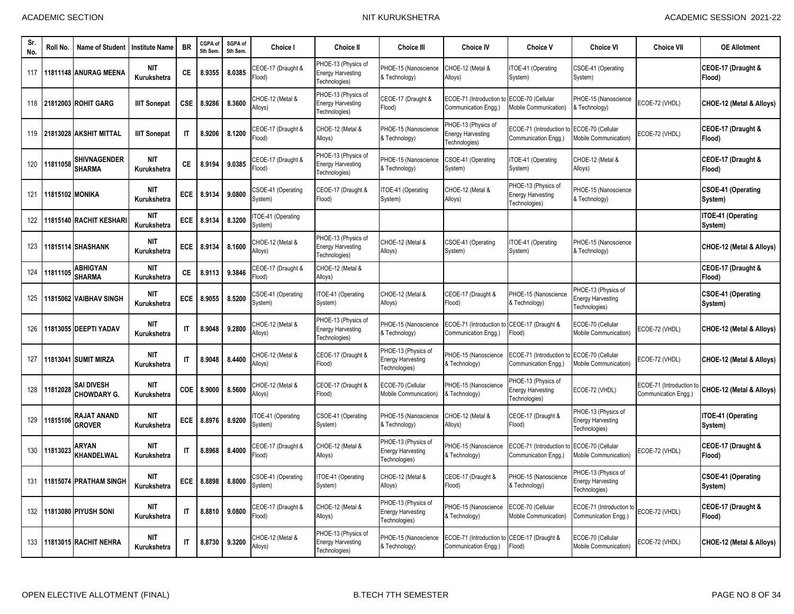| Sr.<br>No. | Roll No.        | Name of Student                         | <b>Institute Name</b>     | <b>BR</b>              | CGPA of<br>5th Sem | SGPA of<br>5th Sem. | <b>Choice I</b>                         | <b>Choice II</b>                                                 | <b>Choice III</b>                                                | <b>Choice IV</b>                                                    | <b>Choice V</b>                                                  | <b>Choice VI</b>                                                 | <b>Choice VII</b>                                | <b>OE Allotment</b>                  |
|------------|-----------------|-----------------------------------------|---------------------------|------------------------|--------------------|---------------------|-----------------------------------------|------------------------------------------------------------------|------------------------------------------------------------------|---------------------------------------------------------------------|------------------------------------------------------------------|------------------------------------------------------------------|--------------------------------------------------|--------------------------------------|
| 117        |                 | 11811148 ANURAG MEENA                   | <b>NIT</b><br>Kurukshetra | CE.                    | 8.9355             | 8.0385              | CEOE-17 (Draught &<br>Flood)            | PHOE-13 (Physics of<br><b>Energy Harvesting</b><br>Technologies) | <b>HOE-15 (Nanoscience</b><br>& Technology)                      | CHOE-12 (Metal &<br>Alloys)                                         | ITOE-41 (Operating<br>System)                                    | CSOE-41 (Operating<br>System)                                    |                                                  | CEOE-17 (Draught &<br>Flood)         |
| 118        |                 | <b>21812003 ROHIT GARG</b>              | <b>IIIT Sonepat</b>       | <b>CSE</b>             | 8.9286             | 8.3600              | CHOE-12 (Metal &<br>Alloys)             | PHOE-13 (Physics of<br><b>Energy Harvesting</b><br>Technologies) | CEOE-17 (Draught &<br>Flood)                                     | ECOE-71 (Introduction<br>Communication Engg.)                       | ECOE-70 (Cellular<br>Mobile Communication)                       | PHOE-15 (Nanoscience<br>& Technology)                            | ECOE-72 (VHDL)                                   | CHOE-12 (Metal & Alloys)             |
| 119        |                 | 21813028 AKSHIT MITTAL                  | <b>IIIT Sonepat</b>       | $\mathsf{I}$           | 8.9206             | 8.1200              | CEOE-17 (Draught &<br>Flood)            | CHOE-12 (Metal &<br>Alloys)                                      | <b>HOE-15 (Nanoscience</b><br>& Technology)                      | PHOE-13 (Physics of<br>Energy Harvesting<br>Technologies)           | ECOE-71 (Introduction t<br>Communication Engg.)                  | ECOE-70 (Cellular<br><b>Mobile Communication)</b>                | ECOE-72 (VHDL)                                   | CEOE-17 (Draught &<br>Flood)         |
| 120        | 11811058        | SHIVNAGENDER<br><b>SHARMA</b>           | <b>NIT</b><br>Kurukshetra | СE                     | 8.9194             | 9.0385              | EOE-17 (Draught &<br>(bool <sup>-</sup> | PHOE-13 (Physics of<br><b>Energy Harvesting</b><br>Technologies) | PHOE-15 (Nanoscience<br>& Technology)                            | CSOE-41 (Operating<br>System)                                       | TOE-41 (Operating<br>System)                                     | CHOE-12 (Metal &<br>Alloys)                                      |                                                  | CEOE-17 (Draught &<br>Flood)         |
| 121        | 11815102 MONIKA |                                         | <b>NIT</b><br>Kurukshetra | <b>ECE</b>             | 8.9134             | 9.0800              | CSOE-41 (Operating<br>System)           | CEOE-17 (Draught &<br>Flood)                                     | TOE-41 (Operating<br>System)                                     | CHOE-12 (Metal &<br>Alloys)                                         | PHOE-13 (Physics of<br><b>Energy Harvesting</b><br>Technologies) | PHOE-15 (Nanoscience<br>& Technology)                            |                                                  | <b>CSOE-41 (Operating</b><br>System) |
| 122        |                 | 11815140 RACHIT KESHARI                 | <b>NIT</b><br>Kurukshetra | <b>ECE</b>             | 8.9134             | 8.3200              | TOE-41 (Operating<br>System)            |                                                                  |                                                                  |                                                                     |                                                                  |                                                                  |                                                  | <b>ITOE-41 (Operating</b><br>System) |
| 123        |                 | 11815114 SHASHANK                       | <b>NIT</b><br>Kurukshetra | <b>ECE</b>             | 8.9134             | 8.1600              | CHOE-12 (Metal &<br>Alloys)             | PHOE-13 (Physics of<br><b>Energy Harvesting</b><br>Technologies) | CHOE-12 (Metal &<br>Alloys)                                      | CSOE-41 (Operating<br>System)                                       | TOE-41 (Operating<br>System)                                     | PHOE-15 (Nanoscience<br>& Technology)                            |                                                  | CHOE-12 (Metal & Alloys)             |
| 124        | 11811105        | ABHIGYAN<br><b>SHARMA</b>               | <b>NIT</b><br>Kurukshetra | СE                     | 8.9113             | 9.3846              | CEOE-17 (Draught &<br>Flood)            | CHOE-12 (Metal &<br>Alloys)                                      |                                                                  |                                                                     |                                                                  |                                                                  |                                                  | CEOE-17 (Draught &<br>Flood)         |
| 125        |                 | 11815062 VAIBHAV SINGH                  | <b>NIT</b><br>Kurukshetra | ECE                    | 8.9055             | 8.5200              | CSOE-41 (Operating<br>System)           | ITOE-41 (Operating<br>System)                                    | CHOE-12 (Metal &<br>Alloys)                                      | CEOE-17 (Draught &<br>Flood)                                        | PHOE-15 (Nanoscience<br>& Technology)                            | HOE-13 (Physics of<br><b>Energy Harvesting</b><br>Technologies)  |                                                  | <b>CSOE-41 (Operating</b><br>System) |
| 126        |                 | 11813055 DEEPTI YADAV                   | <b>NIT</b><br>Kurukshetra | $\mathsf{I}\mathsf{T}$ | 8.9048             | 9.2800              | CHOE-12 (Metal &<br>Alloys)             | PHOE-13 (Physics of<br><b>Energy Harvesting</b><br>Technologies) | PHOE-15 (Nanoscience<br>& Technology)                            | ECOE-71 (Introduction to CEOE-17 (Draught &<br>Communication Engg.) | Flood)                                                           | ECOE-70 (Cellular<br>Mobile Communication)                       | ECOE-72 (VHDL)                                   | CHOE-12 (Metal & Alloys)             |
| 127        |                 | 11813041 SUMIT MIRZA                    | <b>NIT</b><br>Kurukshetra | $\mathsf{I}\mathsf{T}$ | 8.9048             | 8.4400              | CHOE-12 (Metal &<br>Alloys)             | CEOE-17 (Draught &<br>Flood)                                     | PHOE-13 (Physics of<br><b>Energy Harvesting</b><br>Technologies) | PHOE-15 (Nanoscience<br>& Technology)                               | ECOE-71 (Introduction t<br>Communication Engg.)                  | ECOE-70 (Cellular<br>Mobile Communication)                       | ECOE-72 (VHDL)                                   | <b>CHOE-12 (Metal &amp; Alloys)</b>  |
| 128        | 11812028        | <b>SAI DIVESH</b><br><b>CHOWDARY G.</b> | <b>NIT</b><br>Kurukshetra | COE                    | 8.9000             | 8.5600              | CHOE-12 (Metal &<br>Alloys)             | CEOE-17 (Draught &<br>Flood)                                     | ECOE-70 (Cellular<br><b>Mobile Communication)</b>                | PHOE-15 (Nanoscience<br>& Technology)                               | HOE-13 (Physics of<br>nergy Harvesting<br>Fechnologies)          | ECOE-72 (VHDL)                                                   | ECOE-71 (Introduction to<br>Communication Engg.) | CHOE-12 (Metal & Alloys)             |
| 129        | 11815106        | RAJAT ANAND<br><b>GROVER</b>            | NIT<br>Kurukshetra        | <b>ECE</b>             | 8.8976             | 8.9200              | TOE-41 (Operating<br>System)            | CSOE-41 (Operating<br>System)                                    | <b>HOE-15 (Nanoscience</b><br>& Technology)                      | CHOE-12 (Metal &<br>Alloys)                                         | CEOE-17 (Draught &<br>Flood)                                     | PHOE-13 (Physics of<br><b>Energy Harvesting</b><br>Technologies) |                                                  | ITOE-41 (Operating<br>System)        |
| 130        | 11813023        | ARYAN<br>KHANDELWAL                     | <b>NIT</b><br>Kurukshetra | $\mathsf{I}$           | 8.8968             | 8.4000              | CEOE-17 (Draught &<br>Flood)            | CHOE-12 (Metal &<br>Alloys)                                      | PHOE-13 (Physics of<br><b>Energy Harvesting</b><br>Technologies) | PHOE-15 (Nanoscience<br>& Technology)                               | ECOE-71 (Introduction to<br>Communication Engg.)                 | ECOE-70 (Cellular<br>Mobile Communication)                       | ECOE-72 (VHDL)                                   | CEOE-17 (Draught &<br>Flood)         |
| 131        |                 | 11815074 PRATHAM SINGH                  | <b>NIT</b><br>Kurukshetra | <b>ECE</b>             | 8.8898             | 8.8000              | CSOE-41 (Operating<br>System)           | ITOE-41 (Operating<br>System)                                    | CHOE-12 (Metal &<br>Alloys)                                      | CEOE-17 (Draught &<br>Flood)                                        | PHOE-15 (Nanoscience<br>& Technology)                            | HOE-13 (Physics of<br><b>Energy Harvesting</b><br>Technologies)  |                                                  | CSOE-41 (Operating<br>System)        |
| 132        |                 | <b>11813080 PIYUSH SONI</b>             | <b>NIT</b><br>Kurukshetra | $\mathsf{I}$           | 8.8810             | 9.0800              | CEOE-17 (Draught &<br>Flood)            | CHOE-12 (Metal &<br>Alloys)                                      | PHOE-13 (Physics of<br><b>Energy Harvesting</b><br>Technologies) | PHOE-15 (Nanoscience<br>& Technology)                               | ECOE-70 (Cellular<br>Mobile Communication)                       | ECOE-71 (Introduction t<br>Communication Engg.)                  | ECOE-72 (VHDL)                                   | CEOE-17 (Draught &<br>Flood)         |
| 133        |                 | 11813015 RACHIT NEHRA                   | <b>NIT</b><br>Kurukshetra | $\mathsf{I}$           | 8.8730             | 9.3200              | CHOE-12 (Metal &<br>Alloys)             | PHOE-13 (Physics of<br><b>Energy Harvesting</b><br>Technologies) | <b>HOE-15 (Nanoscience</b><br>& Technology)                      | ECOE-71 (Introduction to CEOE-17 (Draught &<br>Communication Engg.) | Flood)                                                           | ECOE-70 (Cellular<br>Mobile Communication)                       | ECOE-72 (VHDL)                                   | CHOE-12 (Metal & Alloys)             |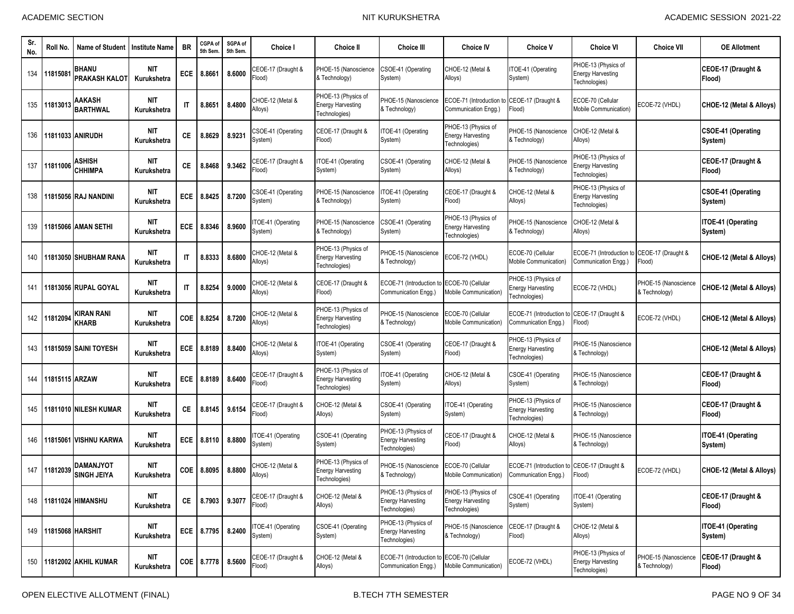| Sr.<br>No. | Roll No.          | Name of Student                        | <b>Institute Name</b>     | <b>BR</b>              | CGPA of<br>5th Sem | SGPA of<br>5th Sem. | <b>Choice I</b>                          | <b>Choice II</b>                                                 | <b>Choice III</b>                                                | <b>Choice IV</b>                                                 | <b>Choice V</b>                                                  | Choice VI                                                        | Choice VII                            | <b>OE Allotment</b>                  |
|------------|-------------------|----------------------------------------|---------------------------|------------------------|--------------------|---------------------|------------------------------------------|------------------------------------------------------------------|------------------------------------------------------------------|------------------------------------------------------------------|------------------------------------------------------------------|------------------------------------------------------------------|---------------------------------------|--------------------------------------|
| 134        | $1181508^{\circ}$ | <b>BHANU</b><br>PRAKASH KALOT          | <b>NIT</b><br>Kurukshetra | ECE                    | 8.8661             | 8.6000              | CEOE-17 (Draught &<br>Flood)             | PHOE-15 (Nanoscience<br>& Technology)                            | CSOE-41 (Operating<br>System)                                    | CHOE-12 (Metal &<br>Alloys)                                      | TOE-41 (Operating<br>System)                                     | PHOE-13 (Physics of<br><b>Energy Harvesting</b><br>Technologies) |                                       | CEOE-17 (Draught &<br>Flood)         |
| 135        | 11813013          | AAKASH<br><b>BARTHWAL</b>              | <b>NIT</b><br>Kurukshetra | $\mathsf{I}$           | 8.8651             | 8.4800              | CHOE-12 (Metal &<br>Alloys)              | PHOE-13 (Physics of<br><b>Energy Harvesting</b><br>Technologies) | PHOE-15 (Nanoscience<br>& Technology)                            | ECOE-71 (Introduction<br>Communication Engg.)                    | CEOE-17 (Draught &<br>Flood)                                     | ECOE-70 (Cellular<br>Mobile Communication)                       | ECOE-72 (VHDL)                        | CHOE-12 (Metal & Alloys)             |
| 136        |                   | 11811033 ANIRUDH                       | <b>NIT</b><br>Kurukshetra | СE                     | 8.8629             | 8.9231              | CSOE-41 (Operating<br>System)            | CEOE-17 (Draught &<br>Flood)                                     | TOE-41 (Operating<br>System)                                     | PHOE-13 (Physics of<br><b>Energy Harvesting</b><br>Technologies) | PHOE-15 (Nanoscience<br>& Technology)                            | CHOE-12 (Metal &<br>Alloys)                                      |                                       | CSOE-41 (Operating<br>System)        |
| 137        | 11811006          | ASHISH<br><b>CHHIMPA</b>               | <b>NIT</b><br>Kurukshetra | СE                     | 8.8468             | 9.3462              | CEOE-17 (Draught &<br>(bool <sup>:</sup> | ITOE-41 (Operating<br>System)                                    | CSOE-41 (Operating<br>System)                                    | CHOE-12 (Metal &<br>Alloys)                                      | PHOE-15 (Nanoscience<br>& Technology)                            | PHOE-13 (Physics of<br><b>Energy Harvesting</b><br>Technologies) |                                       | CEOE-17 (Draught &<br>Flood)         |
| 138        |                   | 11815056 RAJ NANDINI                   | <b>NIT</b><br>Kurukshetra | ECE                    | 8.8425             | 8.7200              | CSOE-41 (Operating<br>System)            | PHOE-15 (Nanoscience<br>& Technology)                            | ITOE-41 (Operating<br>System)                                    | CEOE-17 (Draught &<br>Flood)                                     | CHOE-12 (Metal &<br>Alloys)                                      | PHOE-13 (Physics of<br>Energy Harvesting<br>Fechnologies)        |                                       | <b>CSOE-41 (Operating</b><br>System) |
| 139        |                   | 11815066 AMAN SETHI                    | <b>NIT</b><br>Kurukshetra | ECE                    | 8.8346             | 8.9600              | TOE-41 (Operating<br>System)             | PHOE-15 (Nanoscience<br>& Technology)                            | CSOE-41 (Operating<br>System)                                    | PHOE-13 (Physics of<br><b>Energy Harvesting</b><br>Technologies) | PHOE-15 (Nanoscience<br>& Technology)                            | CHOE-12 (Metal &<br>Alloys)                                      |                                       | ITOE-41 (Operating<br>System)        |
| 140        |                   | 11813050 SHUBHAM RANA                  | <b>NIT</b><br>Kurukshetra | $\mathsf{I}\mathsf{T}$ | 8.8333             | 8.6800              | CHOE-12 (Metal &<br>Alloys)              | PHOE-13 (Physics of<br><b>Energy Harvesting</b><br>Technologies) | PHOE-15 (Nanoscience<br>& Technology)                            | ECOE-72 (VHDL)                                                   | ECOE-70 (Cellular<br>Mobile Communication)                       | ECOE-71 (Introduction to<br>Communication Engg.)                 | CEOE-17 (Draught &<br>Flood)          | CHOE-12 (Metal & Alloys)             |
| 141        |                   | 11813056 RUPAL GOYAL                   | <b>NIT</b><br>Kurukshetra | $\mathsf{I}$           | 8.8254             | 9.0000              | CHOE-12 (Metal &<br>Alloys)              | CEOE-17 (Draught &<br>Flood)                                     | ECOE-71 (Introduction t<br>Communication Engg.)                  | ECOE-70 (Cellular<br>Mobile Communication)                       | PHOE-13 (Physics of<br><b>Energy Harvesting</b><br>Technologies) | ECOE-72 (VHDL)                                                   | PHOE-15 (Nanoscience<br>& Technology) | CHOE-12 (Metal & Alloys)             |
| 142        | 11812094          | KIRAN RANI<br><b>KHARB</b>             | NIT<br>Kurukshetra        | COE                    | 8.8254             | 8.7200              | CHOE-12 (Metal &<br>Alloys)              | PHOE-13 (Physics of<br><b>Energy Harvesting</b><br>Technologies) | PHOE-15 (Nanoscience<br>& Technology)                            | ECOE-70 (Cellular<br>Mobile Communication)                       | ECOE-71 (Introduction t<br>Communication Engg.)                  | CEOE-17 (Draught &<br>Flood)                                     | ECOE-72 (VHDL)                        | CHOE-12 (Metal & Alloys)             |
| 143        |                   | 11815059 SAINI TOYESH                  | <b>NIT</b><br>Kurukshetra | ECE                    | 8.8189             | 8.8400              | CHOE-12 (Metal &<br>Alloys)              | ITOE-41 (Operating<br>System)                                    | CSOE-41 (Operating<br>System)                                    | CEOE-17 (Draught &<br>Flood)                                     | PHOE-13 (Physics of<br><b>Energy Harvesting</b><br>Technologies) | PHOE-15 (Nanoscience<br>& Technology)                            |                                       | CHOE-12 (Metal & Alloys)             |
| 144        | 11815115 ARZAW    |                                        | <b>NIT</b><br>Kurukshetra | ECE                    | 8.8189             | 8.6400              | CEOE-17 (Draught &<br>Flood)             | PHOE-13 (Physics of<br><b>Energy Harvesting</b><br>Technologies) | TOE-41 (Operating<br>System)                                     | CHOE-12 (Metal &<br>Alloys)                                      | CSOE-41 (Operating<br>System)                                    | PHOE-15 (Nanoscience<br>& Technology)                            |                                       | CEOE-17 (Draught &<br>Flood)         |
| 145        |                   | 11811010 NILESH KUMAR                  | <b>NIT</b><br>Kurukshetra | СE                     | 8.8145             | 9.6154              | CEOE-17 (Draught &<br>Flood)             | CHOE-12 (Metal &<br>Alloys)                                      | CSOE-41 (Operating<br>System)                                    | TOE-41 (Operating<br>System)                                     | PHOE-13 (Physics of<br><b>Energy Harvesting</b><br>Technologies) | PHOE-15 (Nanoscience<br>& Technology)                            |                                       | CEOE-17 (Draught &<br>Flood)         |
| 146        | 11815061          | <b>VISHNU KARWA</b>                    | <b>NIT</b><br>Kurukshetra | <b>ECE</b>             | 8.8110             | 8.8800              | TOE-41 (Operating<br>System)             | CSOE-41 (Operating<br>System)                                    | PHOE-13 (Physics of<br><b>Energy Harvesting</b><br>Fechnologies) | CEOE-17 (Draught &<br>Flood)                                     | CHOE-12 (Metal &<br>Alloys)                                      | PHOE-15 (Nanoscience<br>& Technology)                            |                                       | ITOE-41 (Operating<br>System)        |
| 147        | 11812039          | <b>DAMANJYOT</b><br><b>SINGH JEIYA</b> | <b>NIT</b><br>Kurukshetra | COE                    | 8.8095             | 8.8800              | CHOE-12 (Metal &<br>Alloys)              | PHOE-13 (Physics of<br><b>Energy Harvesting</b><br>Technologies) | PHOE-15 (Nanoscience<br>& Technology)                            | ECOE-70 (Cellular<br>Mobile Communication)                       | ECOE-71 (Introduction to<br>Communication Engg.)                 | CEOE-17 (Draught &<br>Flood)                                     | ECOE-72 (VHDL)                        | CHOE-12 (Metal & Alloys)             |
| 148        |                   | 11811024 HIMANSHU                      | <b>NIT</b><br>Kurukshetra | СE                     | 8.7903             | 9.3077              | CEOE-17 (Draught &<br>Flood)             | CHOE-12 (Metal &<br>Alloys)                                      | PHOE-13 (Physics of<br><b>Energy Harvesting</b><br>Technologies) | PHOE-13 (Physics of<br><b>Energy Harvesting</b><br>Technologies) | CSOE-41 (Operating<br>System)                                    | ITOE-41 (Operating<br>System)                                    |                                       | CEOE-17 (Draught &<br>Flood)         |
| 149        |                   | 11815068 HARSHIT                       | NIT<br>Kurukshetra        |                        | ECE 8.7795         | 8.2400              | TOE-41 (Operating<br>System)             | CSOE-41 (Operating<br>System)                                    | PHOE-13 (Physics of<br><b>Energy Harvesting</b><br>Technologies) | PHOE-15 (Nanoscience<br>& Technology)                            | CEOE-17 (Draught &<br>Flood)                                     | CHOE-12 (Metal &<br>Alloys)                                      |                                       | <b>ITOE-41 (Operating</b><br>System) |
| 150        |                   | 11812002 AKHIL KUMAR                   | NIT<br>Kurukshetra        |                        | COE 8.7778         | 8.5600              | CEOE-17 (Draught &<br>Flood)             | CHOE-12 (Metal &<br>Alloys)                                      | ECOE-71 (Introduction to<br>Communication Engg.)                 | ECOE-70 (Cellular<br>Mobile Communication)                       | ECOE-72 (VHDL)                                                   | PHOE-13 (Physics of<br><b>Energy Harvesting</b><br>Fechnologies) | PHOE-15 (Nanoscience<br>& Technology) | CEOE-17 (Draught &<br>Flood)         |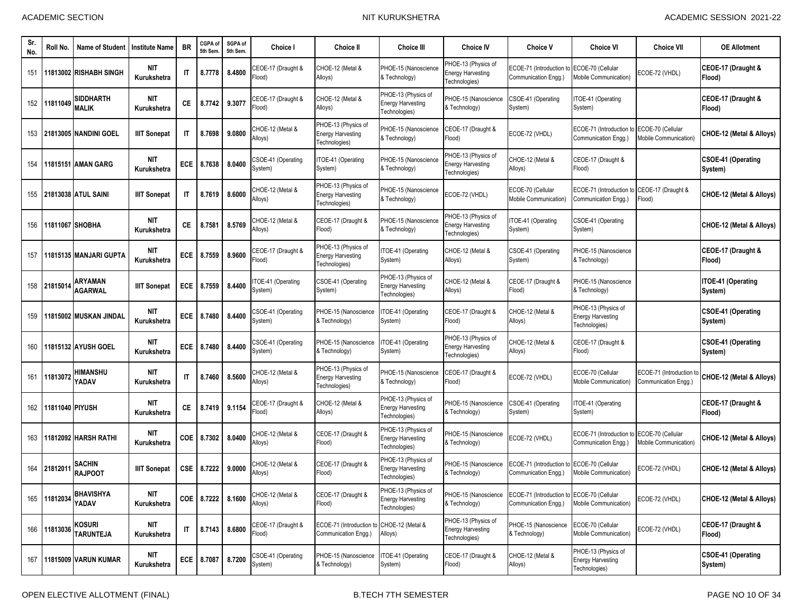| Sr.<br>No. | Roll No.        | <b>Name of Student</b>           | <b>Institute Name</b>     | <b>BR</b>              | CGPA of<br>5th Sem | SGPA of<br>5th Sem. | <b>Choice I</b>               | <b>Choice II</b>                                                 | <b>Choice III</b>                                                | <b>Choice IV</b>                                                 | <b>Choice V</b>                                  | <b>Choice VI</b>                                                 | <b>Choice VII</b>                                | <b>OE Allotment</b>                  |
|------------|-----------------|----------------------------------|---------------------------|------------------------|--------------------|---------------------|-------------------------------|------------------------------------------------------------------|------------------------------------------------------------------|------------------------------------------------------------------|--------------------------------------------------|------------------------------------------------------------------|--------------------------------------------------|--------------------------------------|
| 151        |                 | 11813002 RISHABH SINGH           | <b>NIT</b><br>Kurukshetra | $\mathsf{I}$           | 8.7778             | 8.4800              | CEOE-17 (Draught &<br>Flood)  | CHOE-12 (Metal &<br>Alloys)                                      | PHOE-15 (Nanoscience<br>& Technology)                            | PHOE-13 (Physics of<br><b>Energy Harvesting</b><br>Technologies) | ECOE-71 (Introduction to<br>Communication Engg.) | ECOE-70 (Cellular<br>Mobile Communication)                       | ECOE-72 (VHDL)                                   | CEOE-17 (Draught &<br>Flood)         |
| 152        | 11811049        | <b>SIDDHARTH</b><br><b>MALIK</b> | <b>NIT</b><br>Kurukshetra | СE                     | 8.7742             | 9.3077              | CEOE-17 (Draught &<br>Flood)  | CHOE-12 (Metal &<br>Alloys)                                      | PHOE-13 (Physics of<br><b>Energy Harvesting</b><br>Fechnologies) | PHOE-15 (Nanoscience<br>& Technology)                            | CSOE-41 (Operating<br>System)                    | TOE-41 (Operating<br>System)                                     |                                                  | CEOE-17 (Draught &<br>Flood)         |
| 153        |                 | 21813005 NANDINI GOEL            | <b>IIIT Sonepat</b>       | IT                     | 8.7698             | 9.0800              | CHOE-12 (Metal &<br>Alloys)   | PHOE-13 (Physics of<br><b>Energy Harvesting</b><br>Technologies) | PHOE-15 (Nanoscience<br>& Technology)                            | CEOE-17 (Draught &<br>Flood)                                     | ECOE-72 (VHDL)                                   | ECOE-71 (Introduction t<br>Communication Engg.)                  | ECOE-70 (Cellular<br><b>Mobile Communication</b> | CHOE-12 (Metal & Alloys)             |
| 154        |                 | 1815151 AMAN GARG                | <b>NIT</b><br>Kurukshetra | <b>ECE</b>             | 8.7638             | 8.0400              | CSOE-41 (Operating<br>System) | ITOE-41 (Operating<br>System)                                    | PHOE-15 (Nanoscience<br>& Technology)                            | PHOE-13 (Physics of<br><b>Energy Harvesting</b><br>Technologies) | CHOE-12 (Metal &<br>Alloys)                      | CEOE-17 (Draught &<br>Flood)                                     |                                                  | <b>CSOE-41 (Operating</b><br>System) |
| 155        |                 | 21813038 ATUL SAINI              | <b>IIIT Sonepat</b>       | $\mathsf{I}$           | 8.7619             | 8.6000              | CHOE-12 (Metal &<br>Alloys)   | PHOE-13 (Physics of<br><b>Energy Harvesting</b><br>Technologies) | PHOE-15 (Nanoscience<br>& Technology)                            | ECOE-72 (VHDL)                                                   | ECOE-70 (Cellular<br>Mobile Communication)       | ECOE-71 (Introduction t<br>Communication Engg.)                  | CEOE-17 (Draught &<br>Flood)                     | CHOE-12 (Metal & Alloys)             |
| 156        |                 | 11811067 SHOBHA                  | <b>NIT</b><br>Kurukshetra | СE                     | 8.7581             | 8.5769              | CHOE-12 (Metal &<br>Alloys)   | CEOE-17 (Draught &<br>Flood)                                     | PHOE-15 (Nanoscience<br>& Technology)                            | PHOE-13 (Physics of<br><b>Energy Harvesting</b><br>Technologies) | TOE-41 (Operating<br>System)                     | <b>CSOE-41 (Operating</b><br>System)                             |                                                  | CHOE-12 (Metal & Alloys)             |
| 157        |                 | 11815135 MANJARI GUPTA           | <b>NIT</b><br>Kurukshetra | <b>ECE</b>             | 8.7559             | 8.9600              | CEOE-17 (Draught &<br>ilood)  | PHOE-13 (Physics of<br><b>Energy Harvesting</b><br>Technologies) | TOE-41 (Operating<br>System)                                     | CHOE-12 (Metal &<br>Alloys)                                      | CSOE-41 (Operating<br>System)                    | PHOE-15 (Nanoscience<br>& Technology)                            |                                                  | CEOE-17 (Draught &<br>Flood)         |
| 158        | 21815014        | ARYAMAN<br><b>AGARWAL</b>        | <b>IIIT Sonepat</b>       | ECE                    | 8.7559             | 8.4400              | TOE-41 (Operating<br>System)  | CSOE-41 (Operating<br>System)                                    | PHOE-13 (Physics of<br><b>Energy Harvesting</b><br>Technologies) | CHOE-12 (Metal &<br>Alloys)                                      | CEOE-17 (Draught &<br>Flood)                     | PHOE-15 (Nanoscience<br>& Technology)                            |                                                  | <b>ITOE-41 (Operating</b><br>System) |
| 159        |                 | 11815002 MUSKAN JINDAI           | <b>NIT</b><br>Kurukshetra | ECE                    | 8.7480             | 8.4400              | CSOE-41 (Operating<br>System) | PHOE-15 (Nanoscience<br>& Technology)                            | TOE-41 (Operating<br>System)                                     | CEOE-17 (Draught &<br>Flood)                                     | CHOE-12 (Metal &<br>Alloys)                      | PHOE-13 (Physics of<br><b>Energy Harvesting</b><br>Technologies) |                                                  | <b>CSOE-41 (Operating</b><br>System) |
| 160        |                 | 11815132 AYUSH GOEL              | <b>NIT</b><br>Kurukshetra | ECE                    | 8.7480             | 8.4400              | CSOE-41 (Operating<br>System) | PHOE-15 (Nanoscience<br>& Technology)                            | TOE-41 (Operating<br>System)                                     | PHOE-13 (Physics of<br><b>Energy Harvesting</b><br>Technologies) | CHOE-12 (Metal &<br>Alloys)                      | CEOE-17 (Draught &<br>Flood)                                     |                                                  | <b>CSOE-41 (Operating</b><br>System) |
| 161        | 11813072        | <b>HIMANSHU</b><br>YADAV         | NIT<br>Kurukshetra        | $\mathsf{I}$           | 8.7460             | 8.5600              | CHOE-12 (Metal &<br>Alloys)   | PHOE-13 (Physics of<br><b>Energy Harvesting</b><br>Technologies) | PHOE-15 (Nanoscience<br>& Technology)                            | CEOE-17 (Draught &<br>Flood)                                     | ECOE-72 (VHDL)                                   | ECOE-70 (Cellular<br>Mobile Communication)                       | ECOE-71 (Introduction<br>Communication Engg.)    | CHOE-12 (Metal & Alloys)             |
| 162        | 11811040 PIYUSH |                                  | <b>NIT</b><br>Kurukshetra | СE                     | 8.7419             | 9.1154              | CEOE-17 (Draught &<br>Flood)  | CHOE-12 (Metal &<br>Alloys)                                      | PHOE-13 (Physics of<br><b>Energy Harvesting</b><br>Technologies) | PHOE-15 (Nanoscience<br>& Technology)                            | CSOE-41 (Operating<br>System)                    | TOE-41 (Operating<br>System)                                     |                                                  | CEOE-17 (Draught &<br>Flood)         |
| 163        |                 | 1812092 HARSH RATHI              | <b>NIT</b><br>Kurukshetra | <b>COE</b>             | 8.7302             | 8.0400              | CHOE-12 (Metal &<br>Alloys)   | CEOE-17 (Draught &<br>Flood)                                     | PHOE-13 (Physics of<br><b>Energy Harvesting</b><br>Technologies) | PHOE-15 (Nanoscience<br>& Technology)                            | ECOE-72 (VHDL)                                   | ECOE-71 (Introduction t<br>Communication Engg.)                  | ECOE-70 (Cellular<br>Mobile Communication)       | CHOE-12 (Metal & Alloys)             |
| 164        | 2181201         | <b>SACHIN</b><br><b>RAJPOOT</b>  | <b>IIIT Sonepat</b>       | <b>CSE</b>             | 8.7222             | 9.0000              | CHOE-12 (Metal &<br>Alloys)   | CEOE-17 (Draught &<br>Flood)                                     | PHOE-13 (Physics of<br><b>Energy Harvesting</b><br>Technologies) | PHOE-15 (Nanoscience<br>& Technology)                            | ECOE-71 (Introduction t<br>Communication Engg.)  | ECOE-70 (Cellular<br>Mobile Communication)                       | ECOE-72 (VHDL)                                   | CHOE-12 (Metal & Alloys)             |
| 165        | 11812034        | <b>BHAVISHYA</b><br>YADAV        | NIT<br>Kurukshetra        |                        | COE 8.7222 8.1600  |                     | CHOE-12 (Metal &<br>Alloys)   | CEOE-17 (Draught &<br>Flood)                                     | PHOE-13 (Physics of<br><b>Energy Harvesting</b><br>Technologies) | PHOE-15 (Nanoscience<br>& Technology)                            | ECOE-71 (Introduction to<br>Communication Engg.) | ECOE-70 (Cellular<br>Mobile Communication)                       | ECOE-72 (VHDL)                                   | CHOE-12 (Metal & Alloys)             |
| 166        | 11813036        | kosuri<br><b>TARUNTEJA</b>       | <b>NIT</b><br>Kurukshetra | $\mathsf{I}\mathsf{T}$ | 8.7143             | 8.6800              | CEOE-17 (Draught &<br>Flood)  | ECOE-71 (Introduction to<br>Communication Engg.)                 | CHOE-12 (Metal &<br>Alloys)                                      | PHOE-13 (Physics of<br><b>Energy Harvesting</b><br>Technologies) | PHOE-15 (Nanoscience<br>& Technology)            | ECOE-70 (Cellular<br>Mobile Communication)                       | ECOE-72 (VHDL)                                   | CEOE-17 (Draught &<br>Flood)         |
| 167        |                 | <b>11815009 VARUN KUMAR</b>      | <b>NIT</b><br>Kurukshetra | ECE                    | 8.7087             | 8.7200              | CSOE-41 (Operating<br>System) | PHOE-15 (Nanoscience<br>& Technology)                            | ITOE-41 (Operating<br>System)                                    | CEOE-17 (Draught &<br>Flood)                                     | CHOE-12 (Metal &<br>Alloys)                      | PHOE-13 (Physics of<br><b>Energy Harvesting</b><br>Fechnologies) |                                                  | <b>CSOE-41 (Operating</b><br>System) |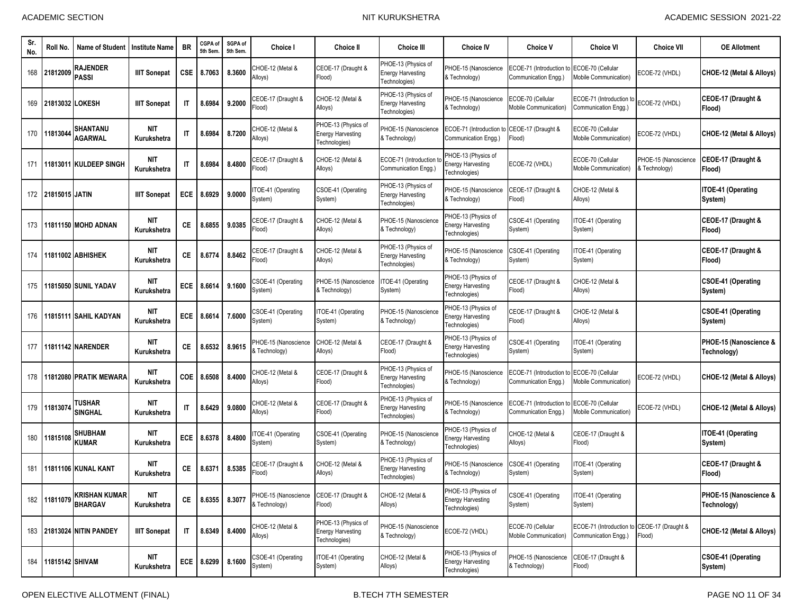| Sr.<br>No. | Roll No.            | <b>Name of Student</b>                 | <b>Institute Name</b>     | <b>BR</b>              | CGPA of<br>5th Sem | SGPA of<br>5th Sem. | <b>Choice I</b>                       | <b>Choice II</b>                                                 | <b>Choice III</b>                                                | <b>Choice IV</b>                                                 | <b>Choice V</b>                                  | <b>Choice VI</b>                                         | <b>Choice VII</b>                     | <b>OE Allotment</b>                   |
|------------|---------------------|----------------------------------------|---------------------------|------------------------|--------------------|---------------------|---------------------------------------|------------------------------------------------------------------|------------------------------------------------------------------|------------------------------------------------------------------|--------------------------------------------------|----------------------------------------------------------|---------------------------------------|---------------------------------------|
| 168        | 21812009            | RAJENDER<br><b>PASSI</b>               | <b>IIIT Sonepat</b>       | <b>CSE</b>             | 8.7063             | 8.3600              | CHOE-12 (Metal &<br>Alloys)           | CEOE-17 (Draught &<br>Flood)                                     | PHOE-13 (Physics of<br><b>Energy Harvesting</b><br>Fechnologies) | PHOE-15 (Nanoscience<br>& Technology)                            | ECOE-71 (Introduction to<br>Communication Engg.) | ECOE-70 (Cellular<br>Mobile Communication)               | ECOE-72 (VHDL)                        | CHOE-12 (Metal & Alloys)              |
| 169        |                     | 21813032 LOKESH                        | <b>IIIT Sonepat</b>       | $\mathsf{I}$           | 8.6984             | 9.2000              | CEOE-17 (Draught &<br>Flood)          | CHOE-12 (Metal &<br>Alloys)                                      | PHOE-13 (Physics of<br><b>Energy Harvesting</b><br>Technologies) | PHOE-15 (Nanoscience<br>& Technology)                            | ECOE-70 (Cellular<br>Mobile Communication)       | ECOE-71 (Introduction to<br>Communication Engg.)         | ECOE-72 (VHDL)                        | CEOE-17 (Draught &<br>Flood)          |
| 170        | 11813044            | SHANTANU<br>AGARWAL                    | <b>NIT</b><br>Kurukshetra | $\mathsf{I}$           | 8.6984             | 8.7200              | CHOE-12 (Metal &<br>Alloys)           | PHOE-13 (Physics of<br><b>Energy Harvesting</b><br>Technologies) | PHOE-15 (Nanoscience<br>& Technology)                            | ECOE-71 (Introduction<br>Communication Engg.)                    | CEOE-17 (Draught &<br>Flood)                     | ECOE-70 (Cellular<br>Mobile Communication)               | ECOE-72 (VHDL)                        | CHOE-12 (Metal & Alloys)              |
| 171        | 11813011            | <b>KULDEEP SINGH</b>                   | <b>NIT</b><br>Kurukshetra | $\mathsf{I}\mathsf{T}$ | 8.6984             | 8.4800              | CEOE-17 (Draught &<br>Flood)          | CHOE-12 (Metal &<br>Alloys)                                      | ECOE-71 (Introduction t<br>Communication Enga.)                  | PHOE-13 (Physics of<br><b>Energy Harvesting</b><br>Technologies) | ECOE-72 (VHDL)                                   | ECOE-70 (Cellular<br>Mobile Communication)               | PHOE-15 (Nanoscience<br>& Technology) | CEOE-17 (Draught &<br>Flood)          |
|            | 172 21815015 JATIN  |                                        | <b>IIIT Sonepat</b>       | <b>ECE</b>             | 8.6929             | 9.0000              | TOE-41 (Operating<br>System)          | CSOE-41 (Operating<br>System)                                    | PHOE-13 (Physics of<br><b>Energy Harvesting</b><br>Technologies) | PHOE-15 (Nanoscience<br>& Technology)                            | CEOE-17 (Draught &<br>Flood)                     | CHOE-12 (Metal &<br>Alloys)                              |                                       | ITOE-41 (Operating<br>System)         |
| 173        |                     | 11811150 MOHD ADNAN                    | NIT<br>Kurukshetra        | СE                     | 8.6855             | 9.0385              | CEOE-17 (Draught &<br>(lood           | CHOE-12 (Metal &<br>Alloys)                                      | PHOE-15 (Nanoscience<br>& Technology)                            | PHOE-13 (Physics of<br><b>Energy Harvesting</b><br>Technologies) | CSOE-41 (Operating<br>System)                    | TOE-41 (Operating<br>System)                             |                                       | CEOE-17 (Draught &<br>Flood)          |
| 174        |                     | <b>11811002 ABHISHEK</b>               | <b>NIT</b><br>Kurukshetra | СE                     | 8.6774             | 8.8462              | CEOE-17 (Draught &<br>Flood)          | CHOE-12 (Metal &<br>Alloys)                                      | PHOE-13 (Physics of<br><b>Energy Harvesting</b><br>Technologies) | PHOE-15 (Nanoscience<br>& Technology)                            | CSOE-41 (Operating<br>System)                    | TOE-41 (Operating<br>System)                             |                                       | CEOE-17 (Draught &<br>Flood)          |
| 175        |                     | 11815050 SUNIL YADAV                   | <b>NIT</b><br>Kurukshetra | ECE                    | 8.6614             | 9.1600              | CSOE-41 (Operating<br>System)         | PHOE-15 (Nanoscience<br>& Technology)                            | TOE-41 (Operating<br>System)                                     | PHOE-13 (Physics of<br><b>Energy Harvesting</b><br>Technologies) | CEOE-17 (Draught &<br>Flood)                     | CHOE-12 (Metal &<br>Alloys)                              |                                       | <b>CSOE-41 (Operating</b><br>System)  |
| 176        |                     | 11815111 SAHIL KADYAN                  | <b>NIT</b><br>Kurukshetra | ECE                    | 8.6614             | 7.6000              | CSOE-41 (Operating<br>System)         | ITOE-41 (Operating<br>System)                                    | PHOE-15 (Nanoscience<br>& Technology)                            | PHOE-13 (Physics of<br><b>Energy Harvesting</b><br>Technologies) | CEOE-17 (Draught &<br>Flood)                     | CHOE-12 (Metal &<br>Alloys)                              |                                       | <b>CSOE-41 (Operating</b><br>System)  |
| 177        |                     | <b>11811142 INARENDER</b>              | NIT<br>Kurukshetra        | СE                     | 8.6532             | 8.9615              | PHOE-15 (Nanoscience<br>& Technology) | CHOE-12 (Metal &<br>Alloys)                                      | CEOE-17 (Draught &<br>Flood)                                     | PHOE-13 (Physics of<br><b>Energy Harvesting</b><br>Technologies) | CSOE-41 (Operating<br>System)                    | TOE-41 (Operating<br>System)                             |                                       | PHOE-15 (Nanoscience &<br>Technology) |
| 178        |                     | 11812080 PRATIK MEWARA                 | <b>NIT</b><br>Kurukshetra | COE                    | 8.6508             | 8.4000              | CHOE-12 (Metal &<br>Alloys)           | CEOE-17 (Draught &<br>Flood)                                     | PHOE-13 (Physics of<br><b>Energy Harvesting</b><br>Technologies) | PHOE-15 (Nanoscience<br>& Technology)                            | ECOE-71 (Introduction to<br>Communication Engg.) | ECOE-70 (Cellular<br>Mobile Communication)               | ECOE-72 (VHDL)                        | CHOE-12 (Metal & Alloys)              |
| 179        | 1181307             | TUSHAR<br><b>SINGHAL</b>               | <b>NIT</b><br>Kurukshetra | $\mathsf{I}$           | 8.6429             | 9.0800              | CHOE-12 (Metal &<br>Alloys)           | CEOE-17 (Draught &<br>Flood)                                     | PHOE-13 (Physics of<br><b>Energy Harvesting</b><br>Technologies) | PHOE-15 (Nanoscience<br>& Technology)                            | ECOE-71 (Introduction to<br>Communication Engg.) | ECOE-70 (Cellular<br><b><i>Aobile Communication)</i></b> | ECOE-72 (VHDL)                        | CHOE-12 (Metal & Alloys)              |
| 180        | 11815108            | <b>SHUBHAM</b><br><b>KUMAR</b>         | <b>NIT</b><br>Kurukshetra | ECE                    | 8.6378             | 8.4800              | TOE-41 (Operating<br>System)          | CSOE-41 (Operating<br>System)                                    | PHOE-15 (Nanoscience<br>& Technology)                            | PHOE-13 (Physics of<br><b>Energy Harvesting</b><br>Technologies) | CHOE-12 (Metal &<br>Alloys)                      | CEOE-17 (Draught &<br>Flood)                             |                                       | <b>ITOE-41 (Operating</b><br>System)  |
| 181        |                     | 11811106 KUNAL KANT                    | <b>NIT</b><br>Kurukshetra | СE                     | 8.637              | 8.5385              | CEOE-17 (Draught &<br>Flood)          | CHOE-12 (Metal &<br>Alloys)                                      | PHOE-13 (Physics of<br><b>Energy Harvesting</b><br>Technologies) | PHOE-15 (Nanoscience<br>& Technology)                            | CSOE-41 (Operating<br>System)                    | TOE-41 (Operating<br>System)                             |                                       | CEOE-17 (Draught &<br><b>Flood</b> )  |
|            | 182 11811079        | <b>KRISHAN KUMAR</b><br><b>BHARGAV</b> | <b>NIT</b><br>Kurukshetra | СE                     | 8.6355             | 8.3077              | PHOE-15 (Nanoscience<br>& Technology) | CEOE-17 (Draught &<br>Flood)                                     | CHOE-12 (Metal &<br>Alloys)                                      | PHOE-13 (Physics of<br><b>Energy Harvesting</b><br>Technologies) | CSOE-41 (Operating<br>System)                    | ITOE-41 (Operating<br>System)                            |                                       | PHOE-15 (Nanoscience &<br>Technology) |
|            |                     | 183 21813024 NITIN PANDEY              | <b>IIIT Sonepat</b>       | IT                     | 8.6349             | 8.4000              | CHOE-12 (Metal &<br>Alloys)           | PHOE-13 (Physics of<br><b>Energy Harvesting</b><br>Technologies) | PHOE-15 (Nanoscience<br>& Technology)                            | ECOE-72 (VHDL)                                                   | ECOE-70 (Cellular<br>Mobile Communication)       | ECOE-71 (Introduction to<br>Communication Engq.)         | CEOE-17 (Draught &<br>Flood)          | CHOE-12 (Metal & Alloys)              |
|            | 184 11815142 SHIVAM |                                        | <b>NIT</b><br>Kurukshetra |                        | ECE 8.6299         | 8.1600              | CSOE-41 (Operating<br>System)         | ITOE-41 (Operating<br>System)                                    | CHOE-12 (Metal &<br>Alloys)                                      | PHOE-13 (Physics of<br><b>Energy Harvesting</b><br>Technologies) | PHOE-15 (Nanoscience<br>& Technology)            | CEOE-17 (Draught &<br>Flood)                             |                                       | <b>CSOE-41 (Operating</b><br>System)  |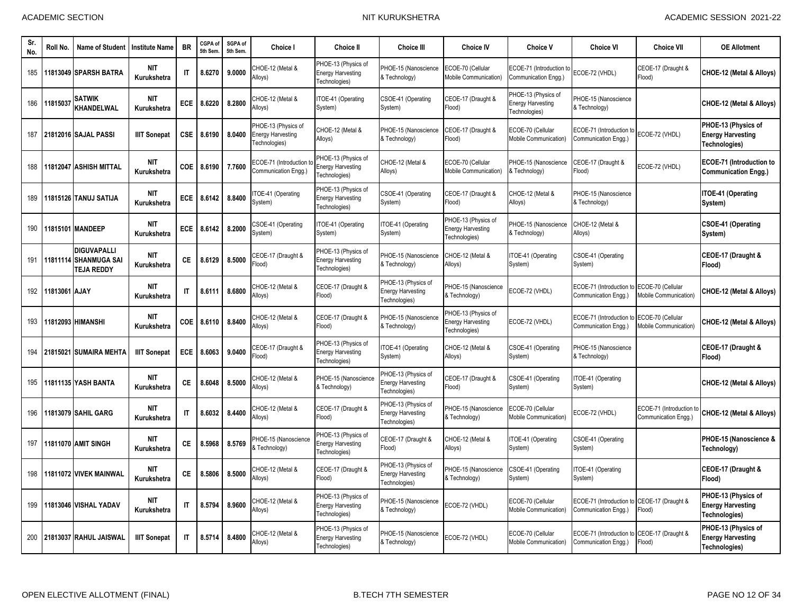| Sr.<br>No. | Roll No.      | Name of Student                                                  | <b>Institute Name</b>     | <b>BR</b>              | CGPA of<br>5th Sem | SGPA of<br>5th Sem | <b>Choice I</b>                                                  | <b>Choice II</b>                                                 | <b>Choice III</b>                                                            | <b>Choice IV</b>                                                 | <b>Choice V</b>                                                  | <b>Choice VI</b>                                 | <b>Choice VII</b>                                      | <b>OE Allotment</b>                                                     |
|------------|---------------|------------------------------------------------------------------|---------------------------|------------------------|--------------------|--------------------|------------------------------------------------------------------|------------------------------------------------------------------|------------------------------------------------------------------------------|------------------------------------------------------------------|------------------------------------------------------------------|--------------------------------------------------|--------------------------------------------------------|-------------------------------------------------------------------------|
| 185        |               | 11813049 SPARSH BATRA                                            | NIT<br>Kurukshetra        | $\mathsf{I}$           | 8.6270             | 9.0000             | CHOE-12 (Metal &<br>Alloys)                                      | PHOE-13 (Physics of<br><b>Energy Harvesting</b><br>Technologies) | PHOE-15 (Nanoscience<br>& Technology)                                        | ECOE-70 (Cellular<br>Mobile Communication <sup>1</sup>           | ECOE-71 (Introduction to<br>Communication Engg.)                 | ECOE-72 (VHDL)                                   | CEOE-17 (Draught &<br>Flood)                           | CHOE-12 (Metal & Alloys)                                                |
| 186        | 11815037      | SATWIK<br><b>KHANDELWAL</b>                                      | <b>NIT</b><br>Kurukshetra | ECE                    | 8.6220             | 8.2800             | CHOE-12 (Metal &<br>Alloys)                                      | TOE-41 (Operating<br>System)                                     | CSOE-41 (Operating<br>System)                                                | CEOE-17 (Draught &<br>Flood)                                     | PHOE-13 (Physics of<br><b>Energy Harvesting</b><br>Technologies) | PHOE-15 (Nanoscience<br>& Technology)            |                                                        | CHOE-12 (Metal & Alloys)                                                |
| 187        |               | 21812016 SAJAL PASSI                                             | <b>IIIT Sonepat</b>       | <b>CSE</b>             | 8.6190             | 8.0400             | PHOE-13 (Physics of<br><b>Energy Harvesting</b><br>Technologies) | CHOE-12 (Metal &<br>Alloys)                                      | PHOE-15 (Nanoscience<br>& Technology)                                        | CEOE-17 (Draught &<br>Flood)                                     | ECOE-70 (Cellular<br>Mobile Communication)                       | ECOE-71 (Introduction<br>Communication Engg.)    | ECOE-72 (VHDL)                                         | PHOE-13 (Physics of<br><b>Energy Harvesting</b><br><b>Technologies)</b> |
| 188        |               | 11812047 ASHISH MITTAL                                           | <b>NIT</b><br>Kurukshetra | COE                    | 8.6190             | 7.7600             | ECOE-71 (Introduction<br>Communication Engg.)                    | PHOE-13 (Physics of<br><b>Energy Harvesting</b><br>Technologies) | CHOE-12 (Metal &<br>Alloys)                                                  | ECOE-70 (Cellular<br>Mobile Communication)                       | PHOE-15 (Nanoscience<br><b>E</b> Technology)                     | CEOE-17 (Draught &<br>Flood)                     | ECOE-72 (VHDL)                                         | <b>ECOE-71 (Introduction to</b><br><b>Communication Engg.)</b>          |
| 189        |               | 11815126  TANUJ SATIJA                                           | <b>NIT</b><br>Kurukshetra | ECE                    | 8.6142             | 8.8400             | TOE-41 (Operating<br>System)                                     | PHOE-13 (Physics of<br><b>Energy Harvesting</b><br>Technologies) | CSOE-41 (Operating<br>System)                                                | CEOE-17 (Draught &<br>Flood)                                     | CHOE-12 (Metal &<br>Alloys)                                      | PHOE-15 (Nanoscience<br>& Technology)            |                                                        | ITOE-41 (Operating<br>System)                                           |
| 190        |               | 11815101 MANDEEP                                                 | <b>NIT</b><br>Kurukshetra | ECE                    | 8.6142             | 8.2000             | CSOE-41 (Operating<br>System)                                    | TOE-41 (Operating<br>System)                                     | TOE-41 (Operating<br>System)                                                 | PHOE-13 (Physics of<br><b>Energy Harvesting</b><br>Technologies) | <sup>2</sup> HOE-15 (Nanoscience<br>& Technology)                | CHOE-12 (Metal &<br>Alloys)                      |                                                        | <b>CSOE-41 (Operating</b><br>System)                                    |
| 191        |               | <b>DIGUVAPALLI</b><br>11811114 SHANMUGA SAI<br><b>TEJA REDDY</b> | <b>NIT</b><br>Kurukshetra | СE                     | 8.6129             | 8.5000             | CEOE-17 (Draught &<br>Flood)                                     | PHOE-13 (Physics of<br><b>Energy Harvesting</b><br>Technologies) | <b>PHOE-15 (Nanoscience</b><br>& Technology)                                 | CHOE-12 (Metal &<br>Alloys)                                      | TOE-41 (Operating<br>System)                                     | CSOE-41 (Operating<br>System)                    |                                                        | CEOE-17 (Draught &<br>Flood)                                            |
| 192        | 11813061 AJAY |                                                                  | <b>NIT</b><br>Kurukshetra | $\mathsf{I}$           | 8.6111             | 8.6800             | CHOE-12 (Metal &<br>Alloys)                                      | CEOE-17 (Draught &<br>Flood)                                     | <sup>2</sup> HOE-13 (Physics of<br><b>Energy Harvesting</b><br>Technologies) | PHOE-15 (Nanoscience<br>& Technology)                            | ECOE-72 (VHDL)                                                   | ECOE-71 (Introduction<br>Communication Engg.)    | ECOE-70 (Cellular<br>Mobile Communication)             | CHOE-12 (Metal & Alloys)                                                |
| 193        |               | 11812093 HIMANSHI                                                | <b>NIT</b><br>Kurukshetra | <b>COE</b>             | 8.6110             | 8.8400             | CHOE-12 (Metal &<br>Alloys)                                      | CEOE-17 (Draught &<br>Flood)                                     | <b>PHOE-15 (Nanoscience</b><br>& Technology)                                 | PHOE-13 (Physics of<br><b>Energy Harvesting</b><br>Technologies) | ECOE-72 (VHDL)                                                   | ECOE-71 (Introduction<br>Communication Engg.)    | ECOE-70 (Cellular<br>Mobile Communication <sup>'</sup> | CHOE-12 (Metal & Alloys)                                                |
| 194        |               | 21815021 ISUMAIRA MEHTA                                          | <b>IIIT Sonepat</b>       | <b>ECE</b>             | 8.6063             | 9.0400             | CEOE-17 (Draught &<br>Flood)                                     | PHOE-13 (Physics of<br><b>Energy Harvesting</b><br>Technologies) | TOE-41 (Operating<br>System)                                                 | CHOE-12 (Metal &<br>Alloys)                                      | CSOE-41 (Operating<br>System)                                    | PHOE-15 (Nanoscience<br>& Technology)            |                                                        | CEOE-17 (Draught &<br>Flood)                                            |
| 195        |               | <b>11811135 YASH BANTA</b>                                       | <b>NIT</b><br>Kurukshetra | CE.                    | 8.6048             | 8.5000             | CHOE-12 (Metal &<br>Alloys)                                      | PHOE-15 (Nanoscience<br>& Technology)                            | HOE-13 (Physics of<br><b>Energy Harvesting</b><br>Technologies)              | CEOE-17 (Draught &<br>Flood)                                     | CSOE-41 (Operating<br>System)                                    | ITOE-41 (Operating<br>System)                    |                                                        | CHOE-12 (Metal & Alloys)                                                |
| 196        |               | 11813079 SAHIL GARG                                              | <b>NIT</b><br>Kurukshetra | $\mathsf{I}$           | 8.6032             | 8.4400             | CHOE-12 (Metal &<br>Alloys)                                      | CEOE-17 (Draught &<br>Flood)                                     | PHOE-13 (Physics of<br><b>Energy Harvesting</b><br>Technologies)             | PHOE-15 (Nanoscience<br>& Technology)                            | ECOE-70 (Cellular<br>Mobile Communication)                       | ECOE-72 (VHDL)                                   | ECOE-71 (Introduction to<br>Communication Engg.)       | CHOE-12 (Metal & Alloys)                                                |
| 197        |               | <b>11811070 AMIT SINGH</b>                                       | <b>NIT</b><br>Kurukshetra | СE                     | 8.5968             | 8.5769             | PHOE-15 (Nanoscience<br>& Technology)                            | PHOE-13 (Physics of<br>nergy Harvesting<br>Fechnologies)         | CEOE-17 (Draught &<br>Flood)                                                 | CHOE-12 (Metal &<br>Alloys)                                      | TOE-41 (Operating<br>System)                                     | CSOE-41 (Operating<br>System)                    |                                                        | PHOE-15 (Nanoscience &<br>Technology)                                   |
| 198        |               | 11811072 VIVEK MAINWAL                                           | <b>NIT</b><br>Kurukshetra | CE.                    | 8.5806             | 8.5000             | CHOE-12 (Metal &<br>Alloys)                                      | CEOE-17 (Draught &<br>Flood)                                     | HOE-13 (Physics of<br><b>Energy Harvesting</b><br>Technologies)              | PHOE-15 (Nanoscience<br>& Technology)                            | CSOE-41 (Operating<br>System)                                    | ITOE-41 (Operating<br>System)                    |                                                        | CEOE-17 (Draught &<br>Flood)                                            |
| 199        |               | 11813046 VISHAL YADAV                                            | <b>NIT</b><br>Kurukshetra | $\mathsf{I}$           | 8.5794             | 8.9600             | CHOE-12 (Metal &<br>Alloys)                                      | PHOE-13 (Physics of<br><b>Energy Harvesting</b><br>Technologies) | <b>PHOE-15 (Nanoscience</b><br>& Technology)                                 | ECOE-72 (VHDL)                                                   | ECOE-70 (Cellular<br>Mobile Communication)                       | ECOE-71 (Introduction<br>Communication Engg.)    | CEOE-17 (Draught &<br>Flood)                           | PHOE-13 (Physics of<br><b>Energy Harvesting</b><br>Technologies)        |
| 200        |               | 21813037 RAHUL JAISWAL                                           | <b>IIIT Sonepat</b>       | $\mathsf{I}\mathsf{T}$ | 8.5714             | 8.4800             | CHOE-12 (Metal &<br>Alloys)                                      | PHOE-13 (Physics of<br><b>Energy Harvesting</b><br>Technologies) | PHOE-15 (Nanoscience<br>& Technology)                                        | ECOE-72 (VHDL)                                                   | ECOE-70 (Cellular<br>Mobile Communication)                       | ECOE-71 (Introduction to<br>Communication Engg.) | CEOE-17 (Draught &<br>Flood)                           | PHOE-13 (Physics of<br><b>Energy Harvesting</b><br>Technologies)        |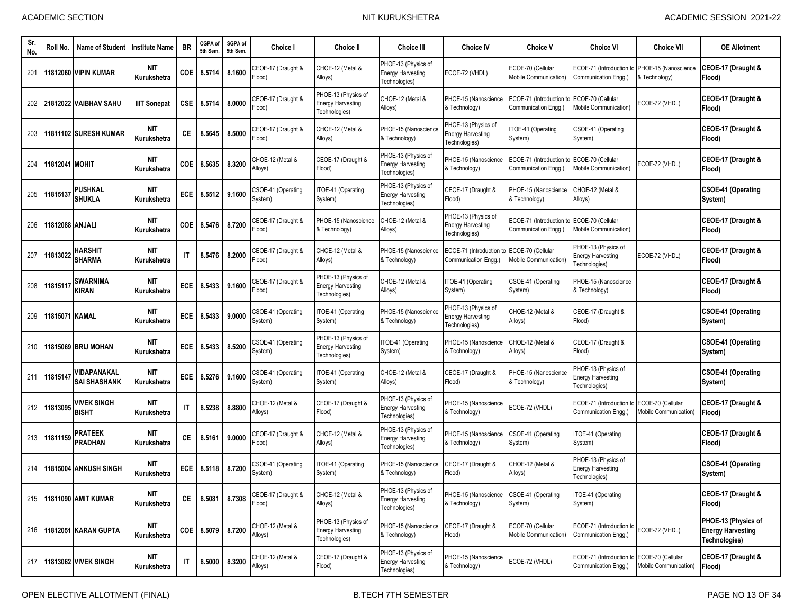| -Sr<br>No. | Roll No.                | <b>Name of Student</b>             | <b>Institute Name</b>     | <b>BR</b>              | CGPA of<br>5th Sem. | SGPA of<br>5th Sem. | Choice I                             | Choice II                                                        | <b>Choice III</b>                                                | <b>Choice IV</b>                                                 | <b>Choice V</b>                                   | Choice VI                                                        | Choice VII                                 | <b>OE Allotment</b>                                                     |
|------------|-------------------------|------------------------------------|---------------------------|------------------------|---------------------|---------------------|--------------------------------------|------------------------------------------------------------------|------------------------------------------------------------------|------------------------------------------------------------------|---------------------------------------------------|------------------------------------------------------------------|--------------------------------------------|-------------------------------------------------------------------------|
| 201        |                         | 11812060 VIPIN KUMAR               | <b>NIT</b><br>Kurukshetra | COE                    | 8.5714              | 8.1600              | CEOE-17 (Draught &<br>Flood)         | CHOE-12 (Metal &<br>Alloys)                                      | PHOE-13 (Physics of<br><b>Energy Harvesting</b><br>Technologies) | ECOE-72 (VHDL)                                                   | ECOE-70 (Cellular<br>Mobile Communication)        | ECOE-71 (Introduction to<br>Communication Engg.)                 | PHOE-15 (Nanoscience<br>& Technology)      | CEOE-17 (Draught &<br>Flood)                                            |
| 202        |                         | 21812022 VAIBHAV SAHU              | <b>IIIT Sonepat</b>       | <b>CSE</b>             | 8.5714              | 8.0000              | CEOE-17 (Draught &<br>Flood)         | PHOE-13 (Physics of<br><b>Energy Harvesting</b><br>Technologies) | CHOE-12 (Metal &<br>Alloys)                                      | PHOE-15 (Nanoscience<br>& Technology)                            | ECOE-71 (Introduction to<br>Communication Engg.)  | ECOE-70 (Cellular<br>Mobile Communication)                       | ECOE-72 (VHDL)                             | CEOE-17 (Draught &<br>Flood)                                            |
| 203        |                         | 11811102 SURESH KUMAR              | <b>NIT</b><br>Kurukshetra | СE                     | 8.5645              | 8.5000              | CEOE-17 (Draught &<br>Flood)         | CHOE-12 (Metal &<br>Alloys)                                      | PHOE-15 (Nanoscience<br>& Technology)                            | PHOE-13 (Physics of<br><b>Energy Harvesting</b><br>Technologies) | <b>TOE-41 (Operating</b><br>System)               | CSOE-41 (Operating<br>System)                                    |                                            | CEOE-17 (Draught &<br>Flood)                                            |
| 204        | 11812041 <b>I</b> MOHIT |                                    | <b>NIT</b><br>Kurukshetra | COE                    | 8.5635              | 8.3200              | CHOE-12 (Metal &<br>Alloys)          | CEOE-17 (Draught &<br>Flood)                                     | PHOE-13 (Physics of<br>Energy Harvesting<br>Technologies)        | PHOE-15 (Nanoscience<br>& Technology)                            | ECOE-71 (Introduction to<br>Communication Engg.)  | ECOE-70 (Cellular<br>Mobile Communication)                       | ECOE-72 (VHDL)                             | CEOE-17 (Draught &<br>Flood)                                            |
| 205        | 1181513                 | PUSHKAL<br>SHUKLA                  | <b>NIT</b><br>Kurukshetra | <b>ECE</b>             | 8.5512              | 9.1600              | <b>CSOE-41 (Operating</b><br>System) | ITOE-41 (Operating<br>System)                                    | PHOE-13 (Physics of<br><b>Energy Harvesting</b><br>Technologies) | CEOE-17 (Draught &<br>Flood)                                     | PHOE-15 (Nanoscience<br>& Technology)             | CHOE-12 (Metal &<br>Alloys)                                      |                                            | <b>CSOE-41 (Operating</b><br>System)                                    |
| 206        | 11812088   ANJALI       |                                    | <b>NIT</b><br>Kurukshetra | COE                    | 8.5476              | 8.7200              | CEOE-17 (Draught &<br>Flood)         | PHOE-15 (Nanoscience<br>& Technology)                            | CHOE-12 (Metal &<br>Alloys)                                      | PHOE-13 (Physics of<br><b>Energy Harvesting</b><br>Technologies) | ECOE-71 (Introduction t<br>Communication Engg.)   | ECOE-70 (Cellular<br>Mobile Communication)                       |                                            | CEOE-17 (Draught &<br>Flood)                                            |
| 207        | 11813022                | HARSHIT<br><b>SHARMA</b>           | <b>NIT</b><br>Kurukshetra | $\mathsf{I}$           | 8.5476              | 8.2000              | CEOE-17 (Draught &<br>Flood)         | CHOE-12 (Metal &<br>Alloys)                                      | PHOE-15 (Nanoscience<br>& Technology)                            | ECOE-71 (Introduction<br>Communication Engg.)                    | ECOE-70 (Cellular<br><b>Mobile Communication)</b> | PHOE-13 (Physics of<br>Energy Harvesting<br>Technologies)        | ECOE-72 (VHDL)                             | CEOE-17 (Draught &<br>Flood)                                            |
| 208        | 1181511                 | SWARNIMA<br>KIRAN                  | <b>NIT</b><br>Kurukshetra | ECE                    | 8.5433              | 9.1600              | CEOE-17 (Draught &<br>Flood)         | PHOE-13 (Physics of<br><b>Energy Harvesting</b><br>Technologies) | <b>CHOE-12 (Metal &amp;</b><br>Alloys)                           | TOE-41 (Operating<br>System)                                     | CSOE-41 (Operating<br>System)                     | PHOE-15 (Nanoscience<br>& Technology)                            |                                            | CEOE-17 (Draught &<br>Flood)                                            |
| 209        | 11815071 KAMAL          |                                    | <b>NIT</b><br>Kurukshetra | ECE                    | 8.5433              | 9.0000              | <b>CSOE-41 (Operating</b><br>System) | ITOE-41 (Operating<br>System)                                    | PHOE-15 (Nanoscience<br>& Technology)                            | PHOE-13 (Physics of<br><b>Energy Harvesting</b><br>Technologies) | CHOE-12 (Metal &<br>Alloys)                       | CEOE-17 (Draught &<br>Flood)                                     |                                            | <b>CSOE-41 (Operating</b><br>System)                                    |
| 210        |                         | 11815069 BRIJ MOHAN                | <b>NIT</b><br>Kurukshetra | <b>ECE</b>             | 8.5433              | 8.5200              | <b>CSOE-41 (Operating</b><br>System) | PHOE-13 (Physics of<br><b>Energy Harvesting</b><br>Technologies) | TOE-41 (Operating<br>System)                                     | PHOE-15 (Nanoscience<br>& Technology)                            | CHOE-12 (Metal &<br>Alloys)                       | CEOE-17 (Draught &<br>Flood)                                     |                                            | <b>CSOE-41 (Operating</b><br>System)                                    |
| 211        | 1181514                 | VIDAPANAKAL<br><b>SAI SHASHANK</b> | <b>NIT</b><br>Kurukshetra | ECE                    | 8.5276              | 9.1600              | CSOE-41 (Operating<br>System)        | ITOE-41 (Operating<br>System)                                    | CHOE-12 (Metal &<br>Alloys)                                      | CEOE-17 (Draught &<br>Flood)                                     | PHOE-15 (Nanoscience<br>& Technology)             | PHOE-13 (Physics of<br><b>Energy Harvesting</b><br>Technologies) |                                            | <b>CSOE-41 (Operating</b><br>System)                                    |
| 212        | 11813095                | <b>VIVEK SINGH</b><br>BISHT        | <b>NIT</b><br>Kurukshetra | $\mathsf{I}\mathsf{T}$ | 8.5238              | 8.8800              | CHOE-12 (Metal &<br>Alloys)          | CEOE-17 (Draught &<br>Flood)                                     | PHOE-13 (Physics of<br><b>Energy Harvesting</b><br>Technologies) | PHOE-15 (Nanoscience<br>& Technology)                            | ECOE-72 (VHDL)                                    | ECOE-71 (Introduction t<br>Communication Engg.)                  | ECOE-70 (Cellular<br>Mobile Communication) | CEOE-17 (Draught &<br>Flood)                                            |
| 213        | 11811159                | PRATEEK<br><b>PRADHAN</b>          | <b>NIT</b><br>Kurukshetra | СE                     | 8.5161              | 9.0000              | CEOE-17 (Draught &<br>Flood)         | CHOE-12 (Metal &<br>Alloys)                                      | PHOE-13 (Physics of<br><b>Energy Harvesting</b><br>Fechnologies) | PHOE-15 (Nanoscience<br>& Technology)                            | CSOE-41 (Operating<br>System)                     | TOE-41 (Operating<br>System)                                     |                                            | CEOE-17 (Draught &<br>Flood)                                            |
| 214        |                         | 11815004 ANKUSH SINGH              | <b>NIT</b><br>Kurukshetra | <b>ECE</b>             | 8.5118              | 8.7200              | <b>CSOE-41 (Operating</b><br>System) | ITOE-41 (Operating<br>System)                                    | PHOE-15 (Nanoscience<br>& Technology)                            | CEOE-17 (Draught &<br>Flood)                                     | CHOE-12 (Metal &<br>Alloys)                       | PHOE-13 (Physics of<br><b>Energy Harvesting</b><br>Technologies) |                                            | <b>CSOE-41 (Operating</b><br>System)                                    |
|            |                         | 215 11811090 AMIT KUMAR            | <b>NIT</b><br>Kurukshetra | CE                     | 8.5081              | 8.7308              | CEOE-17 (Draught &<br>Flood)         | CHOE-12 (Metal &<br>Alloys)                                      | PHOE-13 (Physics of<br><b>Energy Harvesting</b><br>Technologies) | PHOE-15 (Nanoscience<br>& Technology)                            | CSOE-41 (Operating<br>System)                     | ITOE-41 (Operating<br>System)                                    |                                            | CEOE-17 (Draught &<br>Flood)                                            |
|            |                         | 216   11812051 KARAN GUPTA         | NIT<br>Kurukshetra        |                        | COE 8.5079          | 8.7200              | CHOE-12 (Metal &<br>Alloys)          | PHOE-13 (Physics of<br><b>Energy Harvesting</b><br>Technologies) | PHOE-15 (Nanoscience<br>& Technology)                            | CEOE-17 (Draught &<br>Flood)                                     | ECOE-70 (Cellular<br>Mobile Communication)        | ECOE-71 (Introduction to<br>Communication Engg.)                 | ECOE-72 (VHDL)                             | PHOE-13 (Physics of<br><b>Energy Harvesting</b><br><b>Technologies)</b> |
| 217        |                         | <b>11813062 VIVEK SINGH</b>        | NIT<br>Kurukshetra        | IT                     | 8.5000              | 8.3200              | CHOE-12 (Metal &<br>Alloys)          | CEOE-17 (Draught &<br>Flood)                                     | PHOE-13 (Physics of<br><b>Energy Harvesting</b><br>Technologies) | PHOE-15 (Nanoscience<br>& Technology)                            | ECOE-72 (VHDL)                                    | ECOE-71 (Introduction t<br>Communication Engg.)                  | ECOE-70 (Cellular<br>Mobile Communication) | CEOE-17 (Draught &<br>Flood)                                            |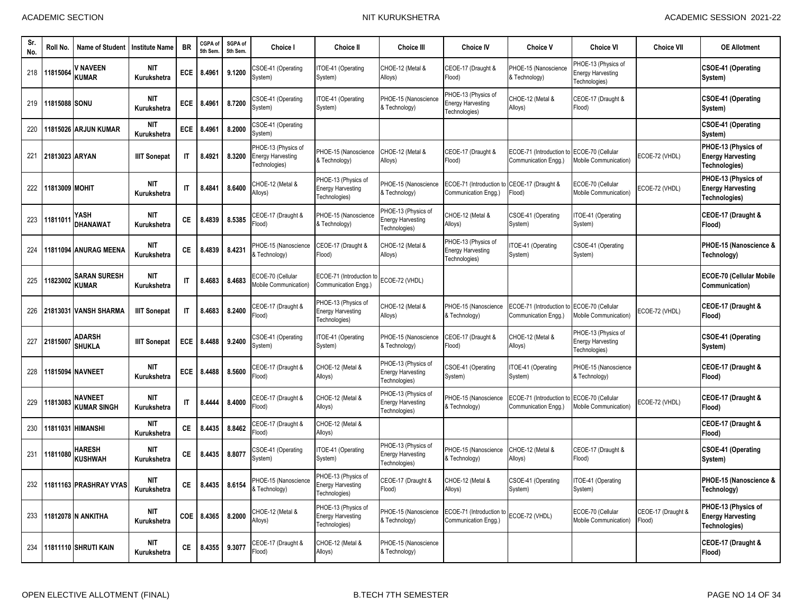| Sr.<br>No. | Roll No.       | <b>Name of Student</b>              | <b>Institute Name</b>     | <b>BR</b>              | CGPA of<br>5th Sem | SGPA of<br>5th Sem | Choice I                                                         | <b>Choice II</b>                                                 | <b>Choice III</b>                                                | <b>Choice IV</b>                                                 | <b>Choice V</b>                                  | <b>Choice VI</b>                                                 | <b>Choice VII</b>            | <b>OE Allotment</b>                                              |
|------------|----------------|-------------------------------------|---------------------------|------------------------|--------------------|--------------------|------------------------------------------------------------------|------------------------------------------------------------------|------------------------------------------------------------------|------------------------------------------------------------------|--------------------------------------------------|------------------------------------------------------------------|------------------------------|------------------------------------------------------------------|
| 218        | 11815064       | / NAVEEN<br><b>KUMAR</b>            | <b>NIT</b><br>Kurukshetra | <b>ECE</b>             | 8.4961             | 9.1200             | CSOE-41 (Operating<br>System)                                    | TOE-41 (Operating<br>System)                                     | CHOE-12 (Metal &<br>Alloys)                                      | CEOE-17 (Draught &<br>Flood)                                     | PHOE-15 (Nanoscience<br>& Technology)            | PHOE-13 (Physics of<br><b>Energy Harvesting</b><br>Technologies) |                              | CSOE-41 (Operating<br>System)                                    |
| 219        | 11815088 SONU  |                                     | <b>NIT</b><br>Kurukshetra | <b>ECE</b>             | 8.4961             | 8.7200             | SOE-41 (Operating<br>System)                                     | TOE-41 (Operating<br>System)                                     | PHOE-15 (Nanoscience<br>& Technology)                            | PHOE-13 (Physics of<br><b>Energy Harvesting</b><br>Technologies) | CHOE-12 (Metal &<br>Alloys)                      | CEOE-17 (Draught &<br>Flood)                                     |                              | CSOE-41 (Operating<br>System)                                    |
| 220        |                | 11815026 ARJUN KUMAR                | <b>NIT</b><br>Kurukshetra | ECE                    | 8.4961             | 8.2000             | CSOE-41 (Operating<br>System)                                    |                                                                  |                                                                  |                                                                  |                                                  |                                                                  |                              | CSOE-41 (Operating<br>System)                                    |
| 221        | 21813023 ARYAN |                                     | <b>IIIT Sonepat</b>       | $\mathsf{I}$           | 8.4921             | 8.3200             | PHOE-13 (Physics of<br><b>Energy Harvesting</b><br>Technologies) | PHOE-15 (Nanoscience<br>& Technology)                            | CHOE-12 (Metal &<br>Alloys)                                      | CEOE-17 (Draught &<br>Flood)                                     | ECOE-71 (Introduction to<br>Communication Engg.) | ECOE-70 (Cellular<br>Mobile Communication)                       | ECOE-72 (VHDL)               | PHOE-13 (Physics of<br><b>Energy Harvesting</b><br>Technologies) |
| 222        | 1813009 MOHIT  |                                     | <b>NIT</b><br>Kurukshetra | $\mathsf{I}$           | 8.4841             | 8.6400             | CHOE-12 (Metal &<br>Alloys)                                      | PHOE-13 (Physics of<br><b>Energy Harvesting</b><br>Technologies) | PHOE-15 (Nanoscience<br>Fechnology)                              | ECOE-71 (Introduction to<br>Communication Engg.)                 | CEOE-17 (Draught &<br>Flood)                     | ECOE-70 (Cellular<br>Mobile Communication)                       | ECOE-72 (VHDL)               | PHOE-13 (Physics of<br><b>Energy Harvesting</b><br>Technologies) |
| 223        | 1181101        | YASH<br>DHANAWAT                    | <b>NIT</b><br>Kurukshetra | СE                     | 8.4839             | 8.5385             | CEOE-17 (Draught &<br>Flood)                                     | PHOE-15 (Nanoscience<br>& Technology)                            | HOE-13 (Physics of<br><b>Energy Harvesting</b><br>Technologies)  | CHOE-12 (Metal &<br>Alloys)                                      | CSOE-41 (Operating<br>System)                    | TOE-41 (Operating<br>System)                                     |                              | CEOE-17 (Draught &<br>Flood)                                     |
| 224        |                | 11811094 ANURAG MEENA               | <b>NIT</b><br>Kurukshetra | CE.                    | 8.4839             | 8.4231             | <b>PHOE-15 (Nanoscience</b><br>& Technology)                     | CEOE-17 (Draught &<br>Flood)                                     | CHOE-12 (Metal &<br>Alloys)                                      | PHOE-13 (Physics of<br><b>Energy Harvesting</b><br>Technologies) | TOE-41 (Operating<br>System)                     | CSOE-41 (Operating<br>System)                                    |                              | PHOE-15 (Nanoscience &<br>Technology)                            |
| 225        | 11823002       | <b>SARAN SURESH</b><br><b>KUMAR</b> | <b>NIT</b><br>Kurukshetra | $\mathsf{I}$           | 8.4683             | 8.4683             | ECOE-70 (Cellular<br>Mobile Communication)                       | ECOE-71 (Introduction to<br>Communication Engg.)                 | ECOE-72 (VHDL)                                                   |                                                                  |                                                  |                                                                  |                              | ECOE-70 (Cellular Mobile<br>Communication)                       |
| 226        |                | 21813031 VANSH SHARMA               | <b>IIIT Sonepat</b>       | $\mathsf{I}\mathsf{T}$ | 8.4683             | 8.2400             | CEOE-17 (Draught &<br>(bool <sup>=</sup>                         | PHOE-13 (Physics of<br><b>Energy Harvesting</b><br>Technologies) | CHOE-12 (Metal &<br>Alloys)                                      | PHOE-15 (Nanoscience<br>& Technology)                            | ECOE-71 (Introduction to<br>Communication Engg.) | ECOE-70 (Cellular<br>Mobile Communication)                       | ECOE-72 (VHDL)               | CEOE-17 (Draught &<br>Flood)                                     |
| 227        | 2181500        | ADARSH<br><b>SHUKLA</b>             | <b>IIIT Sonepat</b>       | <b>ECE</b>             | 8.4488             | 9.2400             | CSOE-41 (Operating<br>System)                                    | ITOE-41 (Operating<br>System)                                    | PHOE-15 (Nanoscience<br>& Technology)                            | CEOE-17 (Draught &<br>Flood)                                     | CHOE-12 (Metal &<br>Alloys)                      | PHOE-13 (Physics of<br><b>Energy Harvesting</b><br>Technologies) |                              | <b>CSOE-41 (Operating</b><br>System)                             |
| 228        |                | 11815094 NAVNEET                    | <b>NIT</b><br>Kurukshetra | <b>ECE</b>             | 8.4488             | 8.5600             | CEOE-17 (Draught &<br>Flood)                                     | CHOE-12 (Metal &<br>Alloys)                                      | PHOE-13 (Physics of<br><b>Energy Harvesting</b><br>Technologies) | CSOE-41 (Operating<br>System)                                    | TOE-41 (Operating<br>System)                     | PHOE-15 (Nanoscience<br>& Technology)                            |                              | CEOE-17 (Draught &<br>Flood)                                     |
| 229        | 11813083       | NAVNEET<br>KUMAR SINGH              | <b>NIT</b><br>Kurukshetra | $\mathsf{I}\mathsf{T}$ | 8.4444             | 8.4000             | CEOE-17 (Draught &<br>Flood)                                     | CHOE-12 (Metal &<br>Alloys)                                      | PHOE-13 (Physics of<br><b>Energy Harvesting</b><br>Technologies) | PHOE-15 (Nanoscience<br>& Technology)                            | ECOE-71 (Introduction t<br>Communication Engg.)  | <b>ECOE-70 (Cellular</b><br>Mobile Communication)                | ECOE-72 (VHDL)               | CEOE-17 (Draught &<br>Flood)                                     |
| 230        | 11811031       | <b>HIMANSHI</b>                     | <b>NIT</b><br>Kurukshetra | CE.                    | 8.4435             | 8.8462             | CEOE-17 (Draught &<br>Flood)                                     | CHOE-12 (Metal &<br>Alloys)                                      |                                                                  |                                                                  |                                                  |                                                                  |                              | CEOE-17 (Draught &<br>Flood)                                     |
| 231        | 11811080       | HARESH<br><b>KUSHWAH</b>            | <b>NIT</b><br>Kurukshetra | СE                     | 8.4435             | 8.8077             | CSOE-41 (Operating<br>System)                                    | ITOE-41 (Operating<br>System)                                    | PHOE-13 (Physics of<br><b>Energy Harvesting</b><br>Technologies) | PHOE-15 (Nanoscience<br>& Technology)                            | CHOE-12 (Metal &<br>Alloys)                      | CEOE-17 (Draught &<br>Flood)                                     |                              | CSOE-41 (Operating<br>System)                                    |
| 232        |                | 11811163 PRASHRAY VYAS              | <b>NIT</b><br>Kurukshetra | CE.                    | 8.4435             | 8.6154             | <b>PHOE-15 (Nanoscience</b><br>& Technology)                     | PHOE-13 (Physics of<br><b>Energy Harvesting</b><br>Technologies) | CEOE-17 (Draught &<br>(bool <sup>:</sup>                         | CHOE-12 (Metal &<br>Alloys)                                      | CSOE-41 (Operating<br>System)                    | TOE-41 (Operating<br>System)                                     |                              | PHOE-15 (Nanoscience &<br>Technology)                            |
| 233        |                | 11812078 N ANKITHA                  | <b>NIT</b><br>Kurukshetra | COE                    | 8.4365             | 8.2000             | CHOE-12 (Metal &<br>Alloys)                                      | PHOE-13 (Physics of<br><b>Energy Harvesting</b><br>Technologies) | PHOE-15 (Nanoscience<br>& Technology)                            | ECOE-71 (Introduction<br>Communication Engg.)                    | ECOE-72 (VHDL)                                   | ECOE-70 (Cellular<br>Mobile Communication)                       | CEOE-17 (Draught &<br>Flood) | PHOE-13 (Physics of<br><b>Energy Harvesting</b><br>Technologies) |
| 234        |                | 11811110 SHRUTI KAIN                | <b>NIT</b><br>Kurukshetra | CE.                    | 8.4355             | 9.3077             | CEOE-17 (Draught &<br>Flood)                                     | CHOE-12 (Metal &<br>Alloys)                                      | PHOE-15 (Nanoscience<br>& Technology)                            |                                                                  |                                                  |                                                                  |                              | CEOE-17 (Draught &<br>Flood)                                     |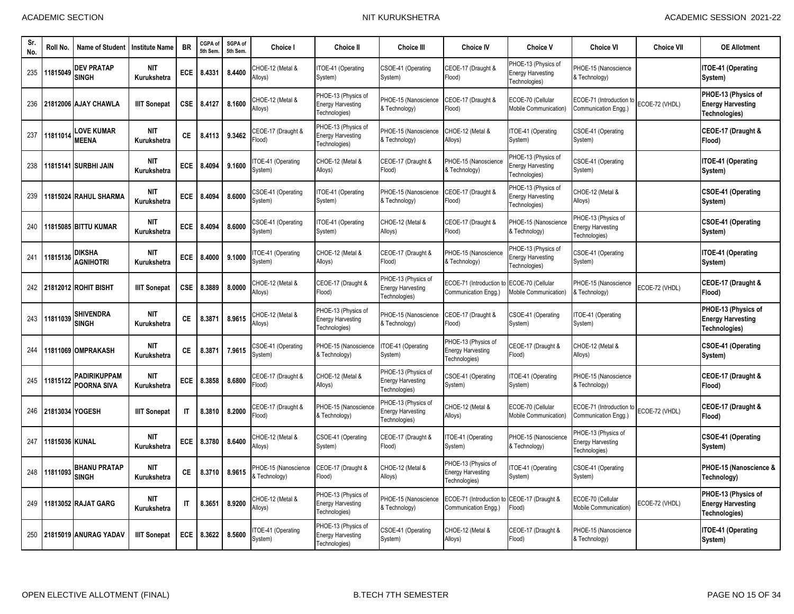| Sr.<br>No. | Roll No.        | <b>Name of Student</b>              | <b>Institute Name</b>     | <b>BR</b>    | CGPA of<br>5th Sem | SGPA of<br>5th Sem | <b>Choice I</b>                                     | <b>Choice II</b>                                                        | <b>Choice III</b>                                                | <b>Choice IV</b>                                                   | <b>Choice V</b>                                                  | <b>Choice VI</b>                                                 | <b>Choice VII</b> | <b>OE Allotment</b>                                              |
|------------|-----------------|-------------------------------------|---------------------------|--------------|--------------------|--------------------|-----------------------------------------------------|-------------------------------------------------------------------------|------------------------------------------------------------------|--------------------------------------------------------------------|------------------------------------------------------------------|------------------------------------------------------------------|-------------------|------------------------------------------------------------------|
| 235        | 11815049        | <b>DEV PRATAP</b><br><b>SINGH</b>   | NIT<br>Kurukshetra        | <b>ECE</b>   | 8.4331             | 8.4400             | CHOE-12 (Metal &<br>Alloys)                         | TOE-41 (Operating<br>System)                                            | CSOE-41 (Operating<br>System)                                    | CEOE-17 (Draught &<br>Flood)                                       | PHOE-13 (Physics of<br><b>Energy Harvesting</b><br>Fechnologies) | PHOE-15 (Nanoscience<br>& Technology)                            |                   | ITOE-41 (Operating<br>System)                                    |
| 236        |                 | 21812006 AJAY CHAWLA                | <b>IIIT Sonepat</b>       | CSE          | 8.4127             | 8.1600             | CHOE-12 (Metal &<br>Alloys)                         | PHOE-13 (Physics of<br><b>Energy Harvesting</b><br>Technologies)        | HOE-15 (Nanoscience<br>& Technology)                             | CEOE-17 (Draught &<br>Flood)                                       | ECOE-70 (Cellular<br>Mobile Communication)                       | ECOE-71 (Introduction t<br>Communication Engg.)                  | ECOE-72 (VHDL)    | PHOE-13 (Physics of<br><b>Energy Harvesting</b><br>Technologies) |
| 237        | 11811014        | <b>LOVE KUMAR</b><br><b>MEENA</b>   | <b>NIT</b><br>Kurukshetra | <b>CE</b>    | 8.4113             | 9.3462             | <b>CEOE-17 (Draught &amp;</b><br>(bool <sup>:</sup> | PHOE-13 (Physics of<br><b>Energy Harvesting</b><br>Technologies)        | <b>PHOE-15 (Nanoscience</b><br>& Technology)                     | CHOE-12 (Metal &<br>Alloys)                                        | TOE-41 (Operating<br>System)                                     | CSOE-41 (Operating<br>System)                                    |                   | CEOE-17 (Draught &<br>Flood)                                     |
| 238        |                 | 11815141 SURBHI JAIN                | <b>NIT</b><br>Kurukshetra | ECE          | 8.4094             | 9.1600             | TOE-41 (Operating<br>System)                        | CHOE-12 (Metal &<br>Alloys)                                             | CEOE-17 (Draught &<br>(bool <sup>=</sup>                         | PHOE-15 (Nanoscience<br>& Technology)                              | PHOE-13 (Physics of<br>nergy Harvesting<br>Fechnologies)         | <b>CSOE-41 (Operating</b><br>System)                             |                   | ITOE-41 (Operating<br>System)                                    |
| 239        |                 | 11815024 RAHUL SHARMA               | <b>NIT</b><br>Kurukshetra | ECE          | 8.4094             | 8.6000             | CSOE-41 (Operating<br>System)                       | TOE-41 (Operating<br>System)                                            | PHOE-15 (Nanoscience<br>& Technology)                            | CEOE-17 (Draught &<br>Flood)                                       | PHOE-13 (Physics of<br><b>Energy Harvesting</b><br>Fechnologies) | CHOE-12 (Metal &<br>Alloys)                                      |                   | CSOE-41 (Operating<br>System)                                    |
| 240        |                 | 11815085 BITTU KUMAR                | <b>NIT</b><br>Kurukshetra | ECE          | 8.4094             | 8.6000             | CSOE-41 (Operating<br>System)                       | ITOE-41 (Operating<br>System)                                           | CHOE-12 (Metal &<br>Alloys)                                      | CEOE-17 (Draught &<br>Flood)                                       | PHOE-15 (Nanoscience<br>& Technology)                            | PHOE-13 (Physics of<br><b>Energy Harvesting</b><br>Technologies) |                   | CSOE-41 (Operating<br>System)                                    |
| 241        | 11815136        | <b>DIKSHA</b><br><b>AGNIHOTRI</b>   | <b>NIT</b><br>Kurukshetra | ECE          | 8.4000             | 9.1000             | TOE-41 (Operating<br>System)                        | CHOE-12 (Metal &<br>Alloys)                                             | CEOE-17 (Draught &<br>(bool <sup>=</sup>                         | PHOE-15 (Nanoscience<br>& Technology)                              | HOE-13 (Physics of<br><b>Energy Harvesting</b><br>Fechnologies)  | <b>CSOE-41 (Operating</b><br>System)                             |                   | ITOE-41 (Operating<br>System)                                    |
| 242        |                 | 21812012 ROHIT BISHT                | <b>IIIT Sonepat</b>       | <b>CSE</b>   | 8.3889             | 8.0000             | CHOE-12 (Metal &<br>Alloys)                         | CEOE-17 (Draught &<br>Flood)                                            | PHOE-13 (Physics of<br><b>Energy Harvesting</b><br>Technologies) | ECOE-71 (Introduction to ECOE-70 (Cellular<br>Communication Engg.) | <b>Mobile Communication)</b>                                     | PHOE-15 (Nanoscience<br>& Technology)                            | ECOE-72 (VHDL)    | CEOE-17 (Draught &<br>Flood)                                     |
| 243        | 11811039        | <b>SHIVENDRA</b><br><b>SINGH</b>    | <b>NIT</b><br>Kurukshetra | <b>CE</b>    | 8.3871             | 8.9615             | CHOE-12 (Metal &<br>Alloys)                         | PHOE-13 (Physics of<br><b>Energy Harvesting</b><br><b>Fechnologies)</b> | HOE-15 (Nanoscience<br>Fechnology)                               | CEOE-17 (Draught &<br>Flood)                                       | CSOE-41 (Operating<br>System)                                    | TOE-41 (Operating<br>System)                                     |                   | PHOE-13 (Physics of<br><b>Energy Harvesting</b><br>Technologies) |
| 244        |                 | 11811069 OMPRAKASH                  | NIT<br>Kurukshetra        | <b>CE</b>    | 8.3871             | 7.9615             | CSOE-41 (Operating<br>System)                       | PHOE-15 (Nanoscience<br>& Technology)                                   | TOE-41 (Operating<br>System)                                     | PHOE-13 (Physics of<br><b>Energy Harvesting</b><br>Technologies)   | CEOE-17 (Draught &<br>Flood)                                     | CHOE-12 (Metal &<br>Alloys)                                      |                   | CSOE-41 (Operating<br>System)                                    |
| 245        | 11815122        | <b>PADIRIKUPPAM</b><br>POORNA SIVA  | <b>NIT</b><br>Kurukshetra | ECE          | 8.3858             | 8.6800             | CEOE-17 (Draught &<br>(bool <sup>=</sup>            | CHOE-12 (Metal &<br>Alloys)                                             | PHOE-13 (Physics of<br><b>Energy Harvesting</b><br>Technologies) | CSOE-41 (Operating<br>System)                                      | TOE-41 (Operating<br>System)                                     | PHOE-15 (Nanoscience<br>& Technology)                            |                   | CEOE-17 (Draught &<br>Flood)                                     |
| 246        | 21813034 YOGESH |                                     | <b>IIIT Sonepat</b>       | IT           | 8.3810             | 8.2000             | CEOE-17 (Draught &<br>Flood)                        | PHOE-15 (Nanoscience<br>& Technology)                                   | PHOE-13 (Physics of<br><b>Energy Harvesting</b><br>Technologies) | CHOE-12 (Metal &<br>Alloys)                                        | ECOE-70 (Cellular<br>Mobile Communication)                       | ECOE-71 (Introduction t<br>Communication Engg.)                  | ECOE-72 (VHDL)    | CEOE-17 (Draught &<br>Flood)                                     |
| 247        | 11815036 KUNAL  |                                     | <b>NIT</b><br>Kurukshetra | ECE          | 8.3780             | 8.6400             | CHOE-12 (Metal &<br>Alloys)                         | CSOE-41 (Operating<br>System)                                           | CEOE-17 (Draught &<br>(bool <sup>=</sup>                         | TOE-41 (Operating<br>System)                                       | PHOE-15 (Nanoscience<br>& Technology)                            | PHOE-13 (Physics of<br><b>Energy Harvesting</b><br>Technologies) |                   | <b>CSOE-41 (Operating</b><br>System)                             |
| 248        | 11811093        | <b>BHANU PRATAP</b><br><b>SINGH</b> | <b>NIT</b><br>Kurukshetra | CE           | 8.3710             | 8.9615             | PHOE-15 (Nanoscience<br>& Technology)               | CEOE-17 (Draught &<br>Flood)                                            | CHOE-12 (Metal &<br>Alloys)                                      | PHOE-13 (Physics of<br><b>Energy Harvesting</b><br>Technologies)   | TOE-41 (Operating<br>System)                                     | CSOE-41 (Operating<br>System)                                    |                   | PHOE-15 (Nanoscience &<br>Technology)                            |
| 249        |                 | 11813052 RAJAT GARG                 | <b>NIT</b><br>Kurukshetra | $\mathsf{I}$ | 8.3651             | 8.9200             | CHOE-12 (Metal &<br>Alloys)                         | PHOE-13 (Physics of<br><b>Energy Harvesting</b><br>Technologies)        | <b>PHOE-15 (Nanoscience</b><br>& Technology)                     | ECOE-71 (Introduction<br>Communication Engg.)                      | CEOE-17 (Draught &<br>Flood)                                     | ECOE-70 (Cellular<br>Mobile Communication)                       | ECOE-72 (VHDL)    | PHOE-13 (Physics of<br><b>Energy Harvesting</b><br>Technologies) |
| 250        |                 | 21815019 ANURAG YADAV               | <b>IIIT Sonepat</b>       | ECE          | 8.3622             | 8.5600             | TOE-41 (Operating<br>System)                        | PHOE-13 (Physics of<br><b>Energy Harvesting</b><br>Technologies)        | SOE-41 (Operating<br>System)                                     | CHOE-12 (Metal &<br>Alloys)                                        | CEOE-17 (Draught &<br>Flood)                                     | <b>PHOE-15 (Nanoscience</b><br>& Technology)                     |                   | ITOE-41 (Operating<br>System)                                    |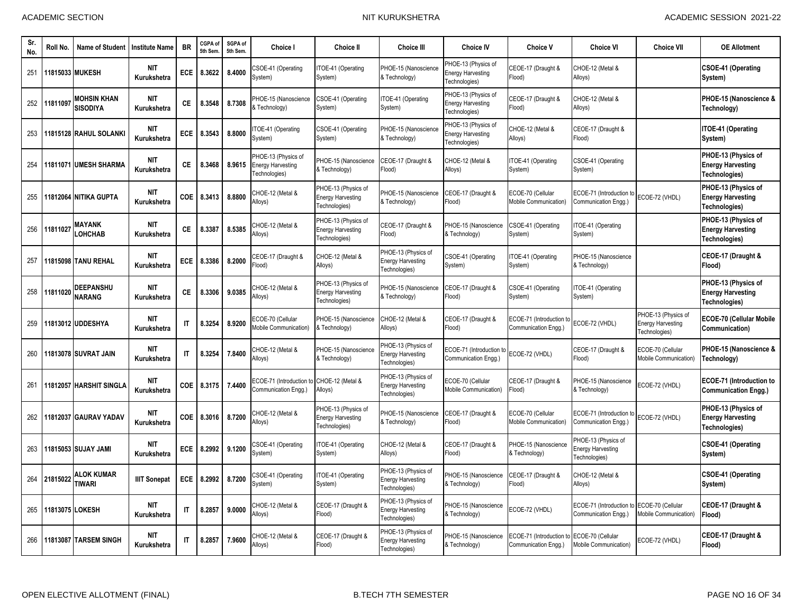| Sr<br>No. | Roll No.        | Name of Student                       | <b>Institute Name</b>     | <b>BR</b>              | CGPA of<br>5th Sem | SGPA of<br>5th Sem | Choice I                                                         | <b>Choice II</b>                                                 | <b>Choice III</b>                                                | <b>Choice IV</b>                                                 | <b>Choice V</b>                                 | <b>Choice VI</b>                                                | <b>Choice VII</b>                                                | <b>OE Allotment</b>                                                     |
|-----------|-----------------|---------------------------------------|---------------------------|------------------------|--------------------|--------------------|------------------------------------------------------------------|------------------------------------------------------------------|------------------------------------------------------------------|------------------------------------------------------------------|-------------------------------------------------|-----------------------------------------------------------------|------------------------------------------------------------------|-------------------------------------------------------------------------|
| 251       |                 | 11815033 MUKESH                       | <b>NIT</b><br>Kurukshetra | <b>ECE</b>             | 8.3622             | 8.4000             | CSOE-41 (Operating<br>System)                                    | TOE-41 (Operating<br>System)                                     | PHOE-15 (Nanoscience<br>& Technology)                            | PHOE-13 (Physics of<br><b>Energy Harvesting</b><br>Technologies) | CEOE-17 (Draught &<br>Flood)                    | CHOE-12 (Metal &<br>Alloys)                                     |                                                                  | CSOE-41 (Operating<br>System)                                           |
| 252       | 11811097        | <b>MOHSIN KHAN</b><br><b>SISODIYA</b> | <b>NIT</b><br>Kurukshetra | CE.                    | 8.3548             | 8.7308             | PHOE-15 (Nanoscience<br>& Technology)                            | CSOE-41 (Operating<br>System)                                    | TOE-41 (Operating<br>System)                                     | PHOE-13 (Physics of<br><b>Energy Harvesting</b><br>Technologies) | CEOE-17 (Draught &<br>Flood)                    | CHOE-12 (Metal &<br>Alloys)                                     |                                                                  | PHOE-15 (Nanoscience &<br>Technology)                                   |
| 253       |                 | 11815128 RAHUL SOLANKI                | <b>NIT</b><br>Kurukshetra | <b>ECE</b>             | 8.3543             | 8.8000             | TOE-41 (Operating<br>System)                                     | CSOE-41 (Operating<br>System)                                    | PHOE-15 (Nanoscience<br>& Technology)                            | PHOE-13 (Physics of<br>Energy Harvesting<br>Technologies)        | CHOE-12 (Metal &<br>Alloys)                     | CEOE-17 (Draught &<br>Flood)                                    |                                                                  | ITOE-41 (Operating<br>System)                                           |
| 254       |                 | 11811071 UMESH SHARMA                 | <b>NIT</b><br>Kurukshetra | СE                     | 8.3468             | 8.9615             | PHOE-13 (Physics of<br><b>Energy Harvesting</b><br>Technologies) | PHOE-15 (Nanoscience<br>& Technology)                            | CEOE-17 (Draught &<br>(bool <sup>=</sup>                         | CHOE-12 (Metal &<br>Alloys)                                      | ITOE-41 (Operating<br>System)                   | CSOE-41 (Operating<br>System)                                   |                                                                  | PHOE-13 (Physics of<br><b>Energy Harvesting</b><br>Technologies)        |
| 255       |                 | 11812064 NITIKA GUPTA                 | <b>NIT</b><br>Kurukshetra | COE                    | 8.3413             | 8.8800             | CHOE-12 (Metal &<br>Alloys)                                      | PHOE-13 (Physics of<br><b>Energy Harvesting</b><br>Technologies) | <b>HOE-15 (Nanoscience</b><br>& Technology)                      | CEOE-17 (Draught &<br>Flood)                                     | ECOE-70 (Cellular<br>Mobile Communication)      | ECOE-71 (Introduction t<br>Communication Engg.)                 | ECOE-72 (VHDL)                                                   | PHOE-13 (Physics of<br><b>Energy Harvesting</b><br><b>Technologies)</b> |
| 256       | 11811027        | <b>MAYANK</b><br><b>LOHCHAB</b>       | <b>NIT</b><br>Kurukshetra | СE                     | 8.3387             | 8.5385             | CHOE-12 (Metal &<br>Alloys)                                      | PHOE-13 (Physics of<br><b>Energy Harvesting</b><br>Technologies) | CEOE-17 (Draught &<br>Flood)                                     | PHOE-15 (Nanoscience<br>& Technology)                            | CSOE-41 (Operating<br>System)                   | TOE-41 (Operating<br>System)                                    |                                                                  | PHOE-13 (Physics of<br><b>Energy Harvesting</b><br>Technologies)        |
| 257       |                 | 11815098 TANU REHAL                   | <b>NIT</b><br>Kurukshetra | ECE                    | 8.3386             | 8.2000             | EOE-17 (Draught &<br>(bool <sup>:</sup>                          | CHOE-12 (Metal &<br>Alloys)                                      | PHOE-13 (Physics of<br><b>Energy Harvesting</b><br>Technologies) | CSOE-41 (Operating<br>System)                                    | TOE-41 (Operating<br>System)                    | PHOE-15 (Nanoscience<br>& Technology)                           |                                                                  | CEOE-17 (Draught &<br>Flood)                                            |
| 258       | 11811020        | DEEPANSHU<br><b>NARANG</b>            | <b>NIT</b><br>Kurukshetra | СE                     | 8.3306             | 9.0385             | CHOE-12 (Metal &<br>Alloys)                                      | PHOE-13 (Physics of<br><b>Energy Harvesting</b><br>Technologies) | HOE-15 (Nanoscience<br>& Technology)                             | CEOE-17 (Draught &<br>Flood)                                     | CSOE-41 (Operating<br>System)                   | TOE-41 (Operating<br>System)                                    |                                                                  | PHOE-13 (Physics of<br><b>Energy Harvesting</b><br>Technologies)        |
| 259       |                 | 11813012 IUDDESHYA                    | <b>NIT</b><br>Kurukshetra | $\mathsf{I}\mathsf{T}$ | 8.3254             | 8.9200             | ECOE-70 (Cellular<br><b>Mobile Communication)</b>                | PHOE-15 (Nanoscience<br>& Technology)                            | CHOE-12 (Metal &<br>Alloys)                                      | CEOE-17 (Draught &<br>Flood)                                     | ECOE-71 (Introduction t<br>Communication Engg.) | ECOE-72 (VHDL)                                                  | PHOE-13 (Physics of<br><b>Energy Harvesting</b><br>Technologies) | ECOE-70 (Cellular Mobile<br>Communication)                              |
| 260       |                 | 11813078 SUVRAT JAIN                  | <b>NIT</b><br>Kurukshetra | $\mathsf{I}\mathsf{T}$ | 8.3254             | 7.8400             | CHOE-12 (Metal &<br>Alloys)                                      | PHOE-15 (Nanoscience<br>& Technology)                            | PHOE-13 (Physics of<br><b>Energy Harvesting</b><br>Technologies) | ECOE-71 (Introduction<br>Communication Engg.)                    | ECOE-72 (VHDL)                                  | CEOE-17 (Draught &<br>Flood)                                    | ECOE-70 (Cellular<br><b>Mobile Communication)</b>                | PHOE-15 (Nanoscience &<br>Technology)                                   |
| 261       | 11812057        | <b>HARSHIT SINGLA</b>                 | <b>NIT</b><br>Kurukshetra | <b>COE</b>             | 8.3175             | 7.4400             | ECOE-71 (Introduction<br>Communication Engg.)                    | CHOE-12 (Metal &<br>Alloys)                                      | PHOE-13 (Physics of<br><b>Energy Harvesting</b><br>Technologies) | ECOE-70 (Cellular<br>Mobile Communication)                       | CEOE-17 (Draught &<br>Flood)                    | PHOE-15 (Nanoscience<br>& Technology)                           | ECOE-72 (VHDL)                                                   | <b>ECOE-71 (Introduction to</b><br><b>Communication Engg.)</b>          |
| 262       | 11812037        | <b>GAURAV YADAV</b>                   | <b>NIT</b><br>Kurukshetra | <b>COE</b>             | 8.3016             | 8.7200             | CHOE-12 (Metal &<br>Alloys)                                      | PHOE-13 (Physics of<br><b>Energy Harvesting</b><br>Technologies) | PHOE-15 (Nanoscience<br>& Technology)                            | CEOE-17 (Draught &<br>Flood)                                     | ECOE-70 (Cellular<br>Mobile Communication)      | ECOE-71 (Introduction t<br>Communication Engg.)                 | ECOE-72 (VHDL)                                                   | PHOE-13 (Physics of<br><b>Energy Harvesting</b><br>Technologies)        |
| 263       |                 | 11815053 ISUJAY JAMI                  | <b>NIT</b><br>Kurukshetra | ECE                    | 8.2992             | 9.1200             | SOE-41 (Operating<br>System)                                     | ITOE-41 (Operating<br>System)                                    | CHOE-12 (Metal &<br>Alloys)                                      | CEOE-17 (Draught &<br>Flood)                                     | PHOE-15 (Nanoscience<br>& Technology)           | HOE-13 (Physics of<br><b>Energy Harvesting</b><br>Technologies) |                                                                  | <b>CSOE-41 (Operating</b><br>System)                                    |
| 264       | 21815022        | ALOK KUMAR<br><b>TIWARI</b>           | <b>IIIT Sonepat</b>       | ECE                    | 8.2992             | 8.7200             | CSOE-41 (Operating<br>System)                                    | ITOE-41 (Operating<br>System)                                    | PHOE-13 (Physics of<br><b>Energy Harvesting</b><br>Technologies) | PHOE-15 (Nanoscience<br>& Technology)                            | CEOE-17 (Draught &<br>Flood)                    | CHOE-12 (Metal &<br>Alloys)                                     |                                                                  | CSOE-41 (Operating<br>System)                                           |
| 265       | 11813075 LOKESH |                                       | <b>NIT</b><br>Kurukshetra | $\mathsf{I}\mathsf{T}$ | 8.2857             | 9.0000             | CHOE-12 (Metal &<br>Alloys)                                      | CEOE-17 (Draught &<br>Flood)                                     | PHOE-13 (Physics of<br><b>Energy Harvesting</b><br>Technologies) | PHOE-15 (Nanoscience<br>& Technology)                            | ECOE-72 (VHDL)                                  | ECOE-71 (Introduction<br>Communication Engg.)                   | ECOE-70 (Cellular<br><b>Mobile Communication)</b>                | CEOE-17 (Draught &<br>Flood)                                            |
| 266       | 11813087        | <b>TARSEM SINGH</b>                   | <b>NIT</b><br>Kurukshetra | $\mathsf{I}\mathsf{T}$ | 8.2857             | 7.9600             | CHOE-12 (Metal &<br>Alloys)                                      | CEOE-17 (Draught &<br>Flood)                                     | PHOE-13 (Physics of<br><b>Energy Harvesting</b><br>Technologies) | PHOE-15 (Nanoscience<br>& Technology)                            | ECOE-71 (Introduction f<br>Communication Engg.) | ECOE-70 (Cellular<br>Mobile Communication)                      | ECOE-72 (VHDL)                                                   | CEOE-17 (Draught &<br>Flood)                                            |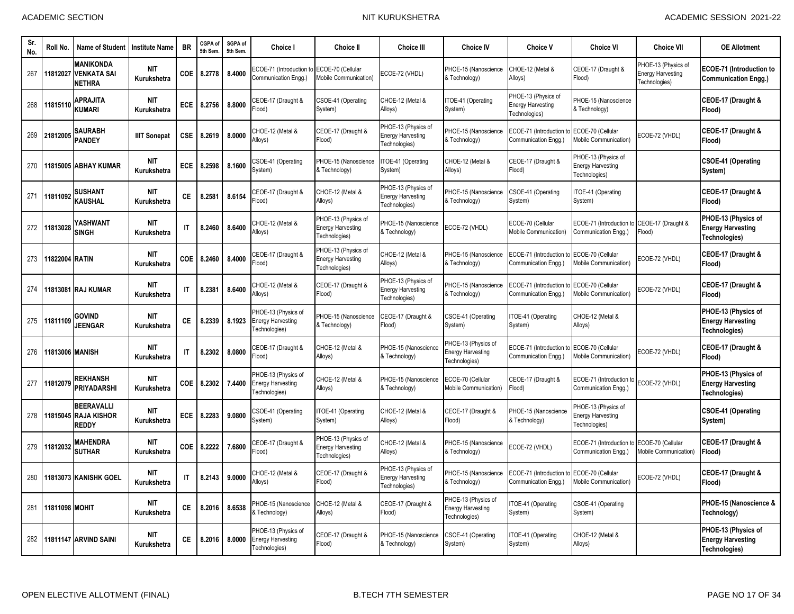| Sr<br>No. | Roll No.        | Name of Student                                         | <b>Institute Name</b>     | <b>BR</b>              | CGPA of<br>5th Sem | SGPA of<br>5th Sem. | <b>Choice I</b>                                                  | Choice II                                                        | <b>Choice III</b>                                                | <b>Choice IV</b>                                                 | <b>Choice V</b>                                                  | <b>Choice VI</b>                                                 | <b>Choice VII</b>                                                | <b>OE Allotment</b>                                              |
|-----------|-----------------|---------------------------------------------------------|---------------------------|------------------------|--------------------|---------------------|------------------------------------------------------------------|------------------------------------------------------------------|------------------------------------------------------------------|------------------------------------------------------------------|------------------------------------------------------------------|------------------------------------------------------------------|------------------------------------------------------------------|------------------------------------------------------------------|
| 267       | 11812027        | <b>MANIKONDA</b><br><b>VENKATA SAI</b><br><b>NETHRA</b> | <b>NIT</b><br>Kurukshetra | COE                    | 8.2778             | 8.4000              | <b>ECOE-71 (Introduction</b><br>Communication Engg.)             | ECOE-70 (Cellular<br><b>Mobile Communication)</b>                | COE-72 (VHDL)                                                    | PHOE-15 (Nanoscience<br>& Technology)                            | CHOE-12 (Metal &<br>Alloys)                                      | CEOE-17 (Draught &<br>Flood)                                     | PHOE-13 (Physics of<br><b>Energy Harvesting</b><br>Technologies) | <b>ECOE-71 (Introduction to</b><br><b>Communication Engg.)</b>   |
| 268       | 11815110        | <b>APRAJITA</b><br>KUMARI                               | <b>NIT</b><br>Kurukshetra | ECE                    | 8.2756             | 8.8000              | CEOE-17 (Draught &<br>Flood)                                     | CSOE-41 (Operating<br>System)                                    | CHOE-12 (Metal &<br>Alloys)                                      | TOE-41 (Operating<br>System)                                     | PHOE-13 (Physics of<br><b>Energy Harvesting</b><br>Technologies) | PHOE-15 (Nanoscience<br>Technology)                              |                                                                  | CEOE-17 (Draught &<br>Flood)                                     |
| 269       | 21812005        | SAURABH<br><b>PANDEY</b>                                | <b>IIIT Sonepat</b>       | <b>CSE</b>             | 8.2619             | 8.0000              | CHOE-12 (Metal &<br>Alloys)                                      | CEOE-17 (Draught &<br>Flood)                                     | PHOE-13 (Physics of<br><b>Energy Harvesting</b><br>Fechnologies) | PHOE-15 (Nanoscience<br>& Technology)                            | ECOE-71 (Introduction f<br>Communication Engg.)                  | ECOE-70 (Cellular<br>Mobile Communication)                       | ECOE-72 (VHDL)                                                   | CEOE-17 (Draught &<br>Flood)                                     |
| 270       | 1815005         | <b>ABHAY KUMAR</b>                                      | <b>NIT</b><br>Kurukshetra | <b>ECE</b>             | 8.2598             | 8.1600              | CSOE-41 (Operating<br>System)                                    | PHOE-15 (Nanoscience<br>& Technology)                            | TOE-41 (Operating<br>System)                                     | CHOE-12 (Metal &<br>Alloys)                                      | CEOE-17 (Draught &<br>Flood)                                     | PHOE-13 (Physics of<br>Energy Harvesting<br>Fechnologies)        |                                                                  | <b>CSOE-41 (Operating</b><br>System)                             |
| 271       | 11811092        | <b>SUSHANT</b><br><b>KAUSHAL</b>                        | <b>NIT</b><br>Kurukshetra | СE                     | 8.2581             | 8.6154              | CEOE-17 (Draught &<br>(bool <sup>:</sup>                         | CHOE-12 (Metal &<br>Alloys)                                      | PHOE-13 (Physics of<br><b>Energy Harvesting</b><br>Fechnologies) | PHOE-15 (Nanoscience<br>& Technology)                            | CSOE-41 (Operating<br>System)                                    | TOE-41 (Operating<br>System)                                     |                                                                  | CEOE-17 (Draught &<br>Flood)                                     |
| 272       | 11813028        | YASHWANT<br><b>SINGH</b>                                | <b>NIT</b><br>Kurukshetra | $\mathsf{I}$           | 8.2460             | 8.6400              | CHOE-12 (Metal &<br>Alloys)                                      | PHOE-13 (Physics of<br><b>Energy Harvesting</b><br>Technologies) | PHOE-15 (Nanoscience<br>& Technology)                            | ECOE-72 (VHDL)                                                   | ECOE-70 (Cellular<br>Mobile Communication)                       | ECOE-71 (Introduction to<br>Communication Engg.)                 | CEOE-17 (Draught &<br>Flood)                                     | PHOE-13 (Physics of<br><b>Energy Harvesting</b><br>Technologies) |
| 273       | 11822004 RATIN  |                                                         | <b>NIT</b><br>Kurukshetra | <b>COE</b>             | 8.2460             | 8.4000              | CEOE-17 (Draught &<br>(bool <sup>=</sup>                         | PHOE-13 (Physics of<br><b>Energy Harvesting</b><br>Technologies) | CHOE-12 (Metal &<br>Alloys)                                      | PHOE-15 (Nanoscience<br>& Technology)                            | ECOE-71 (Introduction to<br>Communication Engg.                  | ECOE-70 (Cellular<br>Mobile Communication)                       | ECOE-72 (VHDL)                                                   | CEOE-17 (Draught &<br>Flood)                                     |
| 274       |                 | 11813081 RAJ KUMAR                                      | <b>NIT</b><br>Kurukshetra | $\mathsf{I}\mathsf{T}$ | 8.2381             | 8.6400              | CHOE-12 (Metal &<br>Alloys)                                      | CEOE-17 (Draught &<br>Flood)                                     | PHOE-13 (Physics of<br>Energy Harvesting<br>Fechnologies)        | PHOE-15 (Nanoscience<br>& Technology)                            | ECOE-71 (Introduction t<br>Communication Engg.)                  | ECOE-70 (Cellular<br><b>Mobile Communication)</b>                | ECOE-72 (VHDL)                                                   | CEOE-17 (Draught &<br>Flood)                                     |
| 275       | 11811109        | govind<br><b>JEENGAR</b>                                | NIT<br>Kurukshetra        | СE                     | 8.2339             | 8.1923              | PHOE-13 (Physics of<br><b>Energy Harvesting</b><br>Fechnologies) | PHOE-15 (Nanoscience<br>& Technology)                            | CEOE-17 (Draught &<br>Flood)                                     | CSOE-41 (Operating<br>System)                                    | TOE-41 (Operating<br>System)                                     | CHOE-12 (Metal &<br>Alloys)                                      |                                                                  | PHOE-13 (Physics of<br><b>Energy Harvesting</b><br>Technologies) |
| 276       | 11813006 MANISH |                                                         | <b>NIT</b><br>Kurukshetra | $\mathsf{I}\mathsf{T}$ | 8.2302             | 8.0800              | EOE-17 (Draught &<br>(bool                                       | CHOE-12 (Metal &<br>Alloys)                                      | PHOE-15 (Nanoscience<br>& Technology)                            | PHOE-13 (Physics of<br><b>Energy Harvesting</b><br>Technologies) | ECOE-71 (Introduction t<br>Communication Engg.)                  | ECOE-70 (Cellular<br>Mobile Communication)                       | ECOE-72 (VHDL)                                                   | CEOE-17 (Draught &<br>Flood)                                     |
| 277       | 11812079        | <b>REKHANSH</b><br><b>PRIYADARSHI</b>                   | <b>NIT</b><br>Kurukshetra | <b>COE</b>             | 8.2302             | 7.4400              | PHOE-13 (Physics of<br><b>Energy Harvesting</b><br>Fechnologies) | CHOE-12 (Metal &<br>Alloys)                                      | PHOE-15 (Nanoscience<br>& Technology)                            | ECOE-70 (Cellular<br>Mobile Communication)                       | CEOE-17 (Draught &<br>Flood)                                     | ECOE-71 (Introduction to<br>Communication Engg.)                 | ECOE-72 (VHDL)                                                   | PHOE-13 (Physics of<br><b>Energy Harvesting</b><br>Technologies) |
| 278       | 11815045        | <b>BEERAVALLI</b><br><b>RAJA KISHOR</b><br><b>REDDY</b> | <b>NIT</b><br>Kurukshetra | <b>ECE</b>             | 8.2283             | 9.0800              | CSOE-41 (Operating<br>System)                                    | ITOE-41 (Operating<br>System)                                    | CHOE-12 (Metal &<br>Alloys)                                      | CEOE-17 (Draught &<br>Flood)                                     | PHOE-15 (Nanoscience<br>& Technology)                            | PHOE-13 (Physics of<br><b>Energy Harvesting</b><br>Fechnologies) |                                                                  | <b>CSOE-41 (Operating</b><br>System)                             |
| 279       | 11812032        | <b>MAHENDRA</b><br><b>SUTHAR</b>                        | <b>NIT</b><br>Kurukshetra | COE                    | 8.2222             | 7.6800              | CEOE-17 (Draught &<br>Flood)                                     | PHOE-13 (Physics of<br><b>Energy Harvesting</b><br>Technologies) | CHOE-12 (Metal &<br>Alloys)                                      | PHOE-15 (Nanoscience<br>& Technology)                            | ECOE-72 (VHDL)                                                   | ECOE-71 (Introduction f<br>Communication Engg.)                  | ECOE-70 (Cellular<br>Mobile Communication)                       | CEOE-17 (Draught &<br>Flood)                                     |
| 280       |                 | 11813073 KANISHK GOEL                                   | <b>NIT</b><br>Kurukshetra | $\mathsf{I}\mathsf{T}$ | 8.2143             | 9.0000              | CHOE-12 (Metal &<br>Alloys)                                      | CEOE-17 (Draught &<br>Flood)                                     | PHOE-13 (Physics of<br><b>Energy Harvesting</b><br>Fechnologies) | PHOE-15 (Nanoscience<br>& Technology)                            | ECOE-71 (Introduction to<br>Communication Engg.)                 | ECOE-70 (Cellular<br>Mobile Communication)                       | ECOE-72 (VHDL)                                                   | CEOE-17 (Draught &<br>Flood)                                     |
| 281       | 11811098 MOHIT  |                                                         | <b>NIT</b><br>Kurukshetra | СE                     | 8.2016             | 8.6538              | PHOE-15 (Nanoscience<br>& Technology)                            | CHOE-12 (Metal &<br>Alloys)                                      | CEOE-17 (Draught &<br>Flood)                                     | PHOE-13 (Physics of<br><b>Energy Harvesting</b><br>Technologies) | TOE-41 (Operating<br>System)                                     | CSOE-41 (Operating<br>System)                                    |                                                                  | PHOE-15 (Nanoscience &<br>Technology)                            |
| 282       |                 | 11811147 ARVIND SAINI                                   | <b>NIT</b><br>Kurukshetra | CE.                    | 8.2016             | 8.0000              | PHOE-13 (Physics of<br><b>Energy Harvesting</b><br>Technologies) | CEOE-17 (Draught &<br>Flood)                                     | PHOE-15 (Nanoscience<br>& Technology)                            | CSOE-41 (Operating<br>System)                                    | TOE-41 (Operating<br>System)                                     | CHOE-12 (Metal &<br>Alloys)                                      |                                                                  | PHOE-13 (Physics of<br><b>Energy Harvesting</b><br>Technologies) |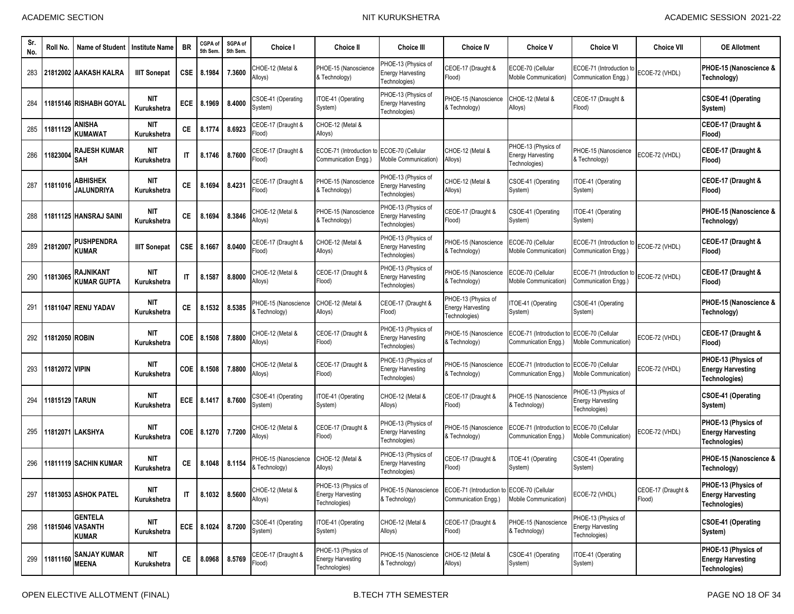| Sr.<br>No. | Roll No.       | <b>Name of Student</b>                                 | <b>Institute Name</b>     | <b>BR</b>              | CGPA of<br>5th Sem | SGPA of<br>5th Sem. | <b>Choice I</b>                       | <b>Choice II</b>                                                 | <b>Choice III</b>                                                | <b>Choice IV</b>                                                   | <b>Choice V</b>                                                  | <b>Choice VI</b>                                                 | <b>Choice VII</b>            | <b>OE Allotment</b>                                                     |
|------------|----------------|--------------------------------------------------------|---------------------------|------------------------|--------------------|---------------------|---------------------------------------|------------------------------------------------------------------|------------------------------------------------------------------|--------------------------------------------------------------------|------------------------------------------------------------------|------------------------------------------------------------------|------------------------------|-------------------------------------------------------------------------|
| 283        |                | 21812002 AAKASH KALRA                                  | <b>IIIT Sonepat</b>       | <b>CSE</b>             | 8.1984             | 7.3600              | CHOE-12 (Metal &<br>Alloys)           | PHOE-15 (Nanoscience<br>& Technology)                            | PHOE-13 (Physics of<br><b>Energy Harvesting</b><br>Technologies) | CEOE-17 (Draught &<br>Flood)                                       | ECOE-70 (Cellular<br>Mobile Communication)                       | ECOE-71 (Introduction to<br>Communication Enga.)                 | ECOE-72 (VHDL)               | PHOE-15 (Nanoscience &<br>Technology)                                   |
| 284        |                | 11815146 RISHABH GOYAL                                 | NIT<br>Kurukshetra        | ECE                    | 8.1969             | 8.4000              | CSOE-41 (Operating<br>System)         | TOE-41 (Operating<br>System)                                     | PHOE-13 (Physics of<br><b>Energy Harvesting</b><br>Technologies) | PHOE-15 (Nanoscience<br>& Technology)                              | CHOE-12 (Metal &<br>Alloys)                                      | CEOE-17 (Draught &<br>Flood)                                     |                              | CSOE-41 (Operating<br>System)                                           |
| 285        | 11811129       | <b>ANISHA</b><br><b>KUMAWAT</b>                        | NIT<br>Kurukshetra        | <b>CE</b>              | 8.1774             | 8.6923              | CEOE-17 (Draught &<br>Flood)          | CHOE-12 (Metal &<br>Alloys)                                      |                                                                  |                                                                    |                                                                  |                                                                  |                              | CEOE-17 (Draught &<br>Flood)                                            |
| 286        | 11823004       | <b>RAJESH KUMAR</b><br><b>SAH</b>                      | <b>NIT</b><br>Kurukshetra | $\mathsf{I}$           | 8.1746             | 8.7600              | CEOE-17 (Draught &<br>Flood)          | ECOE-71 (Introduction to<br>Communication Engg.)                 | COE-70 (Cellular<br>Mobile Communication)                        | CHOE-12 (Metal &<br>Alloys)                                        | PHOE-13 (Physics of<br><b>Energy Harvesting</b><br>Technologies) | PHOE-15 (Nanoscience<br>& Technology)                            | ECOE-72 (VHDL)               | CEOE-17 (Draught &<br>Flood)                                            |
| 287        | 11811016       | <b>ABHISHEK</b><br><b>JALUNDRIYA</b>                   | <b>NIT</b><br>Kurukshetra | СE                     | 8.1694             | 8.4231              | CEOE-17 (Draught &<br>Flood)          | PHOE-15 (Nanoscience<br>& Technology)                            | PHOE-13 (Physics of<br><b>Energy Harvesting</b><br>Technologies) | CHOE-12 (Metal &<br>Alloys)                                        | CSOE-41 (Operating<br>System)                                    | ITOE-41 (Operating<br>System)                                    |                              | CEOE-17 (Draught &<br>Flood)                                            |
| 288        |                | 11811125 HANSRAJ SAINI                                 | NIT<br>Kurukshetra        | СE                     | 8.1694             | 8.3846              | CHOE-12 (Metal &<br>Alloys)           | PHOE-15 (Nanoscience<br>& Technology)                            | PHOE-13 (Physics of<br><b>Energy Harvesting</b><br>Technologies) | CEOE-17 (Draught &<br>Flood)                                       | CSOE-41 (Operating<br>System)                                    | TOE-41 (Operating<br>System)                                     |                              | PHOE-15 (Nanoscience &<br>Technology)                                   |
| 289        | 21812007       | <b>PUSHPENDRA</b><br><b>KUMAR</b>                      | <b>IIIT Sonepat</b>       | CSE                    | 8.1667             | 8.0400              | CEOE-17 (Draught &<br>Flood)          | CHOE-12 (Metal &<br>Alloys)                                      | PHOE-13 (Physics of<br><b>Energy Harvesting</b><br>Technologies) | PHOE-15 (Nanoscience<br>& Technology)                              | ECOE-70 (Cellular<br><b>Mobile Communication)</b>                | ECOE-71 (Introduction t<br>Communication Engg.)                  | ECOE-72 (VHDL)               | CEOE-17 (Draught &<br>Flood)                                            |
| 290        | 11813065       | <b>RAJNIKANT</b><br><b>KUMAR GUPTA</b>                 | <b>NIT</b><br>Kurukshetra | $\mathsf{I}$           | 8.1587             | 8.8000              | CHOE-12 (Metal &<br>Alloys)           | CEOE-17 (Draught &<br>Flood)                                     | PHOE-13 (Physics of<br><b>Energy Harvesting</b><br>Technologies) | PHOE-15 (Nanoscience<br>& Technology)                              | ECOE-70 (Cellular<br>Mobile Communication)                       | ECOE-71 (Introduction to<br>Communication Engg.)                 | ECOE-72 (VHDL)               | CEOE-17 (Draught &<br>Flood)                                            |
| 291        |                | 11811047 RENU YADAV                                    | <b>NIT</b><br>Kurukshetra | СE                     | 8.1532             | 8.5385              | PHOE-15 (Nanoscience<br>& Technology) | CHOE-12 (Metal &<br>Alloys)                                      | CEOE-17 (Draught &<br>Flood)                                     | PHOE-13 (Physics of<br><b>Energy Harvesting</b><br>Technologies)   | TOE-41 (Operating<br>System)                                     | CSOE-41 (Operating<br>System)                                    |                              | PHOE-15 (Nanoscience &<br>Technology)                                   |
| 292        | 11812050 ROBIN |                                                        | <b>NIT</b><br>Kurukshetra | <b>COE</b>             | 8.1508             | 7.8800              | CHOE-12 (Metal &<br>Alloys)           | CEOE-17 (Draught &<br>Flood)                                     | PHOE-13 (Physics of<br><b>Energy Harvesting</b><br>Technologies) | PHOE-15 (Nanoscience<br>& Technology)                              | ECOE-71 (Introduction to<br>Communication Engg.)                 | ECOE-70 (Cellular<br><b>Mobile Communication)</b>                | ECOE-72 (VHDL)               | CEOE-17 (Draught &<br>Flood)                                            |
| 293        | 11812072 VIPIN |                                                        | NIT<br>Kurukshetra        | COE.                   | 8.1508             | 7.8800              | CHOE-12 (Metal &<br>Alloys)           | CEOE-17 (Draught &<br>Flood)                                     | PHOE-13 (Physics of<br><b>Energy Harvesting</b><br>Technologies) | PHOE-15 (Nanoscience<br>& Technology)                              | ECOE-71 (Introduction f<br>Communication Engg.)                  | ECOE-70 (Cellular<br>Mobile Communication)                       | ECOE-72 (VHDL)               | PHOE-13 (Physics of<br><b>Energy Harvesting</b><br>Technologies)        |
| 294        | 11815129 TARUN |                                                        | <b>NIT</b><br>Kurukshetra | ECE                    | 8.1417             | 8.7600              | CSOE-41 (Operating<br>System)         | TOE-41 (Operating<br>System)                                     | CHOE-12 (Metal &<br>Alloys)                                      | CEOE-17 (Draught &<br>Flood)                                       | PHOE-15 (Nanoscience<br>& Technology)                            | PHOE-13 (Physics of<br><b>Energy Harvesting</b><br>Technologies) |                              | CSOE-41 (Operating<br>System)                                           |
| 295        |                | 11812071 LAKSHYA                                       | <b>NIT</b><br>Kurukshetra | COE                    | 8.1270             | 7.7200              | CHOE-12 (Metal &<br>Alloys)           | CEOE-17 (Draught &<br>Flood)                                     | PHOE-13 (Physics of<br><b>Energy Harvesting</b><br>Technologies) | PHOE-15 (Nanoscience<br>& Technology)                              | ECOE-71 (Introduction to<br>Communication Engg.)                 | ECOE-70 (Cellular<br>Mobile Communication)                       | ECOE-72 (VHDL)               | PHOE-13 (Physics of<br><b>Energy Harvesting</b><br>Technologies)        |
| 296        |                | 11811119 SACHIN KUMAR                                  | <b>NIT</b><br>Kurukshetra | СE                     | 8.1048             | 8.1154              | PHOE-15 (Nanoscience<br>& Technology) | CHOE-12 (Metal &<br>Alloys)                                      | PHOE-13 (Physics of<br><b>Energy Harvesting</b><br>Technologies) | CEOE-17 (Draught &<br>Flood)                                       | TOE-41 (Operating<br>System)                                     | CSOE-41 (Operating<br>System)                                    |                              | PHOE-15 (Nanoscience &<br>Technology)                                   |
|            |                | 297 11813053 ASHOK PATEL                               | <b>NIT</b><br>Kurukshetra | $\mathsf{I}\mathsf{T}$ | 8.1032 8.5600      |                     | CHOE-12 (Metal &<br>Alloys)           | PHOE-13 (Physics of<br><b>Energy Harvesting</b><br>Technologies) | PHOE-15 (Nanoscience<br>& Technology)                            | ECOE-71 (Introduction to ECOE-70 (Cellular<br>Communication Engg.) | Mobile Communication)                                            | ECOE-72 (VHDL)                                                   | CEOE-17 (Draught &<br>Flood) | PHOE-13 (Physics of<br><b>Energy Harvesting</b><br>Technologies)        |
|            |                | <b>GENTELA</b><br>298 11815046 VASANTH<br><b>KUMAR</b> | NIT<br>Kurukshetra        |                        | ECE 8.1024 8.7200  |                     | CSOE-41 (Operating<br>System)         | ITOE-41 (Operating<br>System)                                    | CHOE-12 (Metal &<br>Alloys)                                      | CEOE-17 (Draught &<br>Flood)                                       | PHOE-15 (Nanoscience<br>& Technology)                            | PHOE-13 (Physics of<br><b>Energy Harvesting</b><br>Technologies) |                              | <b>CSOE-41 (Operating</b><br>System)                                    |
|            |                | 299 11811160 SANJAY KUMAR<br><b>MEENA</b>              | NIT<br>Kurukshetra        | $\mathsf{CE}$          | 8.0968             | 8.5769              | CEOE-17 (Draught &<br>Flood)          | PHOE-13 (Physics of<br><b>Energy Harvesting</b><br>Technologies) | PHOE-15 (Nanoscience<br>& Technology)                            | CHOE-12 (Metal &<br>Alloys)                                        | CSOE-41 (Operating<br>System)                                    | ITOE-41 (Operating<br>System)                                    |                              | PHOE-13 (Physics of<br><b>Energy Harvesting</b><br><b>Technologies)</b> |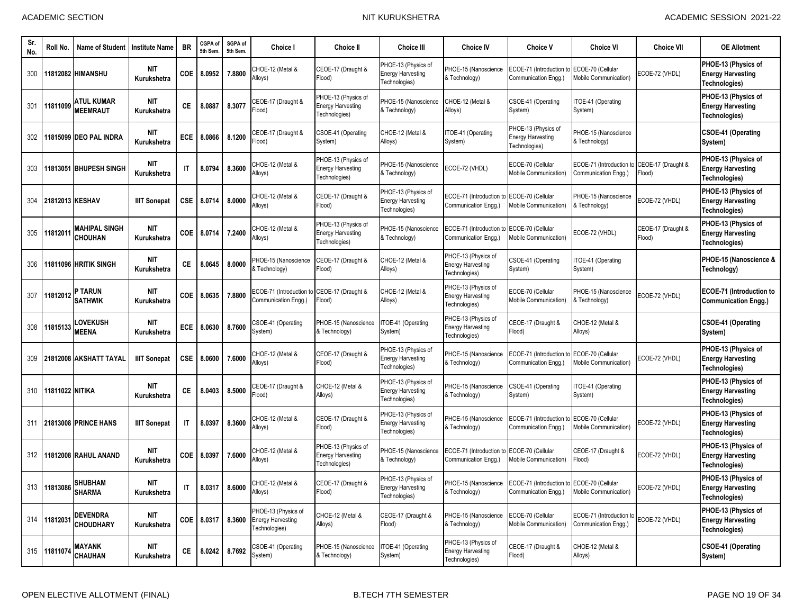| Sr.<br>No. | Roll No.        | Name of Student                       | <b>Institute Name</b>     | <b>BR</b>              | CGPA of<br>5th Sem | SGPA of<br>5th Sem. | Choice I                                                            | Choice II                                                        | <b>Choice III</b>                                                | <b>Choice IV</b>                                                   | <b>Choice V</b>                                                                         | <b>Choice VI</b>                                  | <b>Choice VII</b>            | <b>OE Allotment</b>                                              |
|------------|-----------------|---------------------------------------|---------------------------|------------------------|--------------------|---------------------|---------------------------------------------------------------------|------------------------------------------------------------------|------------------------------------------------------------------|--------------------------------------------------------------------|-----------------------------------------------------------------------------------------|---------------------------------------------------|------------------------------|------------------------------------------------------------------|
| 300        |                 | 11812082 HIMANSHU                     | NIT<br>Kurukshetra        | <b>COE</b>             | 8.0952             | 7.8800              | CHOE-12 (Metal &<br>Alloys)                                         | CEOE-17 (Draught &<br>Flood)                                     | PHOE-13 (Physics of<br><b>Energy Harvesting</b><br>Technologies) | PHOE-15 (Nanoscience<br>& Technology)                              | ECOE-71 (Introduction to<br>Communication Engg.)                                        | ECOE-70 (Cellular<br>Mobile Communication)        | ECOE-72 (VHDL)               | PHOE-13 (Physics of<br><b>Energy Harvesting</b><br>Technologies) |
| 301        | 11811099        | ATUL KUMAR<br><b>MEEMRAUT</b>         | <b>NIT</b><br>Kurukshetra | СE                     | 8.0887             | 8.3077              | CEOE-17 (Draught &<br>Flood)                                        | PHOE-13 (Physics of<br><b>Energy Harvesting</b><br>Technologies) | PHOE-15 (Nanoscience<br>& Technology)                            | CHOE-12 (Metal &<br>Alloys)                                        | CSOE-41 (Operating<br>System)                                                           | TOE-41 (Operating<br>System)                      |                              | PHOE-13 (Physics of<br><b>Energy Harvesting</b><br>Technologies) |
| 302        |                 | 11815099 DEO PAL INDRA                | NIT<br>Kurukshetra        | ECE                    | 8.0866             | 8.1200              | CEOE-17 (Draught &<br>Flood)                                        | CSOE-41 (Operating<br>System)                                    | CHOE-12 (Metal &<br>Alloys)                                      | TOE-41 (Operating<br>System)                                       | PHOE-13 (Physics of<br><b>Energy Harvesting</b><br>Technologies)                        | PHOE-15 (Nanoscience<br>& Technology)             |                              | CSOE-41 (Operating<br>System)                                    |
| 303        |                 | 11813051 BHUPESH SINGH                | <b>NIT</b><br>Kurukshetra | $\mathsf{I}\mathsf{T}$ | 8.0794             | 8.3600              | CHOE-12 (Metal &<br>Alloys)                                         | PHOE-13 (Physics of<br><b>Energy Harvesting</b><br>Technologies) | PHOE-15 (Nanoscience<br>& Technology)                            | ECOE-72 (VHDL)                                                     | ECOE-70 (Cellular<br>Mobile Communication)                                              | ECOE-71 (Introduction to<br>Communication Engg.)  | CEOE-17 (Draught &<br>Flood) | PHOE-13 (Physics of<br><b>Energy Harvesting</b><br>Technologies) |
| 304        |                 | 21812013 KESHAV                       | <b>IIIT Sonepat</b>       | <b>CSE</b>             | 8.0714             | 8.0000              | CHOE-12 (Metal &<br>Alloys)                                         | CEOE-17 (Draught &<br>Flood)                                     | PHOE-13 (Physics of<br><b>Energy Harvesting</b><br>Technologies) | ECOE-71 (Introduction<br>Communication Engg.)                      | ECOE-70 (Cellular<br><b>Mobile Communication)</b>                                       | PHOE-15 (Nanoscience<br>& Technology)             | ECOE-72 (VHDL)               | PHOE-13 (Physics of<br><b>Energy Harvesting</b><br>Technologies) |
| 305        | 1181201         | MAHIPAL SINGH<br><b>CHOUHAN</b>       | <b>NIT</b><br>Kurukshetra | COE                    | 8.0714             | 7.2400              | CHOE-12 (Metal &<br>Alloys)                                         | PHOE-13 (Physics of<br><b>Energy Harvesting</b><br>Technologies) | PHOE-15 (Nanoscience<br>& Technology)                            | ECOE-71 (Introduction to ECOE-70 (Cellular<br>Communication Engg.) | Mobile Communication)                                                                   | ECOE-72 (VHDL)                                    | CEOE-17 (Draught &<br>Flood) | PHOE-13 (Physics of<br><b>Energy Harvesting</b><br>Technologies) |
| 306        |                 | 11811096 HRITIK SINGH                 | NIT<br>Kurukshetra        | СE                     | 8.0645             | 8.0000              | PHOE-15 (Nanoscience<br>& Technology)                               | CEOE-17 (Draught &<br>Flood)                                     | CHOE-12 (Metal &<br>Alloys)                                      | PHOE-13 (Physics of<br><b>Energy Harvesting</b><br>Technologies)   | CSOE-41 (Operating<br>System)                                                           | ITOE-41 (Operating<br>System)                     |                              | PHOE-15 (Nanoscience &<br>Technology)                            |
| 307        | 11812012        | <b>P TARUN</b><br><b>SATHWIK</b>      | <b>NIT</b><br>Kurukshetra | COE                    | 8.0635             | 7.8800              | ECOE-71 (Introduction to CEOE-17 (Draught &<br>Communication Engg.) | [lood]                                                           | CHOE-12 (Metal &<br>Alloys)                                      | PHOE-13 (Physics of<br><b>Energy Harvesting</b><br>Technologies)   | ECOE-70 (Cellular<br>Mobile Communication)                                              | PHOE-15 (Nanoscience<br>& Technology)             | ECOE-72 (VHDL)               | <b>ECOE-71 (Introduction to</b><br><b>Communication Engg.)</b>   |
| 308        | 11815133        | <b>_OVEKUSH</b><br><b>MEENA</b>       | NIT<br>Kurukshetra        | ECE                    | 8.0630             | 8.7600              | CSOE-41 (Operating<br>System)                                       | PHOE-15 (Nanoscience<br>& Technology)                            | TOE-41 (Operating<br>System)                                     | PHOE-13 (Physics of<br><b>Energy Harvesting</b><br>Technologies)   | CEOE-17 (Draught &<br>Flood)                                                            | CHOE-12 (Metal &<br>Alloys)                       |                              | <b>CSOE-41 (Operating</b><br>System)                             |
| 309        |                 | 21812008 AKSHATT TAYAL                | <b>IIIT Sonepat</b>       | CSE                    | 8.0600             | 7.6000              | CHOE-12 (Metal &<br>Alloys)                                         | CEOE-17 (Draught &<br>Flood)                                     | PHOE-13 (Physics of<br><b>Energy Harvesting</b><br>Technologies) | PHOE-15 (Nanoscience<br>& Technology)                              | ECOE-71 (Introduction t<br>Communication Engg.)                                         | ECOE-70 (Cellular<br><b>Mobile Communication)</b> | ECOE-72 (VHDL)               | PHOE-13 (Physics of<br><b>Energy Harvesting</b><br>Technologies) |
| 310        | 11811022 NITIKA |                                       | NIT<br>Kurukshetra        | СE                     | 8.0403             | 8.5000              | CEOE-17 (Draught &<br>Flood)                                        | CHOE-12 (Metal &<br>Alloys)                                      | PHOE-13 (Physics of<br><b>Energy Harvesting</b><br>Fechnologies) | PHOE-15 (Nanoscience<br>& Technology)                              | CSOE-41 (Operating<br>System)                                                           | ITOE-41 (Operating<br>System)                     |                              | PHOE-13 (Physics of<br><b>Energy Harvesting</b><br>Technologies) |
| 311        |                 | <b>21813008 PRINCE HANS</b>           | <b>IIIT Sonepat</b>       | $\mathsf{I}$           | 8.0397             | 8.3600              | CHOE-12 (Metal &<br>Alloys)                                         | CEOE-17 (Draught &<br>Flood)                                     | PHOE-13 (Physics of<br><b>Energy Harvesting</b><br>Technologies) | PHOE-15 (Nanoscience<br>& Technology)                              | ECOE-71 (Introduction to<br>Communication Engg.)                                        | ECOE-70 (Cellular<br><b>Mobile Communication)</b> | ECOE-72 (VHDL)               | PHOE-13 (Physics of<br><b>Energy Harvesting</b><br>Technologies) |
| 312        |                 | 11812008 RAHUL ANAND                  | NIT<br>Kurukshetra        | COE                    | 8.0397             | 7.6000              | CHOE-12 (Metal &<br>Alloys)                                         | PHOE-13 (Physics of<br><b>Energy Harvesting</b><br>Technologies) | PHOE-15 (Nanoscience<br>& Technology)                            | ECOE-71 (Introduction<br>Communication Engg.)                      | to ECOE-70 (Cellular<br>Mobile Communication)                                           | CEOE-17 (Draught &<br>Flood)                      | ECOE-72 (VHDL)               | PHOE-13 (Physics of<br><b>Energy Harvesting</b><br>Technologies) |
|            |                 | 313 11813086 SHUBHAM<br><b>SHARMA</b> | <b>NIT</b><br>Kurukshetra | IT.                    |                    |                     | 8.0317 8.6000 CHOE-12 (Metal &<br>Alloys)                           | CEOE-17 (Draught &<br>Flood)                                     | PHOE-13 (Physics of<br>Energy Harvesting<br>Technologies)        | & Technology)                                                      | PHOE-15 (Nanoscience ECOE-71 (Introduction to ECOE-70 (Cellular<br>Communication Engg.) | Mobile Communication)                             | ECOE-72 (VHDL)               | PHOE-13 (Physics of<br><b>Energy Harvesting</b><br>Technologies) |
|            | 314 11812031    | <b>DEVENDRA</b><br><b>CHOUDHARY</b>   | <b>NIT</b><br>Kurukshetra |                        | COE 8.0317         | 8.3600              | PHOE-13 (Physics of<br><b>Energy Harvesting</b><br>Technologies)    | CHOE-12 (Metal &<br>Alloys)                                      | CEOE-17 (Draught &<br>Flood)                                     | PHOE-15 (Nanoscience<br>& Technology)                              | ECOE-70 (Cellular<br>Mobile Communication)                                              | ECOE-71 (Introduction to<br>Communication Engg.)  | ECOE-72 (VHDL)               | PHOE-13 (Physics of<br><b>Energy Harvesting</b><br>Technologies) |
|            | 315 11811074    | <b>MAYANK</b><br><b>CHAUHAN</b>       | <b>NIT</b><br>Kurukshetra | CE                     | 8.0242             | 8.7692              | CSOE-41 (Operating<br>System)                                       | PHOE-15 (Nanoscience<br>& Technology)                            | TOE-41 (Operating<br>System)                                     | PHOE-13 (Physics of<br><b>Energy Harvesting</b><br>Technologies)   | CEOE-17 (Draught &<br>Flood)                                                            | CHOE-12 (Metal &<br>Alloys)                       |                              | <b>CSOE-41 (Operating</b><br>System)                             |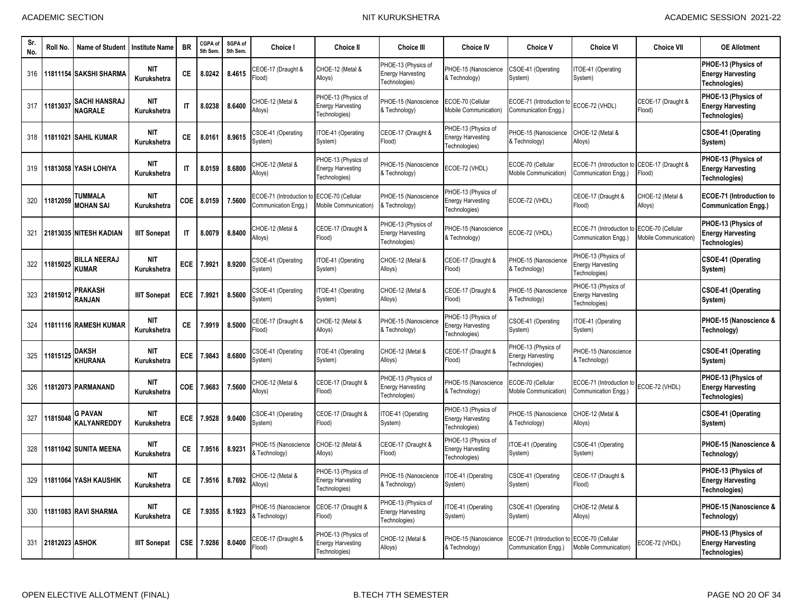| Sr<br>No. | Roll No.       | <b>Name of Student</b>                 | <b>Institute Name</b>     | <b>BR</b>    | CGPA of<br>5th Sem. | SGPA of<br>5th Sem. | Choice I                                            | <b>Choice II</b>                                                 | <b>Choice III</b>                                                | <b>Choice IV</b>                                                 | <b>Choice V</b>                                                  | <b>Choice VI</b>                                                 | <b>Choice VII</b>                         | <b>OE Allotment</b>                                              |
|-----------|----------------|----------------------------------------|---------------------------|--------------|---------------------|---------------------|-----------------------------------------------------|------------------------------------------------------------------|------------------------------------------------------------------|------------------------------------------------------------------|------------------------------------------------------------------|------------------------------------------------------------------|-------------------------------------------|------------------------------------------------------------------|
| 316       |                | 11811154 SAKSHI SHARMA                 | <b>NIT</b><br>Kurukshetra | <b>CE</b>    | 8.0242              | 8.4615              | CEOE-17 (Draught &<br>(bool <sup>=</sup>            | CHOE-12 (Metal &<br>Alloys)                                      | PHOE-13 (Physics of<br><b>Energy Harvesting</b><br>Fechnologies) | PHOE-15 (Nanoscience<br>& Technology)                            | CSOE-41 (Operating<br>System)                                    | TOE-41 (Operating<br>System)                                     |                                           | PHOE-13 (Physics of<br><b>Energy Harvesting</b><br>Technologies) |
| 317       | 1181303        | <b>SACHI HANSRAJ</b><br><b>NAGRALE</b> | <b>NIT</b><br>Kurukshetra | $\mathsf{I}$ | 8.0238              | 8.6400              | CHOE-12 (Metal &<br>Alloys)                         | PHOE-13 (Physics of<br><b>Energy Harvesting</b><br>Technologies) | PHOE-15 (Nanoscience<br>& Technology)                            | ECOE-70 (Cellular<br>Mobile Communication)                       | ECOE-71 (Introduction t<br>Communication Engg.)                  | ECOE-72 (VHDL)                                                   | CEOE-17 (Draught &<br>Flood)              | PHOE-13 (Physics of<br><b>Energy Harvesting</b><br>Technologies) |
| 318       |                | 11811021 SAHIL KUMAR                   | <b>NIT</b><br>Kurukshetra | СE           | 8.0161              | 8.9615              | CSOE-41 (Operating<br>System)                       | ITOE-41 (Operating<br>System)                                    | CEOE-17 (Draught &<br>Flood)                                     | PHOE-13 (Physics of<br><b>Energy Harvesting</b><br>Technologies) | <b>PHOE-15 (Nanoscience</b><br>& Technology)                     | CHOE-12 (Metal &<br>Alloys)                                      |                                           | CSOE-41 (Operating<br>System)                                    |
| 319       |                | 11813058 YASH LOHIYA                   | <b>NIT</b><br>Kurukshetra | $\mathsf{I}$ | 8.0159              | 8.6800              | CHOE-12 (Metal &<br>Alloys)                         | PHOE-13 (Physics of<br><b>Energy Harvesting</b><br>Technologies) | PHOE-15 (Nanoscience<br>& Technology)                            | ECOE-72 (VHDL)                                                   | ECOE-70 (Cellular<br>Mobile Communication)                       | ECOE-71 (Introduction to<br>Communication Engg.)                 | CEOE-17 (Draught &<br>Flood)              | PHOE-13 (Physics of<br><b>Energy Harvesting</b><br>Technologies) |
| 320       | 11812059       | TUMMALA<br><b>MOHAN SAI</b>            | <b>NIT</b><br>Kurukshetra | COE          | 8.0159              | 7.5600              | <b>COE-71 (Introduction</b><br>Communication Engg.) | ECOE-70 (Cellular<br>Mobile Communication)                       | PHOE-15 (Nanoscience<br>& Technology)                            | PHOE-13 (Physics of<br><b>Energy Harvesting</b><br>Technologies) | ECOE-72 (VHDL)                                                   | CEOE-17 (Draught &<br>(bool <sup>=</sup>                         | CHOE-12 (Metal &<br>Alloys)               | <b>ECOE-71 (Introduction to</b><br><b>Communication Engg.)</b>   |
| 321       |                | 21813035 NITESH KADIAN                 | <b>IIIT Sonepat</b>       | $\mathsf{I}$ | 8.0079              | 8.8400              | CHOE-12 (Metal &<br>Alloys)                         | CEOE-17 (Draught &<br>Flood)                                     | PHOE-13 (Physics of<br><b>Energy Harvesting</b><br>Fechnologies) | PHOE-15 (Nanoscience<br>& Technology)                            | ECOE-72 (VHDL)                                                   | ECOE-71 (Introduction t<br>Communication Engg.)                  | ECOE-70 (Cellular<br>Mobile Communication | PHOE-13 (Physics of<br><b>Energy Harvesting</b><br>Technologies) |
| 322       | 1815025        | <b>BILLA NEERAJ</b><br>KUMAR           | <b>NIT</b><br>Kurukshetra | <b>ECE</b>   | 7.9921              | 8.9200              | CSOE-41 (Operating<br>System)                       | ITOE-41 (Operating<br>System)                                    | CHOE-12 (Metal &<br>Alloys)                                      | CEOE-17 (Draught &<br>Flood)                                     | PHOE-15 (Nanoscience<br>& Technology)                            | PHOE-13 (Physics of<br><b>Energy Harvesting</b><br>Technologies) |                                           | <b>CSOE-41 (Operating</b><br>System)                             |
| 323       | 21815012       | PRAKASH<br>RANJAN                      | <b>IIIT Sonepat</b>       | <b>ECE</b>   | 7.9921              | 8.5600              | CSOE-41 (Operating<br>System)                       | ITOE-41 (Operating<br>System)                                    | CHOE-12 (Metal &<br>Alloys)                                      | CEOE-17 (Draught &<br>Flood)                                     | PHOE-15 (Nanoscience<br>& Technology)                            | PHOE-13 (Physics of<br><b>Energy Harvesting</b><br>Technologies) |                                           | CSOE-41 (Operating<br>System)                                    |
| 324       |                | 11811116 RAMESH KUMAR                  | <b>NIT</b><br>Kurukshetra | CE.          | 7.9919              | 8.5000              | CEOE-17 (Draught &<br>Flood)                        | CHOE-12 (Metal &<br>Alloys)                                      | PHOE-15 (Nanoscience<br>& Technology)                            | PHOE-13 (Physics of<br><b>Energy Harvesting</b><br>Technologies) | CSOE-41 (Operating<br>System)                                    | TOE-41 (Operating<br>System)                                     |                                           | PHOE-15 (Nanoscience &<br>Technology)                            |
| 325       | 11815125       | <b>DAKSH</b><br><b>KHURANA</b>         | <b>NIT</b><br>Kurukshetra | <b>ECE</b>   | 7.9843              | 8.6800              | CSOE-41 (Operating<br>System)                       | ITOE-41 (Operating<br>System)                                    | CHOE-12 (Metal &<br>Alloys)                                      | CEOE-17 (Draught &<br>Flood)                                     | PHOE-13 (Physics of<br><b>Energy Harvesting</b><br>Technologies) | PHOE-15 (Nanoscience<br>Technology)                              |                                           | <b>CSOE-41 (Operating</b><br>System)                             |
| 326       |                | 11812073 PARMANAND                     | <b>NIT</b><br>Kurukshetra | <b>COE</b>   | 7.9683              | 7.5600              | CHOE-12 (Metal &<br>Alloys)                         | CEOE-17 (Draught &<br>Flood)                                     | PHOE-13 (Physics of<br><b>Energy Harvesting</b><br>Fechnologies) | PHOE-15 (Nanoscience<br>& Technology)                            | ECOE-70 (Cellular<br>Mobile Communication)                       | ECOE-71 (Introduction to<br>Communication Engg.)                 | ECOE-72 (VHDL)                            | PHOE-13 (Physics of<br><b>Energy Harvesting</b><br>Technologies) |
| 327       | 1815048        | <b>G PAVAN</b><br>KALYANREDDY          | <b>NIT</b><br>Kurukshetra | <b>ECE</b>   | 7.9528              | 9.0400              | CSOE-41 (Operating<br>System)                       | CEOE-17 (Draught &<br>Flood)                                     | ITOE-41 (Operating<br>System)                                    | PHOE-13 (Physics of<br><b>Energy Harvesting</b><br>Technologies) | PHOE-15 (Nanoscience<br>& Technology)                            | CHOE-12 (Metal &<br>Alloys)                                      |                                           | <b>CSOE-41 (Operating</b><br>System)                             |
| 328       |                | 11811042 SUNITA MEENA                  | <b>NIT</b><br>Kurukshetra | CE.          | 7.9516              | 8.9231              | PHOE-15 (Nanoscience<br>& Technology)               | CHOE-12 (Metal &<br>Alloys)                                      | CEOE-17 (Draught &<br>Flood)                                     | PHOE-13 (Physics of<br><b>Energy Harvesting</b><br>Technologies) | TOE-41 (Operating<br>System)                                     | CSOE-41 (Operating<br>System)                                    |                                           | PHOE-15 (Nanoscience &<br>Technology)                            |
| 329       |                | 11811064 YASH KAUSHIK                  | <b>NIT</b><br>Kurukshetra | CE.          | 7.9516              | 8.7692              | CHOE-12 (Metal &<br>Alloys)                         | PHOE-13 (Physics of<br><b>Energy Harvesting</b><br>Technologies) | PHOE-15 (Nanoscience<br>& Technology)                            | TOE-41 (Operating<br>System)                                     | CSOE-41 (Operating<br>System)                                    | CEOE-17 (Draught &<br>Flood)                                     |                                           | PHOE-13 (Physics of<br><b>Energy Harvesting</b><br>Technologies) |
| 330       |                | 11811083 RAVI SHARMA                   | <b>NIT</b><br>Kurukshetra | СE           | 7.9355              | 8.1923              | PHOE-15 (Nanoscience<br>& Technology)               | CEOE-17 (Draught &<br>Flood)                                     | PHOE-13 (Physics of<br><b>Energy Harvesting</b><br>Technologies) | TOE-41 (Operating<br>System)                                     | CSOE-41 (Operating<br>System)                                    | CHOE-12 (Metal &<br>Alloys)                                      |                                           | PHOE-15 (Nanoscience &<br>Technology)                            |
| 331       | 21812023 ASHOK |                                        | <b>IIIT Sonepat</b>       | <b>CSE</b>   | 7.9286              | 8.0400              | CEOE-17 (Draught &<br>Flood)                        | PHOE-13 (Physics of<br><b>Energy Harvesting</b><br>Technologies) | CHOE-12 (Metal &<br>Alloys)                                      | PHOE-15 (Nanoscience<br>& Technology)                            | ECOE-71 (Introduction to<br>Communication Engg.)                 | ECOE-70 (Cellular<br>Mobile Communication)                       | ECOE-72 (VHDL)                            | PHOE-13 (Physics of<br><b>Energy Harvesting</b><br>Technologies) |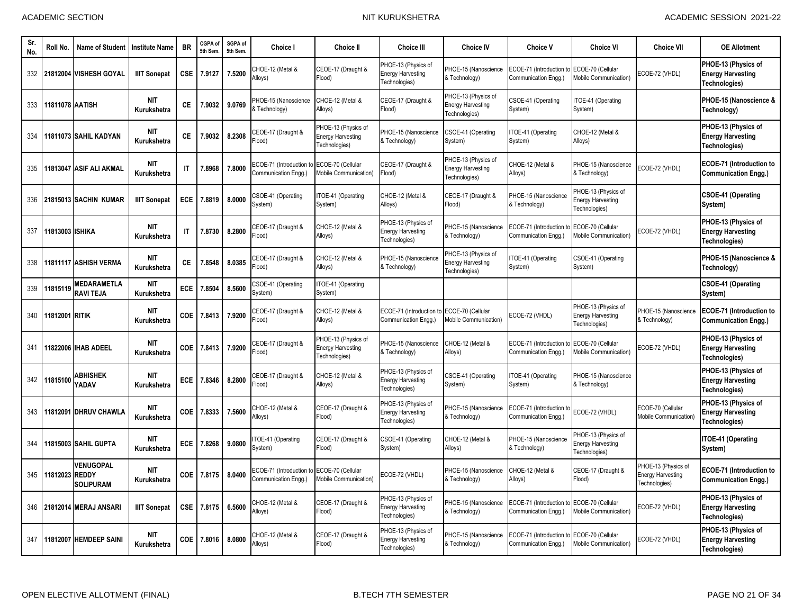| Sr.<br>No. | Roll No.               | Name of Student                        | <b>Institute Name</b>     | <b>BR</b>              | CGPA of<br>5th Sem | SGPA of<br>5th Sem. | <b>Choice I</b>                                      | <b>Choice II</b>                                                 | <b>Choice III</b>                                                | <b>Choice IV</b>                                                 | <b>Choice V</b>                                 | <b>Choice VI</b>                                                      | <b>Choice VII</b>                                                | <b>OE Allotment</b>                                              |
|------------|------------------------|----------------------------------------|---------------------------|------------------------|--------------------|---------------------|------------------------------------------------------|------------------------------------------------------------------|------------------------------------------------------------------|------------------------------------------------------------------|-------------------------------------------------|-----------------------------------------------------------------------|------------------------------------------------------------------|------------------------------------------------------------------|
| 332        |                        | 21812004 VISHESH GOYAL                 | <b>IIIT Sonepat</b>       | <b>CSE</b>             | 7.9127             | 7.5200              | CHOE-12 (Metal &<br>Alloys)                          | CEOE-17 (Draught &<br>Flood)                                     | PHOE-13 (Physics of<br><b>Energy Harvesting</b><br>Technologies) | PHOE-15 (Nanoscience<br>& Technology)                            | ECOE-71 (Introduction f<br>Communication Engg.) | ECOE-70 (Cellular<br>Mobile Communication)                            | ECOE-72 (VHDL)                                                   | PHOE-13 (Physics of<br><b>Energy Harvesting</b><br>Technologies) |
| 333        | <b>11811078 AATISH</b> |                                        | <b>NIT</b><br>Kurukshetra | <b>CE</b>              | 7.9032             | 9.0769              | PHOE-15 (Nanoscience<br>& Technology)                | CHOE-12 (Metal &<br>Alloys)                                      | CEOE-17 (Draught &<br>Flood)                                     | PHOE-13 (Physics of<br>Energy Harvesting<br>Technologies)        | CSOE-41 (Operating<br>System)                   | ITOE-41 (Operating<br>System)                                         |                                                                  | PHOE-15 (Nanoscience &<br>Technology)                            |
| 334        |                        | 11811073 SAHIL KADYAN                  | <b>NIT</b><br>Kurukshetra | <b>CE</b>              | 7.9032             | 8.2308              | CEOE-17 (Draught &<br>(bool <sup>=</sup>             | PHOE-13 (Physics of<br><b>Energy Harvesting</b><br>Technologies) | PHOE-15 (Nanoscience<br>& Technology)                            | CSOE-41 (Operating<br>System)                                    | TOE-41 (Operating<br>System)                    | CHOE-12 (Metal &<br>Alloys)                                           |                                                                  | PHOE-13 (Physics of<br><b>Energy Harvesting</b><br>Technologies) |
| 335        |                        | 11813047 ASIF ALI AKMAL                | <b>NIT</b><br>Kurukshetra | $\mathsf{I}$           | 7.8968             | 7.8000              | ECOE-71 (Introduction<br>Communication Engg.         | ECOE-70 (Cellular<br>Mobile Communication)                       | CEOE-17 (Draught &<br>Flood)                                     | PHOE-13 (Physics of<br><b>Energy Harvesting</b><br>Technologies) | CHOE-12 (Metal &<br>Alloys)                     | PHOE-15 (Nanoscience<br>& Technology)                                 | ECOE-72 (VHDL)                                                   | ECOE-71 (Introduction to<br><b>Communication Engg.)</b>          |
| 336        |                        | 21815013 SACHIN KUMAR                  | <b>IIIT Sonepat</b>       | ECE                    | 7.8819             | 8.0000              | CSOE-41 (Operating<br>System)                        | TOE-41 (Operating<br>System)                                     | CHOE-12 (Metal &<br>Alloys)                                      | CEOE-17 (Draught &<br>Flood)                                     | PHOE-15 (Nanoscience<br>& Technology)           | <b>HOE-13 (Physics of</b><br><b>Energy Harvesting</b><br>echnologies) |                                                                  | CSOE-41 (Operating<br>System)                                    |
| 337        | 11813003 ISHIKA        |                                        | <b>NIT</b><br>Kurukshetra | $\mathsf{I}\mathsf{T}$ | 7.8730             | 8.2800              | CEOE-17 (Draught &<br>Flood)                         | CHOE-12 (Metal &<br>Alloys)                                      | PHOE-13 (Physics of<br><b>Energy Harvesting</b><br>Technologies) | PHOE-15 (Nanoscience<br>& Technology)                            | ECOE-71 (Introduction t<br>Communication Engg.) | ECOE-70 (Cellular<br><b>Aobile Communication</b> )                    | ECOE-72 (VHDL)                                                   | PHOE-13 (Physics of<br><b>Energy Harvesting</b><br>Technologies) |
| 338        |                        | 11811117 ASHISH VERMA                  | <b>NIT</b><br>Kurukshetra | <b>CE</b>              | 7.8548             | 8.0385              | CEOE-17 (Draught &<br>(bool <sup>=</sup>             | CHOE-12 (Metal &<br>Alloys)                                      | PHOE-15 (Nanoscience<br>& Technology)                            | PHOE-13 (Physics of<br><b>Energy Harvesting</b><br>Technologies) | TOE-41 (Operating<br>System)                    | CSOE-41 (Operating<br>System)                                         |                                                                  | PHOE-15 (Nanoscience &<br>Technology)                            |
| 339        | 1181511                | <b>MEDARAMETLA</b><br><b>RAVI TEJA</b> | <b>NIT</b><br>Kurukshetra | ECE                    | 7.8504             | 8.5600              | CSOE-41 (Operating<br>System)                        | ITOE-41 (Operating<br>System)                                    |                                                                  |                                                                  |                                                 |                                                                       |                                                                  | <b>CSOE-41 (Operating</b><br>System)                             |
| 340        | <b>11812001 RITIK</b>  |                                        | <b>NIT</b><br>Kurukshetra | COE                    | 7.8413             | 7.9200              | CEOE-17 (Draught &<br>(bool <sup>=</sup>             | CHOE-12 (Metal &<br>Alloys)                                      | ECOE-71 (Introduction t<br>Communication Engg.)                  | ECOE-70 (Cellular<br><b>Mobile Communication)</b>                | ECOE-72 (VHDL)                                  | PHOE-13 (Physics of<br><b>Energy Harvesting</b><br>Technologies)      | PHOE-15 (Nanoscience<br>& Technology)                            | <b>ECOE-71 (Introduction to</b><br><b>Communication Engg.)</b>   |
| 341        |                        | 11822006 IIHAB ADEEL                   | NIT<br>Kurukshetra        | COE                    | 7.8413             | 7.9200              | CEOE-17 (Draught &<br>Flood)                         | PHOE-13 (Physics of<br><b>Energy Harvesting</b><br>Technologies) | PHOE-15 (Nanoscience<br>& Technology)                            | CHOE-12 (Metal &<br>Alloys)                                      | ECOE-71 (Introduction<br>Communication Engg.)   | ECOE-70 (Cellular<br>Mobile Communication)                            | ECOE-72 (VHDL)                                                   | PHOE-13 (Physics of<br><b>Energy Harvesting</b><br>Technologies) |
| 342        | 11815100               | <b>ABHISHEK</b><br>YADAV               | <b>NIT</b><br>Kurukshetra | ECE                    | 7.8346             | 8.2800              | CEOE-17 (Draught &<br>Flood)                         | CHOE-12 (Metal &<br>Alloys)                                      | PHOE-13 (Physics of<br><b>Energy Harvesting</b><br>Technologies) | CSOE-41 (Operating<br>System)                                    | TOE-41 (Operating<br>System)                    | PHOE-15 (Nanoscience<br>& Technology)                                 |                                                                  | PHOE-13 (Physics of<br><b>Energy Harvesting</b><br>Technologies) |
| 343        |                        | 11812091 DHRUV CHAWLA                  | <b>NIT</b><br>Kurukshetra | COE                    | 7.8333             | 7.5600              | CHOE-12 (Metal &<br>Alloys)                          | CEOE-17 (Draught &<br>Flood)                                     | PHOE-13 (Physics of<br><b>Energy Harvesting</b><br>Technologies) | PHOE-15 (Nanoscience<br>& Technology)                            | ECOE-71 (Introduction t<br>Communication Engg.) | ECOE-72 (VHDL)                                                        | ECOE-70 (Cellular<br>Mobile Communication                        | PHOE-13 (Physics of<br><b>Energy Harvesting</b><br>Technologies) |
| 344        |                        | 11815003 SAHIL GUPTA                   | <b>NIT</b><br>Kurukshetra | ECE                    | 7.8268             | 9.0800              | TOE-41 (Operating<br>System)                         | CEOE-17 (Draught &<br>Flood)                                     | CSOE-41 (Operating<br>System)                                    | CHOE-12 (Metal &<br>Alloys)                                      | PHOE-15 (Nanoscience<br>& Technology)           | PHOE-13 (Physics of<br><b>Energy Harvesting</b><br>echnologies)       |                                                                  | ITOE-41 (Operating<br>System)                                    |
| 345        | 11812023 REDDY         | <b>VENUGOPAL</b><br><b>SOLIPURAM</b>   | <b>NIT</b><br>Kurukshetra | COE                    | 7.8175             | 8.0400              | <b>ECOE-71 (Introduction</b><br>Communication Engg.) | ECOE-70 (Cellular<br><b>Mobile Communication)</b>                | ECOE-72 (VHDL)                                                   | PHOE-15 (Nanoscience<br>& Technology)                            | CHOE-12 (Metal &<br>Alloys)                     | CEOE-17 (Draught &<br>Flood)                                          | PHOE-13 (Physics of<br><b>Energy Harvesting</b><br>Technologies) | <b>ECOE-71 (Introduction to</b><br><b>Communication Engg.)</b>   |
| 346        |                        | 21812014 MERAJ ANSARI                  | <b>IIIT Sonepat</b>       | <b>CSE</b>             | 7.8175             | 6.5600              | CHOE-12 (Metal &<br>Alloys)                          | CEOE-17 (Draught &<br>Flood)                                     | PHOE-13 (Physics of<br><b>Energy Harvesting</b><br>Technologies) | PHOE-15 (Nanoscience<br>& Technology)                            | ECOE-71 (Introduction<br>Communication Engg.)   | ECOE-70 (Cellular<br>Mobile Communication)                            | ECOE-72 (VHDL)                                                   | PHOE-13 (Physics of<br><b>Energy Harvesting</b><br>Technologies) |
| 347        |                        | 11812007 HEMDEEP SAINI                 | <b>NIT</b><br>Kurukshetra | COE                    | 7.8016             | 8.0800              | CHOE-12 (Metal &<br>Alloys)                          | CEOE-17 (Draught &<br>Flood)                                     | PHOE-13 (Physics of<br><b>Energy Harvesting</b><br>Technologies) | PHOE-15 (Nanoscience<br>& Technology)                            | ECOE-71 (Introduction t<br>Communication Engg.) | ECOE-70 (Cellular<br>Mobile Communication)                            | ECOE-72 (VHDL)                                                   | PHOE-13 (Physics of<br><b>Energy Harvesting</b><br>Technologies) |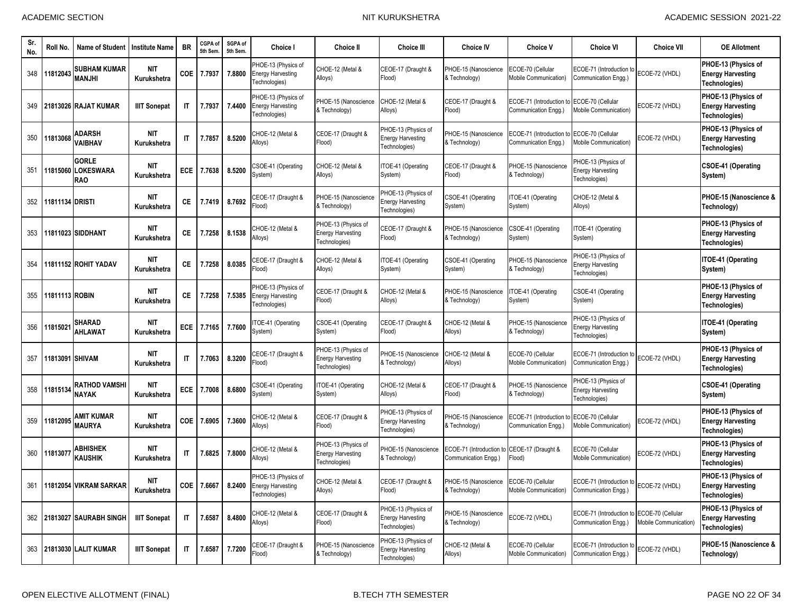| Sr.<br>No. | Roll No.         | <b>Name of Student</b>                         | <b>Institute Name</b>     | BR                     | CGPA of<br>5th Sem | SGPA of<br>5th Sem. | Choice I                                                                        | Choice II                                                        | <b>Choice III</b>                                                | <b>Choice IV</b>                                        | <b>Choice V</b>                                  | Choice VI                                                        | <b>Choice VII</b>                         | <b>OE Allotment</b>                                              |
|------------|------------------|------------------------------------------------|---------------------------|------------------------|--------------------|---------------------|---------------------------------------------------------------------------------|------------------------------------------------------------------|------------------------------------------------------------------|---------------------------------------------------------|--------------------------------------------------|------------------------------------------------------------------|-------------------------------------------|------------------------------------------------------------------|
| 348        | 11812043         | <b>SUBHAM KUMAR</b><br>MANJHI                  | <b>NIT</b><br>Kurukshetra | <b>COE</b>             | 7.7937             | 7.8800              | PHOE-13 (Physics of<br><b>Energy Harvesting</b><br>Technologies)                | CHOE-12 (Metal &<br>Alloys)                                      | CEOE-17 (Draught &<br>Flood)                                     | PHOE-15 (Nanoscience<br>& Technology)                   | ECOE-70 (Cellular<br>Mobile Communication)       | ECOE-71 (Introduction to<br>Communication Engg.)                 | ECOE-72 (VHDL)                            | PHOE-13 (Physics of<br><b>Energy Harvesting</b><br>Technologies) |
| 349        |                  | 21813026 RAJAT KUMAR                           | <b>IIIT Sonepat</b>       | IT                     | 7.7937             | 7.4400              | PHOE-13 (Physics of<br><b>Energy Harvesting</b><br>Fechnologies)                | PHOE-15 (Nanoscience<br>& Technology)                            | CHOE-12 (Metal &<br>Alloys)                                      | CEOE-17 (Draught &<br>Flood)                            | ECOE-71 (Introduction to<br>Communication Engg.) | ECOE-70 (Cellular<br>Mobile Communication)                       | ECOE-72 (VHDL)                            | PHOE-13 (Physics of<br><b>Energy Harvesting</b><br>Technologies) |
| 350        | 11813068         | <b>ADARSH</b><br><b>VAIBHAV</b>                | <b>NIT</b><br>Kurukshetra | $\mathsf{I}\mathsf{T}$ | 7.7857             | 8.5200              | CHOE-12 (Metal &<br>Alloys)                                                     | CEOE-17 (Draught &<br>Flood)                                     | PHOE-13 (Physics of<br><b>Energy Harvesting</b><br>Fechnologies) | PHOE-15 (Nanoscience<br>& Technology)                   | ECOE-71 (Introduction to<br>Communication Engg.) | ECOE-70 (Cellular<br>Mobile Communication)                       | ECOE-72 (VHDL)                            | PHOE-13 (Physics of<br><b>Energy Harvesting</b><br>Technologies) |
| 351        | 11815060         | <b>GORLE</b><br><b>LOKESWARA</b><br><b>RAO</b> | NIT<br>Kurukshetra        | <b>ECE</b>             | 7.7638             | 8.5200              | SOE-41 (Operating<br>System)                                                    | CHOE-12 (Metal &<br>Alloys)                                      | ITOE-41 (Operating<br>System)                                    | CEOE-17 (Draught &<br>Flood)                            | PHOE-15 (Nanoscience<br>& Technology)            | PHOE-13 (Physics of<br><b>Energy Harvesting</b><br>Fechnologies) |                                           | CSOE-41 (Operating<br>System)                                    |
| 352        | 11811134 DRISTI  |                                                | NIT<br>Kurukshetra        | СE                     | 7.7419             | 8.7692              | CEOE-17 (Draught &<br>Flood)                                                    | PHOE-15 (Nanoscience<br>& Technology)                            | PHOE-13 (Physics of<br>nergy Harvesting<br>Fechnologies)         | CSOE-41 (Operating<br>System)                           | TOE-41 (Operating<br>System)                     | CHOE-12 (Metal &<br>Alloys)                                      |                                           | PHOE-15 (Nanoscience &<br>Technology)                            |
| 353        |                  | 11811023 SIDDHANT                              | NIT<br>Kurukshetra        | СE                     | 7.7258             | 8.1538              | CHOE-12 (Metal &<br>Alloys)                                                     | PHOE-13 (Physics of<br><b>Energy Harvesting</b><br>Technologies) | CEOE-17 (Draught &<br>Flood)                                     | PHOE-15 (Nanoscience<br>& Technology)                   | CSOE-41 (Operating<br>System)                    | TOE-41 (Operating<br>System)                                     |                                           | PHOE-13 (Physics of<br><b>Energy Harvesting</b><br>Technologies) |
| 354        |                  | 11811152 ROHIT YADAV                           | <b>NIT</b><br>Kurukshetra | СE                     | 7.7258             | 8.0385              | CEOE-17 (Draught &<br>Flood)                                                    | CHOE-12 (Metal &<br>Alloys)                                      | ITOE-41 (Operating<br>System)                                    | CSOE-41 (Operating<br>System)                           | PHOE-15 (Nanoscience<br>& Technology)            | PHOE-13 (Physics of<br><b>Energy Harvesting</b><br>Fechnologies) |                                           | <b>ITOE-41 (Operating</b><br>System)                             |
| 355        | 11811113 ROBIN   |                                                | <b>NIT</b><br>Kurukshetra | СE                     | 7.7258             | 7.5385              | PHOE-13 (Physics of<br><b>Energy Harvesting</b><br>Technologies)                | CEOE-17 (Draught &<br>Flood)                                     | CHOE-12 (Metal &<br>Alloys)                                      | PHOE-15 (Nanoscience<br>& Technology)                   | TOE-41 (Operating<br>System)                     | CSOE-41 (Operating<br>System)                                    |                                           | PHOE-13 (Physics of<br><b>Energy Harvesting</b><br>Technologies) |
| 356        | 11815021         | SHARAD<br><b>AHLAWAT</b>                       | <b>NIT</b><br>Kurukshetra | ECE                    | 7.7165             | 7.7600              | TOE-41 (Operating<br>System)                                                    | CSOE-41 (Operating<br>System)                                    | CEOE-17 (Draught &<br>Flood)                                     | CHOE-12 (Metal &<br>Alloys)                             | PHOE-15 (Nanoscience<br>& Technology)            | PHOE-13 (Physics of<br><b>Energy Harvesting</b><br>Technologies) |                                           | ITOE-41 (Operating<br>System)                                    |
| 357        | 11813091 ISHIVAM |                                                | NIT<br>Kurukshetra        | $\mathsf{I}\mathsf{T}$ | 7.7063             | 8.3200              | CEOE-17 (Draught &<br>Flood)                                                    | PHOE-13 (Physics of<br><b>Energy Harvesting</b><br>Technologies) | PHOE-15 (Nanoscience<br>& Technology)                            | CHOE-12 (Metal &<br>Alloys)                             | ECOE-70 (Cellular<br>Mobile Communication)       | ECOE-71 (Introduction to<br>Communication Engg.)                 | ECOE-72 (VHDL)                            | PHOE-13 (Physics of<br><b>Energy Harvesting</b><br>Technologies) |
| 358        | 11815134         | RATHOD VAMSHI<br><b>NAYAK</b>                  | NIT<br>Kurukshetra        | ECE                    | 7.7008             | 8.6800              | CSOE-41 (Operating<br>System)                                                   | ITOE-41 (Operating<br>System)                                    | CHOE-12 (Metal &<br>Alloys)                                      | CEOE-17 (Draught &<br>Flood)                            | PHOE-15 (Nanoscience<br>& Technology)            | PHOE-13 (Physics of<br><b>Energy Harvesting</b><br>Fechnologies) |                                           | <b>CSOE-41 (Operating</b><br>System)                             |
| 359        | 11812095         | AMIT KUMAR<br><b>MAURYA</b>                    | <b>NIT</b><br>Kurukshetra | <b>COE</b>             | 7.6905             | 7.3600              | CHOE-12 (Metal &<br>Alloys)                                                     | CEOE-17 (Draught &<br>Flood)                                     | PHOE-13 (Physics of<br><b>Energy Harvesting</b><br>Technologies) | PHOE-15 (Nanoscience<br>& Technology)                   | ECOE-71 (Introduction to<br>Communication Engg.) | ECOE-70 (Cellular<br><b>Mobile Communication)</b>                | ECOE-72 (VHDL)                            | PHOE-13 (Physics of<br><b>Energy Harvesting</b><br>Technologies) |
| 360        | 11813077         | ABHISHEK<br><b>KAUSHIK</b>                     | <b>NIT</b><br>Kurukshetra | $\mathsf{I}\mathsf{T}$ | 7.6825             | 7.8000              | CHOE-12 (Metal &<br>Alloys)                                                     | PHOE-13 (Physics of<br><b>Energy Harvesting</b><br>Technologies) | PHOE-15 (Nanoscience<br>& Technology)                            | ECOE-71 (Introduction<br>Communication Engg.)           | CEOE-17 (Draught &<br>Flood)                     | ECOE-70 (Cellular<br><b>Mobile Communication)</b>                | ECOE-72 (VHDL)                            | PHOE-13 (Physics of<br><b>Energy Harvesting</b><br>Technologies) |
|            |                  | 361 11812054 VIKRAM SARKAR                     | <b>NIT</b><br>Kurukshetra |                        |                    |                     | PHOE-13 (Physics of<br>COE   7.6667   8.2400 Energy Harvesting<br>Technologies) | CHOE-12 (Metal &<br>Alloys)                                      | CEOE-17 (Draught &<br>Flood)                                     | PHOE-15 (Nanoscience ECOE-70 (Cellular<br>& Technology) | Mobile Communication)                            | ECOE-71 (Introduction to ECOE-72 (VHDL)<br>Communication Engg.)  |                                           | PHOE-13 (Physics of<br><b>Energy Harvesting</b><br>Technologies) |
|            |                  | 362 21813027 SAURABH SINGH                     | <b>IIIT Sonepat</b>       | IT                     | 7.6587             | 8.4800              | CHOE-12 (Metal &<br>Alloys)                                                     | CEOE-17 (Draught &<br>Flood)                                     | PHOE-13 (Physics of<br><b>Energy Harvesting</b><br>Technologies) | PHOE-15 (Nanoscience<br>& Technology)                   | ECOE-72 (VHDL)                                   | ECOE-71 (Introduction to<br>Communication Engq.)                 | ECOE-70 (Cellular<br>Mobile Communication | PHOE-13 (Physics of<br><b>Energy Harvesting</b><br>Technologies) |
| 363        |                  | 21813030 LALIT KUMAR                           | <b>IIIT Sonepat</b>       | $\mathsf{I}\mathsf{T}$ | 7.6587             | 7.7200              | CEOE-17 (Draught &<br>Flood)                                                    | PHOE-15 (Nanoscience<br>& Technology)                            | PHOE-13 (Physics of<br><b>Energy Harvesting</b><br>Technologies) | CHOE-12 (Metal &<br>Alloys)                             | ECOE-70 (Cellular<br>Mobile Communication)       | ECOE-71 (Introduction to<br>Communication Engg.)                 | ECOE-72 (VHDL)                            | PHOE-15 (Nanoscience &<br>Technology)                            |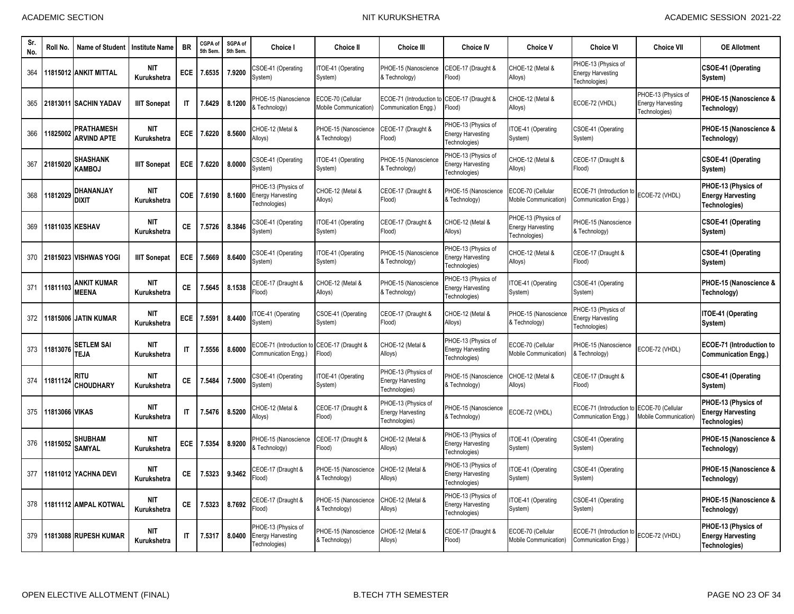| Sr.<br>No. | Roll No.       | Name of Student                    | <b>Institute Name</b>     | <b>BR</b>    | CGPA of<br>5th Sem | SGPA of<br>5th Sem. | Choice I                                                         | <b>Choice II</b>                                  | <b>Choice III</b>                                                | <b>Choice IV</b>                                                 | <b>Choice V</b>                                                  | <b>Choice VI</b>                                                 | <b>Choice VII</b>                                                       | <b>OE Allotment</b>                                              |
|------------|----------------|------------------------------------|---------------------------|--------------|--------------------|---------------------|------------------------------------------------------------------|---------------------------------------------------|------------------------------------------------------------------|------------------------------------------------------------------|------------------------------------------------------------------|------------------------------------------------------------------|-------------------------------------------------------------------------|------------------------------------------------------------------|
| 364        |                | 11815012 ANKIT MITTAL              | <b>NIT</b><br>Kurukshetra | <b>ECE</b>   | 7.6535             | 7.9200              | SOE-41 (Operating<br>System)                                     | TOE-41 (Operating<br>System)                      | PHOE-15 (Nanoscience<br>& Technology)                            | CEOE-17 (Draught &<br>Flood)                                     | CHOE-12 (Metal &<br>Alloys)                                      | PHOE-13 (Physics of<br><b>Energy Harvesting</b><br>Technologies) |                                                                         | CSOE-41 (Operating<br>System)                                    |
| 365        |                | 21813011 SACHIN YADAV              | <b>IIIT Sonepat</b>       | $\mathsf{I}$ | 7.6429             | 8.1200              | <b>PHOE-15 (Nanoscience</b><br>& Technology)                     | ECOE-70 (Cellular<br><b>Mobile Communication)</b> | ECOE-71 (Introduction f<br>Communication Engg.)                  | CEOE-17 (Draught &<br>Flood)                                     | CHOE-12 (Metal &<br>Alloys)                                      | ECOE-72 (VHDL)                                                   | PHOE-13 (Physics of<br><b>Energy Harvesting</b><br><b>Technologies)</b> | PHOE-15 (Nanoscience &<br>Technology)                            |
| 366        | 11825002       | PRATHAMESH<br><b>ARVIND APTE</b>   | <b>NIT</b><br>Kurukshetra | ECE          | 7.6220             | 8.5600              | CHOE-12 (Metal &<br>Alloys)                                      | PHOE-15 (Nanoscience<br>& Technology)             | CEOE-17 (Draught &<br>Flood)                                     | PHOE-13 (Physics of<br><b>Energy Harvesting</b><br>Technologies) | TOE-41 (Operating<br>System)                                     | CSOE-41 (Operating<br>System)                                    |                                                                         | PHOE-15 (Nanoscience &<br>Technology)                            |
| 367        | 21815020       | <b>SHASHANK</b><br><b>KAMBOJ</b>   | <b>IIIT Sonepat</b>       | <b>ECE</b>   | 7.6220             | 8.0000              | CSOE-41 (Operating<br>System)                                    | ITOE-41 (Operating<br>System)                     | PHOE-15 (Nanoscience<br>& Technology)                            | PHOE-13 (Physics of<br><b>Energy Harvesting</b><br>Technologies) | CHOE-12 (Metal &<br>Alloys)                                      | CEOE-17 (Draught &<br>Flood)                                     |                                                                         | CSOE-41 (Operating<br>System)                                    |
| 368        | 11812029       | DHANANJAY<br><b>DIXIT</b>          | NIT<br>Kurukshetra        | <b>COE</b>   | 7.6190             | 8.1600              | PHOE-13 (Physics of<br><b>Energy Harvesting</b><br>Technologies) | CHOE-12 (Metal &<br>Alloys)                       | CEOE-17 (Draught &<br>Flood)                                     | PHOE-15 (Nanoscience<br>& Technology)                            | ECOE-70 (Cellular<br>Mobile Communication)                       | ECOE-71 (Introduction<br>Communication Engg.)                    | ECOE-72 (VHDL)                                                          | PHOE-13 (Physics of<br><b>Energy Harvesting</b><br>Technologies) |
| 369        |                | 11811035 KESHAV                    | <b>NIT</b><br>Kurukshetra | <b>CE</b>    | 7.5726             | 8.3846              | <b>CSOE-41 (Operating</b><br>System)                             | ITOE-41 (Operating<br>System)                     | CEOE-17 (Draught &<br>Flood)                                     | CHOE-12 (Metal &<br>Alloys)                                      | PHOE-13 (Physics of<br><b>Energy Harvesting</b><br>Technologies) | PHOE-15 (Nanoscience<br>& Technology)                            |                                                                         | <b>CSOE-41 (Operating</b><br>System)                             |
| 370        |                | 21815023 VISHWAS YOGI              | <b>IIIT Sonepat</b>       | <b>ECE</b>   | 7.5669             | 8.6400              | <b>CSOE-41 (Operating</b><br>System)                             | TOE-41 (Operating<br>System)                      | PHOE-15 (Nanoscience<br>& Technology)                            | PHOE-13 (Physics of<br><b>Energy Harvesting</b><br>Technologies) | CHOE-12 (Metal &<br>Alloys)                                      | CEOE-17 (Draught &<br>Flood)                                     |                                                                         | <b>CSOE-41 (Operating</b><br>System)                             |
| 371        | 11811103       | <b>ANKIT KUMAR</b><br><b>MEENA</b> | NIT<br>Kurukshetra        | <b>CE</b>    | 7.5645             | 8.1538              | CEOE-17 (Draught &<br>Flood)                                     | CHOE-12 (Metal &<br>Alloys)                       | PHOE-15 (Nanoscience<br>& Technology)                            | PHOE-13 (Physics of<br><b>Energy Harvesting</b><br>Technologies) | TOE-41 (Operating<br>System)                                     | CSOE-41 (Operating<br>System)                                    |                                                                         | PHOE-15 (Nanoscience &<br>Technology)                            |
| 372        |                | 11815006 JATIN KUMAR               | <b>NIT</b><br>Kurukshetra | ECE          | 7.5591             | 8.4400              | TOE-41 (Operating<br>System)                                     | CSOE-41 (Operating<br>System)                     | CEOE-17 (Draught &<br>Flood)                                     | CHOE-12 (Metal &<br>Alloys)                                      | PHOE-15 (Nanoscience<br>& Technology)                            | PHOE-13 (Physics of<br><b>Energy Harvesting</b><br>Technologies) |                                                                         | ITOE-41 (Operating<br>System)                                    |
| 373        | 11813076       | <b>SETLEM SAI</b><br>TEJA          | <b>NIT</b><br>Kurukshetra | IT           | 7.5556             | 8.6000              | ECOE-71 (Introduction to<br>Communication Engg.)                 | CEOE-17 (Draught &<br>Flood)                      | CHOE-12 (Metal &<br>Alloys)                                      | PHOE-13 (Physics of<br><b>Energy Harvesting</b><br>Technologies) | ECOE-70 (Cellular<br>Mobile Communication)                       | PHOE-15 (Nanoscience<br>& Technology)                            | ECOE-72 (VHDL)                                                          | <b>ECOE-71 (Introduction to</b><br><b>Communication Engg.)</b>   |
| 374        | 11811124       | RITU<br><b>CHOUDHARY</b>           | <b>NIT</b><br>Kurukshetra | CE           | 7.5484             | 7.5000              | SOE-41 (Operating<br>System)                                     | ITOE-41 (Operating<br>System)                     | PHOE-13 (Physics of<br><b>Energy Harvesting</b><br>Technologies) | PHOE-15 (Nanoscience<br>& Technology)                            | CHOE-12 (Metal &<br>Alloys)                                      | CEOE-17 (Draught &<br>Flood)                                     |                                                                         | CSOE-41 (Operating<br>System)                                    |
| 375        | 11813066 VIKAS |                                    | <b>NIT</b><br>Kurukshetra | $\mathsf{I}$ | 7.5476             | 8.5200              | CHOE-12 (Metal &<br>Alloys)                                      | CEOE-17 (Draught &<br>Flood)                      | PHOE-13 (Physics of<br><b>Energy Harvesting</b><br>Technologies) | PHOE-15 (Nanoscience<br>& Technology)                            | ECOE-72 (VHDL)                                                   | ECOE-71 (Introduction<br>Communication Engg.)                    | ECOE-70 (Cellular<br>Mobile Communication <sup>®</sup>                  | PHOE-13 (Physics of<br><b>Energy Harvesting</b><br>Technologies) |
| 376        | 11815052       | <b>SHUBHAM</b><br><b>SAMYAL</b>    | <b>NIT</b><br>Kurukshetra | ECE          | 7.5354             | 8.9200              | <b>PHOE-15 (Nanoscience</b><br>& Technology)                     | EOE-17 (Draught &<br>Flood)                       | CHOE-12 (Metal &<br>Alloys)                                      | PHOE-13 (Physics of<br><b>Energy Harvesting</b><br>Technologies) | <b>FOE-41 (Operating</b><br>System)                              | CSOE-41 (Operating<br>System)                                    |                                                                         | PHOE-15 (Nanoscience &<br>Technology)                            |
| 377        |                | 11811012 YACHNA DEVI               | <b>NIT</b><br>Kurukshetra | <b>CE</b>    | 7.5323             | 9.3462              | CEOE-17 (Draught &<br>Flood)                                     | PHOE-15 (Nanoscience<br>& Technology)             | CHOE-12 (Metal &<br>Alloys)                                      | PHOE-13 (Physics of<br><b>Energy Harvesting</b><br>Technologies) | TOE-41 (Operating<br>System)                                     | CSOE-41 (Operating<br>System)                                    |                                                                         | PHOE-15 (Nanoscience &<br>Technology)                            |
| 378        |                | 11811112 AMPAL KOTWAL              | <b>NIT</b><br>Kurukshetra | <b>CE</b>    | 7.5323             | 8.7692              | CEOE-17 (Draught &<br>Flood)                                     | PHOE-15 (Nanoscience<br>& Technology)             | CHOE-12 (Metal &<br>Alloys)                                      | PHOE-13 (Physics of<br><b>Energy Harvesting</b><br>Technologies) | <b>TOE-41 (Operating</b><br>System)                              | CSOE-41 (Operating<br>System)                                    |                                                                         | PHOE-15 (Nanoscience &<br>Technology)                            |
| 379        |                | 11813088 RUPESH KUMAR              | <b>NIT</b><br>Kurukshetra | IT           | 7.5317             | 8.0400              | PHOE-13 (Physics of<br><b>Energy Harvesting</b><br>Technologies) | PHOE-15 (Nanoscience<br>& Technology)             | CHOE-12 (Metal &<br>Alloys)                                      | CEOE-17 (Draught &<br>Flood)                                     | ECOE-70 (Cellular<br>Mobile Communication)                       | ECOE-71 (Introduction<br>Communication Engg.)                    | ECOE-72 (VHDL)                                                          | PHOE-13 (Physics of<br><b>Energy Harvesting</b><br>Technologies) |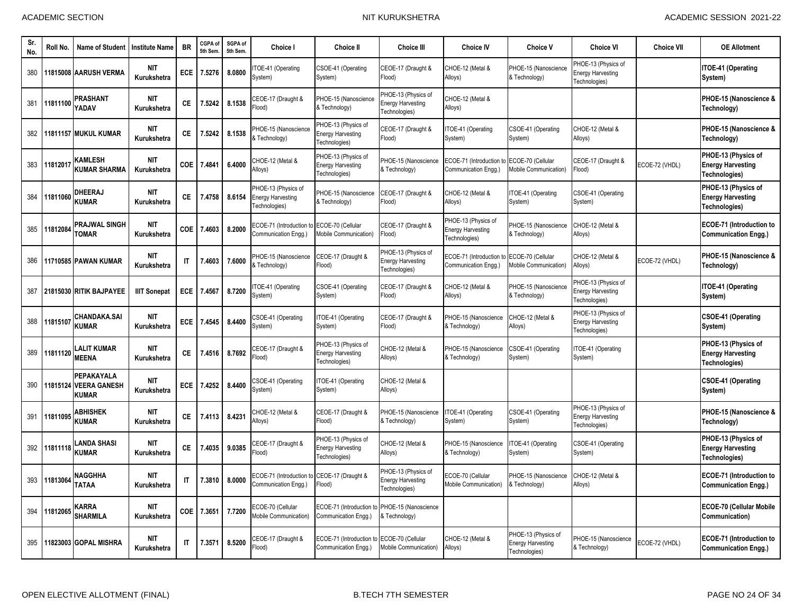| Sr.<br>No. | Roll No. | Name of Student                                          | <b>Institute Name</b>     | <b>BR</b>              | CGPA of<br>5th Sem | SGPA of<br>5th Sem. | Choice I                                                            | <b>Choice II</b>                                                 | <b>Choice III</b>                                                | <b>Choice IV</b>                                                 | <b>Choice V</b>                                           | <b>Choice VI</b>                                                 | <b>Choice VII</b> | <b>OE Allotment</b>                                              |
|------------|----------|----------------------------------------------------------|---------------------------|------------------------|--------------------|---------------------|---------------------------------------------------------------------|------------------------------------------------------------------|------------------------------------------------------------------|------------------------------------------------------------------|-----------------------------------------------------------|------------------------------------------------------------------|-------------------|------------------------------------------------------------------|
| 380        |          | 11815008 AARUSH VERMA                                    | <b>NIT</b><br>Kurukshetra | ECE                    | 7.5276             | 8.0800              | TOE-41 (Operating<br>System)                                        | CSOE-41 (Operating<br>System)                                    | CEOE-17 (Draught &<br>Flood)                                     | CHOE-12 (Metal &<br>Alloys)                                      | PHOE-15 (Nanoscience<br>& Technology)                     | PHOE-13 (Physics of<br><b>Energy Harvesting</b><br>Technologies) |                   | ITOE-41 (Operating<br>System)                                    |
| 381        | 11811100 | PRASHANT<br>YADAV                                        | <b>NIT</b><br>Kurukshetra | CE.                    | 7.5242             | 8.1538              | CEOE-17 (Draught &<br>(bool <sup>:</sup>                            | PHOE-15 (Nanoscience<br>& Technology)                            | PHOE-13 (Physics of<br><b>Energy Harvesting</b><br>Technologies) | CHOE-12 (Metal &<br>Alloys)                                      |                                                           |                                                                  |                   | PHOE-15 (Nanoscience &<br>Technology)                            |
| 382        |          | 11811157 MUKUL KUMAR                                     | <b>NIT</b><br>Kurukshetra | СE                     | 7.5242             | 8.1538              | PHOE-15 (Nanoscience<br>& Technology)                               | PHOE-13 (Physics of<br><b>Energy Harvesting</b><br>Technologies) | CEOE-17 (Draught &<br>(bool <sup>=</sup>                         | TOE-41 (Operating<br>System)                                     | CSOE-41 (Operating<br>System)                             | CHOE-12 (Metal &<br>Alloys)                                      |                   | PHOE-15 (Nanoscience &<br>Technology)                            |
| 383        | 11812017 | <b>KAMLESH</b><br><b>KUMAR SHARMA</b>                    | <b>NIT</b><br>Kurukshetra | <b>COE</b>             | 7.4841             | 6.4000              | CHOE-12 (Metal &<br>Alloys)                                         | PHOE-13 (Physics of<br><b>Energy Harvesting</b><br>Technologies) | HOE-15 (Nanoscience<br>& Technology)                             | ECOE-71 (Introduction<br>Communication Engg.)                    | ECOE-70 (Cellular<br><b>Mobile Communication)</b>         | CEOE-17 (Draught &<br>Flood)                                     | ECOE-72 (VHDL)    | PHOE-13 (Physics of<br><b>Energy Harvesting</b><br>Technologies) |
| 384        | 11811060 | <b>DHEERAJ</b><br><b>KUMAR</b>                           | <b>NIT</b><br>Kurukshetra | <b>CE</b>              | 7.4758             | 8.6154              | PHOE-13 (Physics of<br><b>Energy Harvesting</b><br>Technologies)    | PHOE-15 (Nanoscience<br>& Technology)                            | CEOE-17 (Draught &<br>Flood)                                     | CHOE-12 (Metal &<br>Alloys)                                      | TOE-41 (Operating<br>System)                              | <b>CSOE-41 (Operating</b><br>System)                             |                   | PHOE-13 (Physics of<br><b>Energy Harvesting</b><br>Technologies) |
| 385        | 11812084 | <b>PRAJWAL SINGH</b><br><b>TOMAR</b>                     | <b>NIT</b><br>Kurukshetra | COE                    | 7.4603             | 8.2000              | ECOE-71 (Introduction to ECOE-70 (Cellular<br>Communication Engg.)  | Mobile Communication)                                            | CEOE-17 (Draught &<br>(bool <sup>:</sup>                         | PHOE-13 (Physics of<br><b>Energy Harvesting</b><br>Technologies) | PHOE-15 (Nanoscience<br>& Technology)                     | CHOE-12 (Metal &<br>Alloys)                                      |                   | <b>ECOE-71 (Introduction to</b><br><b>Communication Engg.)</b>   |
| 386        |          | 11710585 PAWAN KUMAR                                     | <b>NIT</b><br>Kurukshetra | $\mathsf{I}\mathsf{T}$ | 7.4603             | 7.6000              | PHOE-15 (Nanoscience<br>& Technology)                               | CEOE-17 (Draught &<br>Flood)                                     | PHOE-13 (Physics of<br><b>Energy Harvesting</b><br>Technologies) | ECOE-71 (Introduction<br>Communication Engg.)                    | ECOE-70 (Cellular<br>Mobile Communication)                | CHOE-12 (Metal &<br>Alloys)                                      | ECOE-72 (VHDL)    | PHOE-15 (Nanoscience &<br>Technology)                            |
| 387        |          | 21815030 RITIK BAJPAYEE                                  | <b>IIIT Sonepat</b>       | <b>ECE</b>             | 7.4567             | 8.7200              | TOE-41 (Operating<br>System)                                        | CSOE-41 (Operating<br>System)                                    | CEOE-17 (Draught &<br>(bool <sup>=</sup>                         | CHOE-12 (Metal &<br>Alloys)                                      | PHOE-15 (Nanoscience<br>& Technology)                     | PHOE-13 (Physics of<br><b>Energy Harvesting</b><br>Technologies) |                   | <b>ITOE-41 (Operating</b><br>System)                             |
| 388        | 11815107 | <b>CHANDAKA.SAI</b><br><b>KUMAR</b>                      | <b>NIT</b><br>Kurukshetra | ECE                    | 7.4545             | 8.4400              | CSOE-41 (Operating<br>System)                                       | ITOE-41 (Operating<br>System)                                    | CEOE-17 (Draught &<br>Flood)                                     | PHOE-15 (Nanoscience<br>& Technology)                            | CHOE-12 (Metal &<br>Alloys)                               | PHOE-13 (Physics of<br><b>Energy Harvesting</b><br>Technologies) |                   | <b>CSOE-41 (Operating</b><br>System)                             |
| 389        | 11811120 | <b>ALIT KUMAR</b><br><b>MEENA</b>                        | <b>NIT</b><br>Kurukshetra | CE.                    | 7.4516             | 8.7692              | CEOE-17 (Draught &<br>(bool <sup>-</sup>                            | PHOE-13 (Physics of<br><b>Energy Harvesting</b><br>Technologies) | HOE-12 (Metal &<br>Alloys)                                       | PHOE-15 (Nanoscience<br>& Technology)                            | SOE-41 (Operating<br>System)                              | TOE-41 (Operating<br>System)                                     |                   | PHOE-13 (Physics of<br><b>Energy Harvesting</b><br>Technologies) |
| 390        | 11815124 | <b>PEPAKAYALA</b><br><b>VEERA GANESH</b><br><b>KUMAR</b> | <b>NIT</b><br>Kurukshetra | <b>ECE</b>             | 7.4252             | 8.4400              | CSOE-41 (Operating<br>System)                                       | ITOE-41 (Operating<br>System)                                    | CHOE-12 (Metal &<br>Alloys)                                      |                                                                  |                                                           |                                                                  |                   | <b>CSOE-41 (Operating</b><br>System)                             |
| 391        | 11811095 | <b>ABHISHEK</b><br><b>KUMAR</b>                          | <b>NIT</b><br>Kurukshetra | CE.                    | 7.4113             | 8.4231              | CHOE-12 (Metal &<br>Alloys)                                         | CEOE-17 (Draught &<br>Flood)                                     | PHOE-15 (Nanoscience<br>& Technology)                            | ITOE-41 (Operating<br>System)                                    | CSOE-41 (Operating<br>System)                             | PHOE-13 (Physics of<br><b>Energy Harvesting</b><br>Technologies) |                   | PHOE-15 (Nanoscience &<br>Technology)                            |
| 392        | 11811118 | LANDA SHASI<br><b>KUMAR</b>                              | <b>NIT</b><br>Kurukshetra | <b>CE</b>              | 7.4035             | 9.0385              | CEOE-17 (Draught &<br>Flood)                                        | PHOE-13 (Physics of<br><b>Energy Harvesting</b><br>Technologies) | CHOE-12 (Metal &<br>Alloys)                                      | PHOE-15 (Nanoscience<br>& Technology)                            | TOE-41 (Operating<br>System)                              | <b>CSOE-41 (Operating</b><br>System)                             |                   | PHOE-13 (Physics of<br><b>Energy Harvesting</b><br>Technologies) |
| 393        | 11813064 | <b>NAGGHHA</b><br><b>TATAA</b>                           | <b>NIT</b><br>Kurukshetra | $\mathsf{I}\mathsf{T}$ | 7.3810             | 8.0000              | ECOE-71 (Introduction to CEOE-17 (Draught &<br>Communication Engg.) | Flood)                                                           | PHOE-13 (Physics of<br><b>Energy Harvesting</b><br>Technologies) | ECOE-70 (Cellular<br>Mobile Communication)                       | PHOE-15 (Nanoscience<br><b>Exechnology</b> )              | CHOE-12 (Metal &<br>Alloys)                                      |                   | <b>ECOE-71 (Introduction to</b><br><b>Communication Engg.)</b>   |
| 394        | 11812065 | KARRA<br><b>SHARMILA</b>                                 | <b>NIT</b><br>Kurukshetra | COE                    | 7.3651             | 7.7200              | ECOE-70 (Cellular<br><b>Mobile Communication)</b>                   | ECOE-71 (Introduction to<br>Communication Engg.)                 | PHOE-15 (Nanoscience<br>& Technology)                            |                                                                  |                                                           |                                                                  |                   | <b>ECOE-70 (Cellular Mobile</b><br>Communication)                |
| 395        |          | 11823003 GOPAL MISHRA                                    | <b>NIT</b><br>Kurukshetra | $\mathsf{I}\mathsf{T}$ | 7.3571             | 8.5200              | EOE-17 (Draught &<br>Flood)                                         | ECOE-71 (Introduction to<br>Communication Engg.)                 | ECOE-70 (Cellular<br>Mobile Communication)                       | CHOE-12 (Metal &<br>Alloys)                                      | PHOE-13 (Physics of<br>Energy Harvesting<br>Technologies) | <b>PHOE-15 (Nanoscience</b><br>& Technology)                     | ECOE-72 (VHDL)    | <b>ECOE-71 (Introduction to</b><br><b>Communication Engg.)</b>   |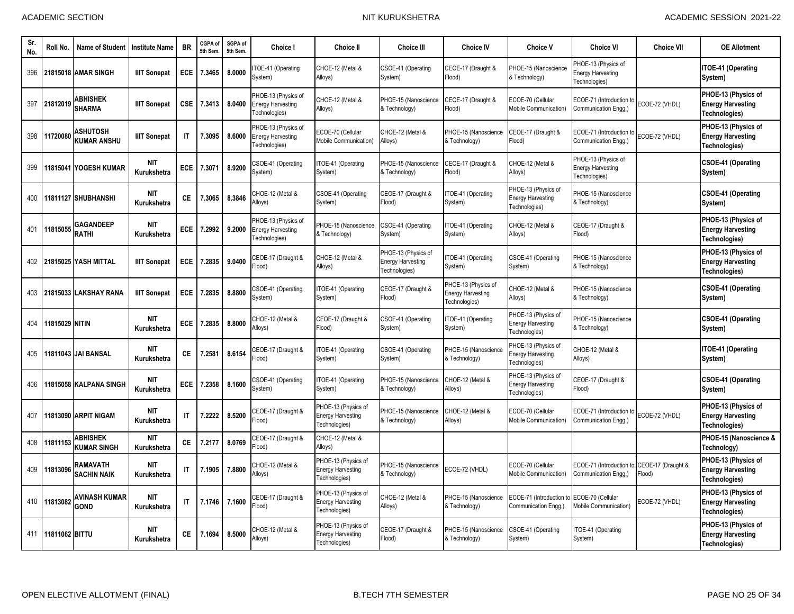| Sr<br>No. | Roll No.              | <b>Name of Student</b>                | <b>Institute Name</b>     | <b>BR</b>              | CGPA of<br>5th Sem | SGPA of<br>5th Sem | <b>Choice I</b>                                                  | <b>Choice II</b>                                                 | <b>Choice III</b>                                                | <b>Choice IV</b>                                                 | <b>Choice V</b>                                                  | <b>Choice VI</b>                                                 | <b>Choice VII</b>            | <b>OE Allotment</b>                                              |
|-----------|-----------------------|---------------------------------------|---------------------------|------------------------|--------------------|--------------------|------------------------------------------------------------------|------------------------------------------------------------------|------------------------------------------------------------------|------------------------------------------------------------------|------------------------------------------------------------------|------------------------------------------------------------------|------------------------------|------------------------------------------------------------------|
| 396       |                       | 21815018 AMAR SINGH                   | <b>IIIT Sonepat</b>       | <b>ECE</b>             | 7.3465             | 8.0000             | TOE-41 (Operating<br>System)                                     | CHOE-12 (Metal &<br>Alloys)                                      | CSOE-41 (Operating<br>System)                                    | CEOE-17 (Draught &<br>Flood)                                     | PHOE-15 (Nanoscience<br>& Technology)                            | PHOE-13 (Physics of<br><b>Energy Harvesting</b><br>Technologies) |                              | ITOE-41 (Operating<br>System)                                    |
| 397       | 21812019              | <b>ABHISHEK</b><br><b>SHARMA</b>      | <b>IIIT Sonepat</b>       | <b>CSE</b>             | 7.3413             | 8.0400             | PHOE-13 (Physics of<br><b>Energy Harvesting</b><br>Technologies) | CHOE-12 (Metal &<br>Alloys)                                      | PHOE-15 (Nanoscience<br>& Technology)                            | CEOE-17 (Draught &<br>Flood)                                     | ECOE-70 (Cellular<br>Mobile Communication)                       | ECOE-71 (Introduction t<br>Communication Engg.)                  | ECOE-72 (VHDL)               | PHOE-13 (Physics of<br><b>Energy Harvesting</b><br>Technologies) |
| 398       | 11720080              | <b>ASHUTOSH</b><br><b>KUMAR ANSHU</b> | <b>IIIT Sonepat</b>       | $\mathsf{I}$           | 7.3095             | 8.6000             | PHOE-13 (Physics of<br><b>Energy Harvesting</b><br>Technologies) | ECOE-70 (Cellular<br>Mobile Communication)                       | CHOE-12 (Metal &<br>Alloys)                                      | PHOE-15 (Nanoscience<br>& Technology)                            | CEOE-17 (Draught &<br>Flood)                                     | ECOE-71 (Introduction to<br>Communication Engg.)                 | ECOE-72 (VHDL)               | PHOE-13 (Physics of<br><b>Energy Harvesting</b><br>Technologies) |
| 399       |                       | 11815041 IYOGESH KUMAR                | <b>NIT</b><br>Kurukshetra | <b>ECE</b>             | 7.3071             | 8.9200             | CSOE-41 (Operating<br>System)                                    | ITOE-41 (Operating<br>System)                                    | PHOE-15 (Nanoscience<br>& Technology)                            | CEOE-17 (Draught &<br>Flood)                                     | CHOE-12 (Metal &<br>Alloys)                                      | PHOE-13 (Physics of<br><b>Energy Harvesting</b><br>Technologies) |                              | <b>CSOE-41 (Operating</b><br>System)                             |
| 400       |                       | 11811127 SHUBHANSHI                   | <b>NIT</b><br>Kurukshetra | <b>CE</b>              | 7.3065             | 8.3846             | CHOE-12 (Metal &<br>Alloys)                                      | CSOE-41 (Operating<br>System)                                    | CEOE-17 (Draught &<br>Flood)                                     | TOE-41 (Operating<br>System)                                     | PHOE-13 (Physics of<br><b>Energy Harvesting</b><br>Technologies) | PHOE-15 (Nanoscience<br>& Technology)                            |                              | <b>CSOE-41 (Operating</b><br>System)                             |
| 401       | 11815055              | <b>GAGANDEEP</b><br>RATHI             | <b>NIT</b><br>Kurukshetra | <b>ECE</b>             | 7.2992             | 9.2000             | PHOE-13 (Physics of<br><b>Energy Harvesting</b><br>Fechnologies) | PHOE-15 (Nanoscience<br>& Technology)                            | CSOE-41 (Operating<br>System)                                    | TOE-41 (Operating<br>System)                                     | CHOE-12 (Metal &<br>Alloys)                                      | CEOE-17 (Draught &<br>Flood)                                     |                              | PHOE-13 (Physics of<br><b>Energy Harvesting</b><br>Technologies) |
| 402       |                       | 21815025 YASH MITTAL                  | <b>IIIT Sonepat</b>       | <b>ECE</b>             | 7.2835             | 9.0400             | CEOE-17 (Draught &<br>(bool <sup>=</sup>                         | CHOE-12 (Metal &<br>Alloys)                                      | PHOE-13 (Physics of<br><b>Energy Harvesting</b><br>Fechnologies) | TOE-41 (Operating<br>System)                                     | CSOE-41 (Operating<br>System)                                    | PHOE-15 (Nanoscience<br>& Technology)                            |                              | PHOE-13 (Physics of<br><b>Energy Harvesting</b><br>Technologies) |
| 403       |                       | 21815033 LAKSHAY RANA                 | <b>IIIT Sonepat</b>       | ECE                    | 7.2835             | 8.8800             | CSOE-41 (Operating<br>System)                                    | TOE-41 (Operating<br>System)                                     | CEOE-17 (Draught &<br>Flood)                                     | PHOE-13 (Physics of<br><b>Energy Harvesting</b><br>Technologies) | CHOE-12 (Metal &<br>Alloys)                                      | PHOE-15 (Nanoscience<br>& Technology)                            |                              | CSOE-41 (Operating<br>System)                                    |
| 404       | <b>11815029 NITIN</b> |                                       | <b>NIT</b><br>Kurukshetra | <b>ECE</b>             | 7.2835             | 8.8000             | CHOE-12 (Metal &<br>Alloys)                                      | CEOE-17 (Draught &<br>Flood)                                     | CSOE-41 (Operating<br>System)                                    | TOE-41 (Operating<br>System)                                     | PHOE-13 (Physics of<br><b>Energy Harvesting</b><br>Technologies) | <b>PHOE-15 (Nanoscience</b><br>Technology)                       |                              | <b>CSOE-41 (Operating</b><br>System)                             |
| 405       |                       | 11811043 JAI BANSAL                   | <b>NIT</b><br>Kurukshetra | СE                     | 7.2581             | 8.6154             | CEOE-17 (Draught &<br>lood)                                      | ITOE-41 (Operating<br>System)                                    | CSOE-41 (Operating<br>System)                                    | PHOE-15 (Nanoscience<br>& Technology)                            | PHOE-13 (Physics of<br>Energy Harvesting<br>Technologies)        | CHOE-12 (Metal &<br>Alloys)                                      |                              | ITOE-41 (Operating<br>System)                                    |
| 406       |                       | 11815058 KALPANA SINGH                | <b>NIT</b><br>Kurukshetra | ECE                    | 7.2358             | 8.1600             | CSOE-41 (Operating<br>System)                                    | ITOE-41 (Operating<br>System)                                    | PHOE-15 (Nanoscience<br>& Technology)                            | CHOE-12 (Metal &<br>Alloys)                                      | PHOE-13 (Physics of<br><b>Energy Harvesting</b><br>Technologies) | CEOE-17 (Draught &<br>[lood]                                     |                              | <b>CSOE-41 (Operating</b><br>System)                             |
| 407       |                       | 11813090 ARPIT NIGAM                  | <b>NIT</b><br>Kurukshetra | $\mathsf{I}$           | 7.2222             | 8.5200             | CEOE-17 (Draught &<br>Flood)                                     | PHOE-13 (Physics of<br><b>Energy Harvesting</b><br>Technologies) | PHOE-15 (Nanoscience<br>& Technology)                            | CHOE-12 (Metal &<br>Alloys)                                      | ECOE-70 (Cellular<br>Mobile Communication)                       | ECOE-71 (Introduction to<br>Communication Engg.)                 | ECOE-72 (VHDL)               | PHOE-13 (Physics of<br><b>Energy Harvesting</b><br>Technologies) |
| 408       | 11811153              | <b>ABHISHEK</b><br><b>KUMAR SINGH</b> | <b>NIT</b><br>Kurukshetra | <b>CE</b>              | 7.2177             | 8.0769             | <b>CEOE-17 (Draught &amp;</b><br>Flood)                          | CHOE-12 (Metal &<br>Alloys)                                      |                                                                  |                                                                  |                                                                  |                                                                  |                              | PHOE-15 (Nanoscience &<br>Technology)                            |
| 409       | 11813096              | RAMAVATH<br><b>SACHIN NAIK</b>        | <b>NIT</b><br>Kurukshetra | $\mathsf{I}\mathsf{T}$ | 7.1905             | 7.8800             | CHOE-12 (Metal &<br>Alloys)                                      | PHOE-13 (Physics of<br><b>Energy Harvesting</b><br>Technologies) | PHOE-15 (Nanoscience<br>& Technology)                            | ECOE-72 (VHDL)                                                   | ECOE-70 (Cellular<br>Mobile Communication)                       | ECOE-71 (Introduction to<br>Communication Engg.)                 | CEOE-17 (Draught &<br>Flood) | PHOE-13 (Physics of<br><b>Energy Harvesting</b><br>Technologies) |
| 410       | 11813082              | AVINASH KUMAR<br><b>GOND</b>          | <b>NIT</b><br>Kurukshetra | $\mathsf{I}\mathsf{T}$ | 7.1746             | 7.1600             | <b>CEOE-17 (Draught &amp;</b><br>(bool <sup>=</sup>              | PHOE-13 (Physics of<br><b>Energy Harvesting</b><br>Technologies) | CHOE-12 (Metal &<br>Alloys)                                      | PHOE-15 (Nanoscience<br>& Technology)                            | ECOE-71 (Introduction f<br>Communication Engq.                   | ECOE-70 (Cellular<br>Mobile Communication)                       | ECOE-72 (VHDL)               | PHOE-13 (Physics of<br><b>Energy Harvesting</b><br>Technologies) |
| 411       | 11811062 BITTU        |                                       | <b>NIT</b><br>Kurukshetra | СE                     | 7.1694             | 8.5000             | CHOE-12 (Metal &<br>Alloys)                                      | PHOE-13 (Physics of<br><b>Energy Harvesting</b><br>Technologies) | EOE-17 (Draught &<br>Flood)                                      | PHOE-15 (Nanoscience<br>& Technology)                            | SOE-41 (Operating<br>System)                                     | TOE-41 (Operating<br>System)                                     |                              | PHOE-13 (Physics of<br><b>Energy Harvesting</b><br>Technologies) |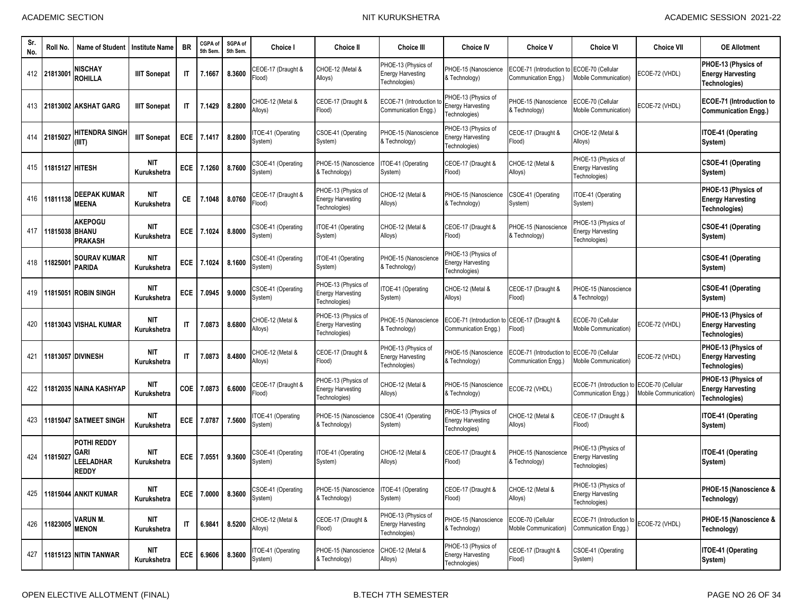| Sr.<br>No. | Roll No.        | <b>Name of Student</b>                                  | Institute Name            | <b>BR</b>              | CGPA of<br>5th Sem | SGPA of<br>5th Sem. | Choice I                      | <b>Choice II</b>                                                 | <b>Choice III</b>                                                | <b>Choice IV</b>                                                    | <b>Choice V</b>                                  | <b>Choice VI</b>                                                 | <b>Choice VII</b>                         | <b>OE Allotment</b>                                              |
|------------|-----------------|---------------------------------------------------------|---------------------------|------------------------|--------------------|---------------------|-------------------------------|------------------------------------------------------------------|------------------------------------------------------------------|---------------------------------------------------------------------|--------------------------------------------------|------------------------------------------------------------------|-------------------------------------------|------------------------------------------------------------------|
|            | 412 2181300     | <b>NISCHAY</b><br><b>ROHILLA</b>                        | <b>IIIT Sonepat</b>       | <b>IT</b>              | 7.1667             | 8.3600              | CEOE-17 (Draught &<br>Flood)  | CHOE-12 (Metal &<br>Alloys)                                      | PHOE-13 (Physics of<br><b>Energy Harvesting</b><br>Technologies) | PHOE-15 (Nanoscience<br>& Technology)                               | ECOE-71 (Introduction to<br>Communication Engg.) | ECOE-70 (Cellular<br><b>Mobile Communication)</b>                | ECOE-72 (VHDL)                            | PHOE-13 (Physics of<br><b>Energy Harvesting</b><br>Technologies) |
|            |                 | 413 21813002 AKSHAT GARG                                | <b>IIIT Sonepat</b>       | IT                     | 7.1429             | 8.2800              | CHOE-12 (Metal &<br>Alloys)   | CEOE-17 (Draught &<br>Flood)                                     | ECOE-71 (Introduction<br>Communication Engg.)                    | PHOE-13 (Physics of<br><b>Energy Harvesting</b><br>Technologies)    | PHOE-15 (Nanoscience<br>& Technology)            | ECOE-70 (Cellular<br>Mobile Communication)                       | ECOE-72 (VHDL)                            | <b>ECOE-71 (Introduction to</b><br><b>Communication Engg.)</b>   |
| 414        | 21815027        | <b>HITENDRA SINGH</b><br>(III)                          | <b>IIIT Sonepat</b>       | ECE                    | 7.1417             | 8.2800              | TOE-41 (Operating<br>System)  | CSOE-41 (Operating<br>System)                                    | PHOE-15 (Nanoscience<br>& Technology)                            | PHOE-13 (Physics of<br><b>Energy Harvesting</b><br>Technologies)    | CEOE-17 (Draught &<br>Flood)                     | CHOE-12 (Metal &<br>Alloys)                                      |                                           | <b>ITOE-41 (Operating</b><br>System)                             |
| 415        | 11815127 HITESH |                                                         | NIT<br>Kurukshetra        | <b>ECE</b>             | 7.1260             | 8.7600              | CSOE-41 (Operating<br>System) | PHOE-15 (Nanoscience<br>& Technology)                            | TOE-41 (Operating<br>System)                                     | CEOE-17 (Draught &<br>Flood)                                        | CHOE-12 (Metal &<br>Alloys)                      | PHOE-13 (Physics of<br><b>Energy Harvesting</b><br>Technologies) |                                           | <b>CSOE-41 (Operating</b><br>System)                             |
|            | 416 11811138    | <b>DEEPAK KUMAR</b><br><b>MEENA</b>                     | <b>NIT</b><br>Kurukshetra | СE                     | 7.1048             | 8.0760              | CEOE-17 (Draught &<br>Flood)  | PHOE-13 (Physics of<br><b>Energy Harvesting</b><br>Technologies) | CHOE-12 (Metal &<br>Alloys)                                      | PHOE-15 (Nanoscience<br>& Technology)                               | CSOE-41 (Operating<br>System)                    | TOE-41 (Operating<br>System)                                     |                                           | PHOE-13 (Physics of<br><b>Energy Harvesting</b><br>Technologies) |
| 417        | 11815038 BHANU  | <b>AKEPOGU</b><br><b>PRAKASH</b>                        | NIT<br>Kurukshetra        | <b>ECE</b>             | 7.1024             | 8.8000              | CSOE-41 (Operating<br>System) | ITOE-41 (Operating<br>System)                                    | CHOE-12 (Metal &<br>Alloys)                                      | CEOE-17 (Draught &<br>Flood)                                        | PHOE-15 (Nanoscience<br>& Technology)            | PHOE-13 (Physics of<br><b>Energy Harvesting</b><br>Technologies) |                                           | CSOE-41 (Operating<br>System)                                    |
| 418        | 1182500         | <b>SOURAV KUMAR</b><br><b>PARIDA</b>                    | <b>NIT</b><br>Kurukshetra | ECE                    | 7.1024             | 8.1600              | CSOE-41 (Operating<br>System) | ITOE-41 (Operating<br>System)                                    | PHOE-15 (Nanoscience<br>& Technology)                            | PHOE-13 (Physics of<br><b>Energy Harvesting</b><br>Technologies)    |                                                  |                                                                  |                                           | <b>CSOE-41 (Operating</b><br>System)                             |
| 419        |                 | 11815051 ROBIN SINGH                                    | NIT<br>Kurukshetra        | ECE                    | 7.0945             | 9.0000              | CSOE-41 (Operating<br>System) | PHOE-13 (Physics of<br><b>Energy Harvesting</b><br>Technologies) | TOE-41 (Operating<br>System)                                     | CHOE-12 (Metal &<br>Alloys)                                         | CEOE-17 (Draught &<br>Flood)                     | PHOE-15 (Nanoscience<br>& Technology)                            |                                           | CSOE-41 (Operating<br>System)                                    |
| 420        |                 | 11813043 VISHAL KUMAR                                   | <b>NIT</b><br>Kurukshetra | IT                     | 7.0873             | 8.6800              | CHOE-12 (Metal &<br>Alloys)   | PHOE-13 (Physics of<br><b>Energy Harvesting</b><br>Technologies) | PHOE-15 (Nanoscience<br>& Technology)                            | ECOE-71 (Introduction to CEOE-17 (Draught &<br>Communication Engg.) | Flood)                                           | ECOE-70 (Cellular<br><b>Mobile Communication)</b>                | ECOE-72 (VHDL)                            | PHOE-13 (Physics of<br><b>Energy Harvesting</b><br>Technologies) |
| 421        |                 | <b>11813057 DIVINESH</b>                                | NIT<br>Kurukshetra        | $\mathsf{I}$           | 7.0873             | 8.4800              | CHOE-12 (Metal &<br>Alloys)   | CEOE-17 (Draught &<br>Flood)                                     | PHOE-13 (Physics of<br><b>Energy Harvesting</b><br>Technologies) | PHOE-15 (Nanoscience<br>& Technology)                               | ECOE-71 (Introduction f<br>Communication Engg.)  | ECOE-70 (Cellular<br>Mobile Communication)                       | ECOE-72 (VHDL)                            | PHOE-13 (Physics of<br><b>Energy Harvesting</b><br>Technologies) |
| 422        |                 | 11812035 NAINA KASHYAP                                  | <b>NIT</b><br>Kurukshetra | COE                    | 7.0873             | 6.6000              | CEOE-17 (Draught &<br>Flood)  | PHOE-13 (Physics of<br><b>Energy Harvesting</b><br>Technologies) | CHOE-12 (Metal &<br>Alloys)                                      | PHOE-15 (Nanoscience<br>& Technology)                               | ECOE-72 (VHDL)                                   | ECOE-71 (Introduction t<br>Communication Engg.)                  | ECOE-70 (Cellular<br>Mobile Communication | PHOE-13 (Physics of<br><b>Energy Harvesting</b><br>Technologies) |
| 423        |                 | 11815047 SATMEET SINGH                                  | NIT<br>Kurukshetra        | ECE                    | 7.0787             | 7.5600              | TOE-41 (Operating<br>System)  | PHOE-15 (Nanoscience<br>& Technology)                            | CSOE-41 (Operating<br>System)                                    | PHOE-13 (Physics of<br><b>Energy Harvesting</b><br>Technologies)    | CHOE-12 (Metal &<br>Alloys)                      | CEOE-17 (Draught &<br>Flood)                                     |                                           | <b>ITOE-41 (Operating</b><br>System)                             |
| 424        | 11815027        | <b>POTHI REDDY</b><br>GARI<br>LEELADHAR<br><b>REDDY</b> | <b>NIT</b><br>Kurukshetra | ECE                    | 7.0551             | 9.3600              | CSOE-41 (Operating<br>System) | ITOE-41 (Operating<br>System)                                    | CHOE-12 (Metal &<br>Alloys)                                      | CEOE-17 (Draught &<br>Flood)                                        | PHOE-15 (Nanoscience<br>& Technology)            | PHOE-13 (Physics of<br><b>Energy Harvesting</b><br>Technologies) |                                           | <b>ITOE-41 (Operating</b><br>System)                             |
|            |                 | 425 11815044 ANKIT KUMAR                                | <b>NIT</b><br>Kurukshetra |                        | ECE 7.0000 8.3600  |                     | CSOE-41 (Operating<br>System) | PHOE-15 (Nanoscience<br>& Technology)                            | ITOE-41 (Operating<br>System)                                    | CEOE-17 (Draught &<br>Flood)                                        | CHOE-12 (Metal &<br>Alloys)                      | PHOE-13 (Physics of<br><b>Energy Harvesting</b><br>Technologies) |                                           | PHOE-15 (Nanoscience &<br>Technology)                            |
|            | 426 11823005    | <b>VARUN M.</b><br><b>MENON</b>                         | <b>NIT</b><br>Kurukshetra | $\mathsf{I}\mathsf{T}$ | 6.9841             | 8.5200              | CHOE-12 (Metal &<br>Alloys)   | CEOE-17 (Draught &<br>Flood)                                     | PHOE-13 (Physics of<br><b>Energy Harvesting</b><br>Technologies) | PHOE-15 (Nanoscience<br>& Technology)                               | ECOE-70 (Cellular<br>Mobile Communication)       | ECOE-71 (Introduction to<br>Communication Engg.)                 | ECOE-72 (VHDL)                            | PHOE-15 (Nanoscience &<br>Technology)                            |
| 427        |                 | <b>11815123 NITIN TANWAR</b>                            | NIT<br>Kurukshetra        |                        | ECE 6.9606         | 8.3600              | TOE-41 (Operating<br>System)  | PHOE-15 (Nanoscience<br>& Technology)                            | CHOE-12 (Metal &<br>Alloys)                                      | PHOE-13 (Physics of<br><b>Energy Harvesting</b><br>Technologies)    | CEOE-17 (Draught &<br>Flood)                     | CSOE-41 (Operating<br>System)                                    |                                           | ITOE-41 (Operating<br>System)                                    |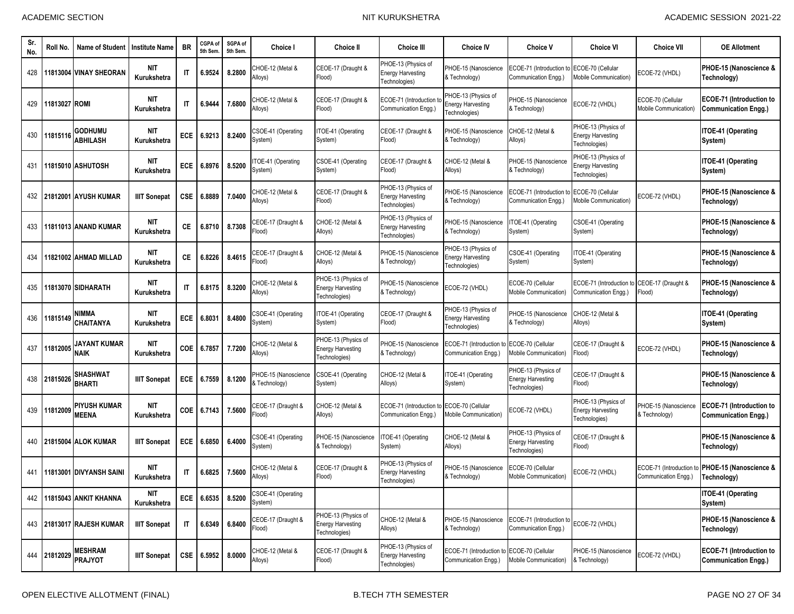| Sr.<br>No. | Roll No.      | <b>Name of Student</b>              | <b>Institute Name</b>     | <b>BR</b>              | CGPA of<br>5th Sem | SGPA of<br>5th Sem. | <b>Choice I</b>                       | <b>Choice II</b>                                                 | <b>Choice III</b>                                                | <b>Choice IV</b>                                                   | <b>Choice V</b>                                                  | <b>Choice VI</b>                                                 | <b>Choice VII</b>                             | <b>OE Allotment</b>                                            |
|------------|---------------|-------------------------------------|---------------------------|------------------------|--------------------|---------------------|---------------------------------------|------------------------------------------------------------------|------------------------------------------------------------------|--------------------------------------------------------------------|------------------------------------------------------------------|------------------------------------------------------------------|-----------------------------------------------|----------------------------------------------------------------|
| 428        |               | 11813004 VINAY SHEORAN              | <b>NIT</b><br>Kurukshetra | $\mathsf{I}\mathsf{T}$ | 6.9524             | 8.2800              | CHOE-12 (Metal &<br>Alloys)           | CEOE-17 (Draught &<br>Flood)                                     | PHOE-13 (Physics of<br><b>Energy Harvesting</b><br>Technologies) | PHOE-15 (Nanoscience<br>& Technology)                              | ECOE-71 (Introduction to<br>Communication Engg.)                 | ECOE-70 (Cellular<br>Mobile Communication)                       | ECOE-72 (VHDL)                                | PHOE-15 (Nanoscience &<br>Technology)                          |
| 429        | 11813027 ROMI |                                     | <b>NIT</b><br>Kurukshetra | IT                     | 6.9444             | 7.6800              | CHOE-12 (Metal &<br>Alloys)           | CEOE-17 (Draught &<br>Flood)                                     | ECOE-71 (Introduction t<br>Communication Enga.)                  | PHOE-13 (Physics of<br><b>Energy Harvesting</b><br>Technologies)   | PHOE-15 (Nanoscience<br>& Technology)                            | ECOE-72 (VHDL)                                                   | ECOE-70 (Cellular<br>Mobile Communication     | <b>ECOE-71 (Introduction to</b><br><b>Communication Engg.)</b> |
| 430        | 11815116      | <b>GODHUMU</b><br><b>ABHILASH</b>   | NIT<br>Kurukshetra        | ECE                    | 6.9213             | 8.2400              | CSOE-41 (Operating<br>System)         | ITOE-41 (Operating<br>System)                                    | CEOE-17 (Draught &<br>Flood)                                     | PHOE-15 (Nanoscience<br>& Technology)                              | CHOE-12 (Metal &<br>Alloys)                                      | PHOE-13 (Physics of<br><b>Energy Harvesting</b><br>Technologies) |                                               | <b>ITOE-41 (Operating</b><br>System)                           |
| 431        |               | 11815010 ASHUTOSH                   | <b>NIT</b><br>Kurukshetra | ECE                    | 6.8976             | 8.5200              | TOE-41 (Operating<br>System)          | CSOE-41 (Operating<br>System)                                    | CEOE-17 (Draught &<br>Flood)                                     | CHOE-12 (Metal &<br>Alloys)                                        | PHOE-15 (Nanoscience<br>& Technology)                            | PHOE-13 (Physics of<br><b>Energy Harvesting</b><br>Technologies) |                                               | <b>ITOE-41 (Operating</b><br>System)                           |
|            |               | 432 21812001 AYUSH KUMAR            | <b>IIIT Sonepat</b>       | CSE                    | 6.8889             | 7.0400              | CHOE-12 (Metal &<br>Alloys)           | CEOE-17 (Draught &<br>Flood)                                     | PHOE-13 (Physics of<br><b>Energy Harvesting</b><br>Technologies) | PHOE-15 (Nanoscience<br>& Technology)                              | ECOE-71 (Introduction f<br>Communication Engg.)                  | ECOE-70 (Cellular<br>Mobile Communication)                       | ECOE-72 (VHDL)                                | PHOE-15 (Nanoscience &<br>Technology)                          |
| 433        |               | 11811013 ANAND KUMAR                | <b>NIT</b><br>Kurukshetra | СE                     | 6.8710             | 8.7308              | CEOE-17 (Draught &<br>Flood)          | CHOE-12 (Metal &<br>Alloys)                                      | PHOE-13 (Physics of<br><b>Energy Harvesting</b><br>Technologies) | PHOE-15 (Nanoscience<br>& Technology)                              | TOE-41 (Operating<br>System)                                     | CSOE-41 (Operating<br>System)                                    |                                               | PHOE-15 (Nanoscience &<br>Technology)                          |
| 434        |               | 11821002 AHMAD MILLAD               | <b>NIT</b><br>Kurukshetra | <b>CE</b>              | 6.8226             | 8.4615              | CEOE-17 (Draught &<br>Flood)          | CHOE-12 (Metal &<br>Alloys)                                      | <b>PHOE-15 (Nanoscience</b><br>& Technology)                     | PHOE-13 (Physics of<br><b>Energy Harvesting</b><br>Technologies)   | CSOE-41 (Operating<br>System)                                    | TOE-41 (Operating<br>System)                                     |                                               | PHOE-15 (Nanoscience &<br>Technology)                          |
| 435        |               | 11813070 SIDHARATH                  | <b>NIT</b><br>Kurukshetra | IT                     | 6.8175             | 8.3200              | CHOE-12 (Metal &<br>Alloys)           | PHOE-13 (Physics of<br><b>Energy Harvesting</b><br>Technologies) | PHOE-15 (Nanoscience<br>& Technology)                            | ECOE-72 (VHDL)                                                     | ECOE-70 (Cellular<br>Mobile Communication)                       | ECOE-71 (Introduction to<br>Communication Engg.)                 | CEOE-17 (Draught &<br>Flood)                  | PHOE-15 (Nanoscience &<br>Technology)                          |
| 436        | 11815149      | <b>NIMMA</b><br><b>CHAITANYA</b>    | <b>NIT</b><br>Kurukshetra | ECE                    | 6.8031             | 8.4800              | CSOE-41 (Operating<br>System)         | TOE-41 (Operating<br>System)                                     | CEOE-17 (Draught &<br>Flood)                                     | PHOE-13 (Physics of<br><b>Energy Harvesting</b><br>Technologies)   | PHOE-15 (Nanoscience<br>& Technology)                            | CHOE-12 (Metal &<br>Alloys)                                      |                                               | <b>ITOE-41 (Operating</b><br>System)                           |
| 437        | 11812005      | JAYANT KUMAR<br><b>NAIK</b>         | <b>NIT</b><br>Kurukshetra | COE                    | 6.7857             | 7.7200              | CHOE-12 (Metal &<br>Alloys)           | PHOE-13 (Physics of<br><b>Energy Harvesting</b><br>Technologies) | <b>PHOE-15 (Nanoscience</b><br>& Technology)                     | ECOE-71 (Introduction to ECOE-70 (Cellular<br>Communication Engg.) | Mobile Communication)                                            | CEOE-17 (Draught &<br>Flood)                                     | ECOE-72 (VHDL)                                | PHOE-15 (Nanoscience &<br>Technology)                          |
| 438        | 21815026      | <b>SHASHWAT</b><br><b>BHARTI</b>    | <b>IIIT Sonepat</b>       | ECE                    | 6.7559             | 8.1200              | PHOE-15 (Nanoscience<br>& Technology) | CSOE-41 (Operating<br>System)                                    | CHOE-12 (Metal &<br>Alloys)                                      | TOE-41 (Operating<br>System)                                       | PHOE-13 (Physics of<br><b>Energy Harvesting</b><br>Fechnologies) | CEOE-17 (Draught &<br>Flood)                                     |                                               | PHOE-15 (Nanoscience &<br>Technology)                          |
|            | 439 11812009  | <b>PIYUSH KUMAR</b><br><b>MEENA</b> | <b>NIT</b><br>Kurukshetra | <b>COE</b>             | 6.7143             | 7.5600              | CEOE-17 (Draught &<br>Flood)          | CHOE-12 (Metal &<br>Alloys)                                      | ECOE-71 (Introduction to<br>Communication Engg.)                 | ECOE-70 (Cellular<br>Mobile Communication)                         | ECOE-72 (VHDL)                                                   | PHOE-13 (Physics of<br><b>Energy Harvesting</b><br>Technologies) | PHOE-15 (Nanoscience<br>& Technology)         | <b>ECOE-71 (Introduction to</b><br><b>Communication Engg.)</b> |
| 440        |               | <b>21815004 ALOK KUMAR</b>          | <b>IIIT Sonepat</b>       | ECE                    | 6.6850             | 6.4000              | CSOE-41 (Operating<br>System)         | PHOE-15 (Nanoscience<br>& Technology)                            | TOE-41 (Operating<br>System)                                     | CHOE-12 (Metal &<br>Alloys)                                        | PHOE-13 (Physics of<br><b>Energy Harvesting</b><br>Technologies) | CEOE-17 (Draught &<br>Flood)                                     |                                               | PHOE-15 (Nanoscience &<br>Technology)                          |
| 441        |               | 11813001 DIVYANSH SAINI             | NIT<br>Kurukshetra        | IT                     | 6.6825             | 7.5600              | CHOE-12 (Metal &<br>Alloys)           | CEOE-17 (Draught &<br>Flood)                                     | PHOE-13 (Physics of<br><b>Energy Harvesting</b><br>Technologies) | PHOE-15 (Nanoscience<br>& Technology)                              | ECOE-70 (Cellular<br>Mobile Communication)                       | ECOE-72 (VHDL)                                                   | ECOE-71 (Introduction<br>Communication Engg.) | PHOE-15 (Nanoscience &<br>Technology)                          |
| 442        |               | 11815043 ANKIT KHANNA               | nit<br>Kurukshetra        |                        | ECE 6.6535         | 8.5200              | CSOE-41 (Operating<br>System)         |                                                                  |                                                                  |                                                                    |                                                                  |                                                                  |                                               | ITOE-41 (Operating<br>System)                                  |
|            |               | 443 21813017 RAJESH KUMAR           | <b>IIIT Sonepat</b>       | IT                     | 6.6349             | 6.8400              | CEOE-17 (Draught &<br>Flood)          | PHOE-13 (Physics of<br><b>Energy Harvesting</b><br>Technologies) | CHOE-12 (Metal &<br>Alloys)                                      | PHOE-15 (Nanoscience<br>& Technology)                              | ECOE-71 (Introduction to<br>Communication Engg.)                 | ECOE-72 (VHDL)                                                   |                                               | PHOE-15 (Nanoscience &<br>Technology)                          |
|            | 444 21812029  | <b>MESHRAM</b><br><b>PRAJYOT</b>    | <b>IIIT Sonepat</b>       |                        | CSE 6.5952         | 8.0000              | CHOE-12 (Metal &<br>Alloys)           | CEOE-17 (Draught &<br>Flood)                                     | PHOE-13 (Physics of<br><b>Energy Harvesting</b><br>Technologies) | ECOE-71 (Introduction to ECOE-70 (Cellular<br>Communication Engg.) | Mobile Communication)                                            | PHOE-15 (Nanoscience<br>& Technology)                            | ECOE-72 (VHDL)                                | ECOE-71 (Introduction to<br><b>Communication Engg.)</b>        |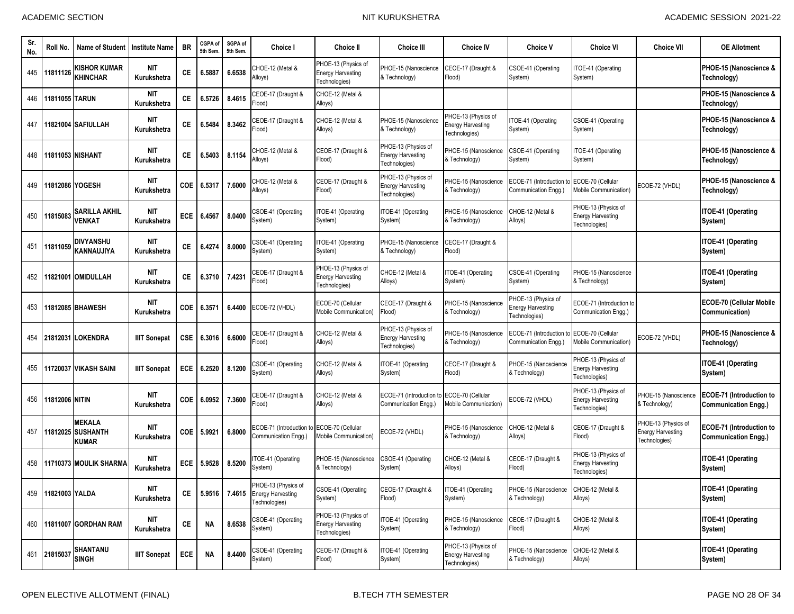| Sr.<br>No. | Roll No.           | <b>Name of Student</b>                           | <b>Institute Name</b>     | <b>BR</b>  | CGPA of<br>5th Sem | SGPA of<br>5th Sem. | <b>Choice I</b>                                                         | <b>Choice II</b>                                                 | <b>Choice III</b>                                                | <b>Choice IV</b>                                                 | <b>Choice V</b>                                          | <b>Choice VI</b>                                                 | <b>Choice VII</b>                                                | <b>OE Allotment</b>                                            |
|------------|--------------------|--------------------------------------------------|---------------------------|------------|--------------------|---------------------|-------------------------------------------------------------------------|------------------------------------------------------------------|------------------------------------------------------------------|------------------------------------------------------------------|----------------------------------------------------------|------------------------------------------------------------------|------------------------------------------------------------------|----------------------------------------------------------------|
|            | 445 11811126       | KISHOR KUMAR<br><b>KHINCHAR</b>                  | <b>NIT</b><br>Kurukshetra | СE         | 6.5887             | 6.6538              | CHOE-12 (Metal &<br>Alloys)                                             | PHOE-13 (Physics of<br><b>Energy Harvesting</b><br>Technologies) | PHOE-15 (Nanoscience<br>& Technology)                            | CEOE-17 (Draught &<br>Flood)                                     | CSOE-41 (Operating<br>System)                            | TOE-41 (Operating<br>System)                                     |                                                                  | PHOE-15 (Nanoscience &<br>Technology)                          |
| 446        | 11811055 TARUN     |                                                  | <b>NIT</b><br>Kurukshetra | СE         | 6.5726             | 8.4615              | CEOE-17 (Draught &<br>Flood)                                            | CHOE-12 (Metal &<br>Alloys)                                      |                                                                  |                                                                  |                                                          |                                                                  |                                                                  | PHOE-15 (Nanoscience &<br>Technology)                          |
| 447        |                    | 11821004 SAFIULLAH                               | <b>NIT</b><br>Kurukshetra | СE         | 6.5484             | 8.3462              | CEOE-17 (Draught &<br>Flood)                                            | CHOE-12 (Metal &<br>Alloys)                                      | PHOE-15 (Nanoscience<br>& Technology)                            | PHOE-13 (Physics of<br><b>Energy Harvesting</b><br>Technologies) | TOE-41 (Operating<br>System)                             | CSOE-41 (Operating<br>System)                                    |                                                                  | PHOE-15 (Nanoscience &<br>Technology)                          |
| 448        |                    | <b>11811053 NISHANT</b>                          | <b>NIT</b><br>Kurukshetra | СE         | 6.5403             | 8.1154              | CHOE-12 (Metal &<br>Alloys)                                             | CEOE-17 (Draught &<br>Flood)                                     | PHOE-13 (Physics of<br><b>Energy Harvesting</b><br>Technologies) | PHOE-15 (Nanoscience<br>& Technology)                            | SOE-41 (Operating<br>System)                             | TOE-41 (Operating<br>System)                                     |                                                                  | PHOE-15 (Nanoscience &<br>Technology)                          |
| 449        |                    | 11812086 YOGESH                                  | <b>NIT</b><br>Kurukshetra | COE        | 6.5317             | 7.6000              | CHOE-12 (Metal &<br>Alloys)                                             | CEOE-17 (Draught &<br>Flood)                                     | PHOE-13 (Physics of<br><b>Energy Harvesting</b><br>Technologies) | PHOE-15 (Nanoscience<br>& Technology)                            | ECOE-71 (Introduction t<br>Communication Engg.)          | ECOE-70 (Cellular<br>Mobile Communication)                       | ECOE-72 (VHDL)                                                   | PHOE-15 (Nanoscience &<br>Technology)                          |
| 450        | 11815083           | SARILLA AKHIL<br><b>VENKAT</b>                   | <b>NIT</b><br>Kurukshetra | <b>ECE</b> | 6.4567             | 8.0400              | CSOE-41 (Operating<br>System)                                           | ITOE-41 (Operating<br>System)                                    | TOE-41 (Operating<br>System)                                     | PHOE-15 (Nanoscience<br>& Technology)                            | CHOE-12 (Metal &<br>Alloys)                              | PHOE-13 (Physics of<br><b>Energy Harvesting</b><br>Technologies) |                                                                  | <b>ITOE-41 (Operating</b><br>System)                           |
| 451        | 11811059           | DIVYANSHU<br>KANNAUJIYA                          | <b>NIT</b><br>Kurukshetra | СE         | 6.4274             | 8.0000              | CSOE-41 (Operating<br>System)                                           | ITOE-41 (Operating<br>System)                                    | PHOE-15 (Nanoscience<br>& Technology)                            | CEOE-17 (Draught &<br>Flood)                                     |                                                          |                                                                  |                                                                  | ITOE-41 (Operating<br>System)                                  |
| 452        |                    | 11821001 OMIDULLAH                               | <b>NIT</b><br>Kurukshetra | СE         | 6.3710             | 7.4231              | CEOE-17 (Draught &<br>Flood)                                            | PHOE-13 (Physics of<br><b>Energy Harvesting</b><br>Technologies) | CHOE-12 (Metal &<br>Alloys)                                      | ITOE-41 (Operating<br>System)                                    | CSOE-41 (Operating<br>System)                            | PHOE-15 (Nanoscience<br>& Technology)                            |                                                                  | ITOE-41 (Operating<br>System)                                  |
| 453        |                    | 11812085 BHAWESH                                 | <b>NIT</b><br>Kurukshetra | COE        | 6.3571             | 6.4400              | ECOE-72 (VHDL)                                                          | ECOE-70 (Cellular<br>Mobile Communication)                       | CEOE-17 (Draught &<br>Flood)                                     | PHOE-15 (Nanoscience<br>& Technology)                            | PHOE-13 (Physics of<br>nergy Harvesting<br>Fechnologies) | ECOE-71 (Introduction to<br>Communication Engg.)                 |                                                                  | <b>ECOE-70 (Cellular Mobile</b><br>Communication)              |
|            |                    | 454 21812031 LOKENDRA                            | <b>IIIT Sonepat</b>       | <b>CSE</b> | 6.3016             | 6.6000              | CEOE-17 (Draught &<br>Flood)                                            | CHOE-12 (Metal &<br>Alloys)                                      | PHOE-13 (Physics of<br><b>Energy Harvesting</b><br>Technologies) | PHOE-15 (Nanoscience<br>& Technology)                            | ECOE-71 (Introduction t<br>Communication Engg.           | ECOE-70 (Cellular<br>Mobile Communication)                       | ECOE-72 (VHDL)                                                   | PHOE-15 (Nanoscience &<br>Technology)                          |
| 455        |                    | 11720037 VIKASH SAINI                            | <b>IIIT Sonepat</b>       | ECE        | 6.2520             | 8.1200              | CSOE-41 (Operating<br>System)                                           | CHOE-12 (Metal &<br>Alloys)                                      | TOE-41 (Operating<br>System)                                     | CEOE-17 (Draught &<br>Flood)                                     | PHOE-15 (Nanoscience<br>& Technology)                    | PHOE-13 (Physics of<br><b>Energy Harvesting</b><br>Technologies) |                                                                  | ITOE-41 (Operating<br>System)                                  |
| 456        | 11812006 NITIN     |                                                  | <b>NIT</b><br>Kurukshetra | COE        | 6.0952             | 7.3600              | CEOE-17 (Draught &<br>Flood)                                            | CHOE-12 (Metal &<br>Alloys)                                      | ECOE-71 (Introduction t<br>Communication Engg.)                  | ECOE-70 (Cellular<br>Mobile Communication)                       | COE-72 (VHDL)                                            | PHOE-13 (Physics of<br><b>Energy Harvesting</b><br>Technologies) | PHOE-15 (Nanoscience<br>& Technology)                            | <b>ECOE-71 (Introduction to</b><br><b>Communication Engg.)</b> |
| 457        | 11812025           | <b>MEKALA</b><br><b>SUSHANTH</b><br><b>KUMAR</b> | <b>NIT</b><br>Kurukshetra | COE        | 5.9921             | 6.8000              | ECOE-71 (Introduction to<br>Communication Engg.)                        | ECOE-70 (Cellular<br><b>Mobile Communication)</b>                | ECOE-72 (VHDL)                                                   | PHOE-15 (Nanoscience<br>& Technology)                            | CHOE-12 (Metal &<br>Alloys)                              | CEOE-17 (Draught &<br>Flood)                                     | PHOE-13 (Physics of<br><b>Energy Harvesting</b><br>Technologies) | ECOE-71 (Introduction to<br><b>Communication Engg.)</b>        |
|            |                    | 458 11710373 MOULIK SHARMA                       | NIT<br>Kurukshetra        | ECE        | 5.9528             | 8.5200              | TOE-41 (Operating<br>System)                                            | PHOE-15 (Nanoscience<br>& Technology)                            | CSOE-41 (Operating<br>System)                                    | CHOE-12 (Metal &<br>Alloys)                                      | CEOE-17 (Draught &<br>Flood)                             | PHOE-13 (Physics of<br><b>Energy Harvesting</b><br>Technologies) |                                                                  | <b>ITOE-41 (Operating</b><br>System)                           |
|            | 459 11821003 YALDA |                                                  | <b>NIT</b><br>Kurukshetra | CE         |                    |                     | PHOE-13 (Physics of<br>5.9516 7.4615 Energy Harvesting<br>Technologies) | CSOE-41 (Operating<br>System)                                    | CEOE-17 (Draught &<br>Flood)                                     | ITOE-41 (Operating<br>System)                                    | PHOE-15 (Nanoscience<br>& Technology)                    | CHOE-12 (Metal &<br>Alloys)                                      |                                                                  | ITOE-41 (Operating<br>System)                                  |
|            |                    | 460 11811007 GORDHAN RAM                         | <b>NIT</b><br>Kurukshetra | CE         | <b>NA</b>          | 8.6538              | CSOE-41 (Operating<br>System)                                           | PHOE-13 (Physics of<br><b>Energy Harvesting</b><br>Technologies) | TOE-41 (Operating<br>System)                                     | PHOE-15 (Nanoscience<br>& Technology)                            | CEOE-17 (Draught &<br>Flood)                             | CHOE-12 (Metal &<br>Alloys)                                      |                                                                  | <b>ITOE-41 (Operating</b><br>System)                           |
|            | 461 21815037       | SHANTANU<br><b>SINGH</b>                         | <b>IIIT Sonepat</b>       | ECE        | <b>NA</b>          | 8.4400              | CSOE-41 (Operating<br>System)                                           | CEOE-17 (Draught &<br>Flood)                                     | TOE-41 (Operating<br>System)                                     | PHOE-13 (Physics of<br><b>Energy Harvesting</b><br>Technologies) | PHOE-15 (Nanoscience<br>& Technology)                    | CHOE-12 (Metal &<br>Alloys)                                      |                                                                  | <b>ITOE-41 (Operating</b><br>System)                           |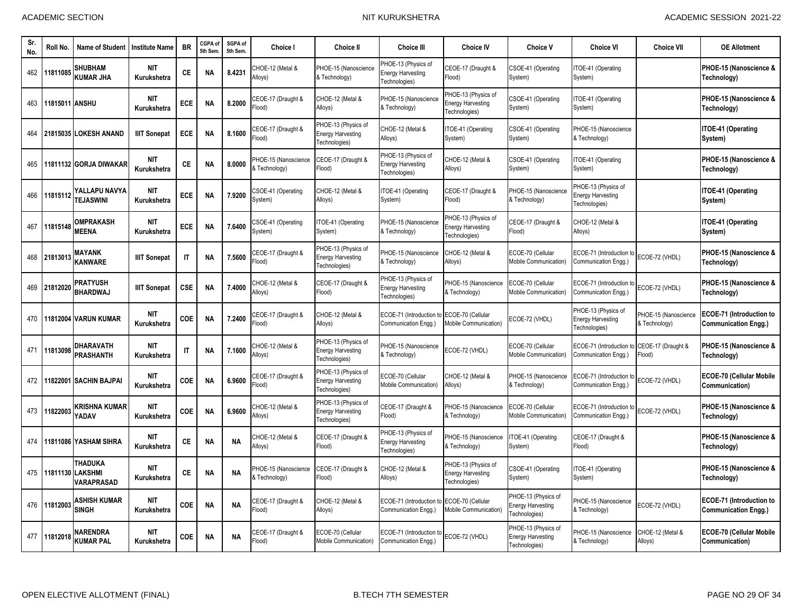| Sr.<br>No. | Roll No.       | <b>Name of Student</b>                                  | <b>Institute Name</b>     | <b>BR</b>    | CGPA of<br>5th Sem | SGPA of<br>5th Sem | <b>Choice I</b>                       | <b>Choice II</b>                                                 | <b>Choice III</b>                                                | <b>Choice IV</b>                                                 | <b>Choice V</b>                                                  | <b>Choice VI</b>                                                 | <b>Choice VII</b>                     | <b>OE Allotment</b>                                            |
|------------|----------------|---------------------------------------------------------|---------------------------|--------------|--------------------|--------------------|---------------------------------------|------------------------------------------------------------------|------------------------------------------------------------------|------------------------------------------------------------------|------------------------------------------------------------------|------------------------------------------------------------------|---------------------------------------|----------------------------------------------------------------|
| 462        | 11811085       | SHUBHAM<br><b>KUMAR JHA</b>                             | <b>NIT</b><br>Kurukshetra | <b>CE</b>    | <b>NA</b>          | 8.4231             | CHOE-12 (Metal &<br>Alloys)           | PHOE-15 (Nanoscience<br>& Technology)                            | HOE-13 (Physics of<br><b>Energy Harvesting</b><br>Technologies)  | CEOE-17 (Draught &<br>Flood)                                     | CSOE-41 (Operating<br>System)                                    | ITOE-41 (Operating<br>System)                                    |                                       | PHOE-15 (Nanoscience &<br>Technology)                          |
| 463        | 11815011 ANSHU |                                                         | <b>NIT</b><br>Kurukshetra | <b>ECE</b>   | <b>NA</b>          | 8.2000             | CEOE-17 (Draught &<br>Flood)          | CHOE-12 (Metal &<br>Alloys)                                      | PHOE-15 (Nanoscience<br>& Technology)                            | PHOE-13 (Physics of<br><b>Energy Harvesting</b><br>Technologies) | <b>CSOE-41 (Operating</b><br>System)                             | TOE-41 (Operating<br>System)                                     |                                       | PHOE-15 (Nanoscience &<br>Technology)                          |
| 464        |                | 21815035 LOKESH ANAND                                   | <b>IIIT Sonepat</b>       | <b>ECE</b>   | <b>NA</b>          | 8.1600             | CEOE-17 (Draught &<br>Flood)          | PHOE-13 (Physics of<br><b>Energy Harvesting</b><br>Technologies) | CHOE-12 (Metal &<br>Alloys)                                      | TOE-41 (Operating<br>System)                                     | CSOE-41 (Operating<br>System)                                    | PHOE-15 (Nanoscience<br>& Technology)                            |                                       | ITOE-41 (Operating<br>System)                                  |
| 465        |                | 11811132 GORJA DIWAKAR                                  | <b>NIT</b><br>Kurukshetra | СE           | <b>NA</b>          | 8.0000             | PHOE-15 (Nanoscience<br>& Technology) | CEOE-17 (Draught &<br>Flood)                                     | PHOE-13 (Physics of<br><b>Energy Harvesting</b><br>Technologies) | CHOE-12 (Metal &<br>Alloys)                                      | CSOE-41 (Operating<br>System)                                    | ITOE-41 (Operating<br>System)                                    |                                       | PHOE-15 (Nanoscience &<br>Technology)                          |
| 466        | 11815112       | YALLAPU NAVYA<br><b>TEJASWINI</b>                       | <b>NIT</b><br>Kurukshetra | <b>ECE</b>   | <b>NA</b>          | 7.9200             | CSOE-41 (Operating<br>System)         | CHOE-12 (Metal &<br>Alloys)                                      | TOE-41 (Operating<br>System)                                     | CEOE-17 (Draught &<br>Flood)                                     | PHOE-15 (Nanoscience<br>& Technology)                            | PHOE-13 (Physics of<br><b>Energy Harvesting</b><br>Technologies) |                                       | ITOE-41 (Operating<br>System)                                  |
| 467        | 11815148       | <b>OMPRAKASH</b><br><b>MEENA</b>                        | <b>NIT</b><br>Kurukshetra | <b>ECE</b>   | <b>NA</b>          | 7.6400             | CSOE-41 (Operating<br>System)         | TOE-41 (Operating<br>System)                                     | PHOE-15 (Nanoscience<br>& Technology)                            | PHOE-13 (Physics of<br><b>Energy Harvesting</b><br>Technologies) | CEOE-17 (Draught &<br>Flood)                                     | CHOE-12 (Metal &<br>Alloys)                                      |                                       | ITOE-41 (Operating<br>System)                                  |
| 468        | 21813013       | <b>MAYANK</b><br><b>KANWARE</b>                         | <b>IIIT Sonepat</b>       | $\mathsf{I}$ | <b>NA</b>          | 7.5600             | CEOE-17 (Draught &<br>Flood)          | PHOE-13 (Physics of<br><b>Energy Harvesting</b><br>Technologies) | <b>PHOE-15 (Nanoscience</b><br>& Technology)                     | CHOE-12 (Metal &<br>Alloys)                                      | ECOE-70 (Cellular<br>Mobile Communication)                       | ECOE-71 (Introduction to<br>Communication Engg.)                 | ECOE-72 (VHDL)                        | PHOE-15 (Nanoscience &<br>Technology)                          |
| 469        | 21812020       | <b>PRATYUSH</b><br><b>BHARDWAJ</b>                      | <b>IIIT Sonepat</b>       | <b>CSE</b>   | <b>NA</b>          | 7.4000             | CHOE-12 (Metal &<br>Alloys)           | CEOE-17 (Draught &<br>Flood)                                     | PHOE-13 (Physics of<br><b>Energy Harvesting</b><br>Technologies) | PHOE-15 (Nanoscience<br>& Technology)                            | ECOE-70 (Cellular<br>Mobile Communication)                       | ECOE-71 (Introduction to<br>Communication Engg.)                 | ECOE-72 (VHDL)                        | PHOE-15 (Nanoscience &<br>Technology)                          |
| 470        |                | 11812004 VARUN KUMAR                                    | <b>NIT</b><br>Kurukshetra | <b>COE</b>   | <b>NA</b>          | 7.2400             | CEOE-17 (Draught &<br>Flood)          | CHOE-12 (Metal &<br>Alloys)                                      | ECOE-71 (Introduction<br>Communication Engg.)                    | ECOE-70 (Cellular<br><b>Mobile Communication)</b>                | ECOE-72 (VHDL)                                                   | PHOE-13 (Physics of<br><b>Energy Harvesting</b><br>Technologies) | PHOE-15 (Nanoscience<br>& Technology) | ECOE-71 (Introduction to<br><b>Communication Engg.)</b>        |
| 471        | 11813098       | <b>DHARAVATH</b><br><b>PRASHANTH</b>                    | <b>NIT</b><br>Kurukshetra | $\mathsf{I}$ | <b>NA</b>          | 7.1600             | CHOE-12 (Metal &<br>Alloys)           | PHOE-13 (Physics of<br><b>Energy Harvesting</b><br>Technologies) | PHOE-15 (Nanoscience<br>& Technology)                            | ECOE-72 (VHDL)                                                   | ECOE-70 (Cellular<br>Mobile Communication)                       | ECOE-71 (Introduction<br>Communication Engg.)                    | CEOE-17 (Draught &<br>Flood)          | PHOE-15 (Nanoscience &<br>Technology)                          |
| 472        |                | 11822001 SACHIN BAJPAI                                  | NIT<br>Kurukshetra        | <b>COE</b>   | <b>NA</b>          | 6.9600             | CEOE-17 (Draught &<br>Flood)          | PHOE-13 (Physics of<br><b>Energy Harvesting</b><br>Technologies) | ECOE-70 (Cellular<br>Mobile Communication)                       | CHOE-12 (Metal &<br>Alloys)                                      | PHOE-15 (Nanoscience<br>& Technology)                            | ECOE-71 (Introduction t<br>Communication Engg.)                  | ECOE-72 (VHDL)                        | <b>ECOE-70 (Cellular Mobile</b><br>Communication)              |
| 473        | 11822003       | KRISHNA KUMAR<br>YADAV                                  | <b>NIT</b><br>Kurukshetra | COE          | <b>NA</b>          | 6.9600             | CHOE-12 (Metal &<br>Alloys)           | PHOE-13 (Physics of<br><b>Energy Harvesting</b><br>Technologies) | CEOE-17 (Draught &<br>Flood)                                     | PHOE-15 (Nanoscience<br>& Technology)                            | ECOE-70 (Cellular<br>Mobile Communication)                       | ECOE-71 (Introduction to<br>Communication Engg.)                 | ECOE-72 (VHDL)                        | PHOE-15 (Nanoscience &<br>Technology)                          |
| 474        |                | 11811086 YASHAM SIHRA                                   | <b>NIT</b><br>Kurukshetra | СE           | ΝA                 | <b>NA</b>          | CHOE-12 (Metal &<br>Alloys)           | CEOE-17 (Draught &<br>Flood)                                     | PHOE-13 (Physics of<br><b>Energy Harvesting</b><br>Technologies) | PHOE-15 (Nanoscience<br>& Technology)                            | TOE-41 (Operating<br>System)                                     | CEOE-17 (Draught &<br>Flood)                                     |                                       | PHOE-15 (Nanoscience &<br>Technology)                          |
| 475        |                | <b>THADUKA</b><br>11811130 LAKSHMI<br><b>VARAPRASAD</b> | <b>NIT</b><br>Kurukshetra | CE.          | <b>NA</b>          | <b>NA</b>          | PHOE-15 (Nanoscience<br>& Technology) | CEOE-17 (Draught &<br>Flood)                                     | CHOE-12 (Metal &<br>Alloys)                                      | PHOE-13 (Physics of<br><b>Energy Harvesting</b><br>Technologies) | CSOE-41 (Operating<br>System)                                    | ITOE-41 (Operating<br>System)                                    |                                       | PHOE-15 (Nanoscience &<br>Technology)                          |
| 476        | 11812003       | ASHISH KUMAR<br><b>SINGH</b>                            | <b>NIT</b><br>Kurukshetra | <b>COE</b>   | <b>NA</b>          | <b>NA</b>          | CEOE-17 (Draught &<br>Flood)          | CHOE-12 (Metal &<br>Alloys)                                      | ECOE-71 (Introduction<br>Communication Engg.)                    | ECOE-70 (Cellular<br>Mobile Communication                        | PHOE-13 (Physics of<br><b>Energy Harvesting</b><br>Technologies) | PHOE-15 (Nanoscience<br>& Technology)                            | ECOE-72 (VHDL)                        | <b>ECOE-71 (Introduction to</b><br><b>Communication Engg.)</b> |
| 477        | 11812018       | NARENDRA<br><b>KUMAR PAL</b>                            | <b>NIT</b><br>Kurukshetra | COE          | <b>NA</b>          | <b>NA</b>          | CEOE-17 (Draught &<br>Flood)          | ECOE-70 (Cellular<br>Mobile Communication)                       | ECOE-71 (Introduction t<br>Communication Engg.)                  | ECOE-72 (VHDL)                                                   | PHOE-13 (Physics of<br>Energy Harvesting<br>Technologies)        | PHOE-15 (Nanoscience<br>& Technology)                            | CHOE-12 (Metal &<br>Alloys)           | <b>ECOE-70 (Cellular Mobile</b><br>Communication)              |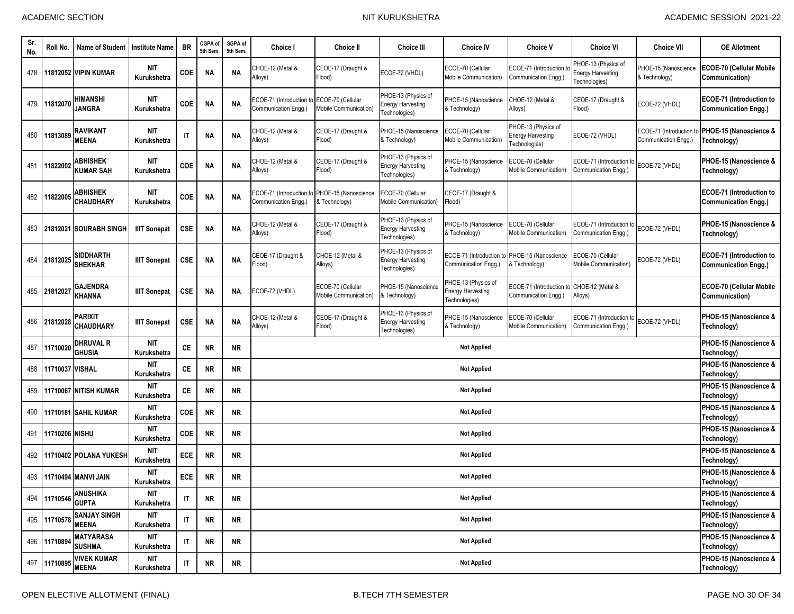| Sr.<br>No. | Roll No.        | <b>Name of Student</b>              | <b>Institute Name</b>     | <b>BR</b>              | CGPA of<br>5th Sem | SGPA of<br>5th Sem. | Choice I                                                              | <b>Choice II</b>                           | <b>Choice III</b>                                                | <b>Choice IV</b>                                                      | <b>Choice V</b>                                                  | <b>Choice VI</b>                                                 | <b>Choice VII</b>                             | <b>OE Allotment</b>                                            |  |
|------------|-----------------|-------------------------------------|---------------------------|------------------------|--------------------|---------------------|-----------------------------------------------------------------------|--------------------------------------------|------------------------------------------------------------------|-----------------------------------------------------------------------|------------------------------------------------------------------|------------------------------------------------------------------|-----------------------------------------------|----------------------------------------------------------------|--|
|            |                 | 478 11812052 VIPIN KUMAR            | <b>NIT</b><br>Kurukshetra | COE                    | <b>NA</b>          | <b>NA</b>           | CHOE-12 (Metal &<br>Alloys)                                           | CEOE-17 (Draught &<br>Flood)               | ECOE-72 (VHDL)                                                   | ECOE-70 (Cellular<br>Mobile Communication)                            | ECOE-71 (Introduction t<br>Communication Engg.)                  | PHOE-13 (Physics of<br><b>Energy Harvesting</b><br>Technologies) | PHOE-15 (Nanoscience<br>& Technology)         | ECOE-70 (Cellular Mobile<br>Communication)                     |  |
|            | 479 11812070    | <b>HIMANSHI</b><br><b>JANGRA</b>    | <b>NIT</b><br>Kurukshetra | COE                    | <b>NA</b>          | <b>NA</b>           | ECOE-71 (Introduction to ECOE-70 (Cellular<br>Communication Engg.)    | Mobile Communication)                      | PHOE-13 (Physics of<br><b>Energy Harvesting</b><br>Technologies) | PHOE-15 (Nanoscience<br>& Technology)                                 | CHOE-12 (Metal &<br>Alloys)                                      | CEOE-17 (Draught &<br>(bool <sup>=</sup>                         | ECOE-72 (VHDL)                                | <b>ECOE-71 (Introduction to</b><br><b>Communication Engg.)</b> |  |
| 480        | 11813089        | <b>RAVIKANT</b><br><b>MEENA</b>     | NIT<br>Kurukshetra        | $\mathsf{I}\mathsf{T}$ | <b>NA</b>          | <b>NA</b>           | CHOE-12 (Metal &<br>Alloys)                                           | CEOE-17 (Draught &<br>Flood)               | PHOE-15 (Nanoscience<br>& Technology)                            | ECOE-70 (Cellular<br>Mobile Communication                             | PHOE-13 (Physics of<br><b>Energy Harvesting</b><br>Technologies) | ECOE-72 (VHDL)                                                   | ECOE-71 (Introduction<br>Communication Engg.) | PHOE-15 (Nanoscience &<br>Technology)                          |  |
| 481        | 11822002        | <b>ABHISHEK</b><br><b>KUMAR SAH</b> | <b>NIT</b><br>Kurukshetra | COE                    | <b>NA</b>          | <b>NA</b>           | CHOE-12 (Metal &<br>Alloys)                                           | CEOE-17 (Draught &<br>Flood)               | PHOE-13 (Physics of<br><b>Energy Harvesting</b><br>Technologies) | PHOE-15 (Nanoscience<br>& Technology)                                 | ECOE-70 (Cellular<br>Mobile Communication)                       | ECOE-71 (Introduction to<br>Communication Engg.)                 | ECOE-72 (VHDL)                                | PHOE-15 (Nanoscience &<br>Technology)                          |  |
| 482        | 11822005        | <b>ABHISHEK</b><br><b>CHAUDHARY</b> | <b>NIT</b><br>Kurukshetra | COE                    | <b>NA</b>          | <b>NA</b>           | ECOE-71 (Introduction to PHOE-15 (Nanoscience<br>Communication Engg.) | & Technology)                              | ECOE-70 (Cellular<br>Mobile Communication)                       | CEOE-17 (Draught &<br>Flood)                                          |                                                                  |                                                                  |                                               | ECOE-71 (Introduction to<br><b>Communication Engg.)</b>        |  |
| 483        |                 | 21812021 SOURABH SINGH              | <b>IIIT Sonepat</b>       | <b>CSE</b>             | <b>NA</b>          | <b>NA</b>           | CHOE-12 (Metal &<br>Alloys)                                           | CEOE-17 (Draught &<br>Flood)               | HOE-13 (Physics of<br><b>Energy Harvesting</b><br>Technologies)  | PHOE-15 (Nanoscience<br>& Technology)                                 | ECOE-70 (Cellular<br>Mobile Communication)                       | ECOE-71 (Introduction to<br>Communication Engg.)                 | ECOE-72 (VHDL)                                | PHOE-15 (Nanoscience &<br>Technology)                          |  |
| 484        | 21812025        | <b>SIDDHARTH</b><br><b>SHEKHAR</b>  | <b>IIIT Sonepat</b>       | <b>CSE</b>             | <b>NA</b>          | <b>NA</b>           | CEOE-17 (Draught &<br>Flood)                                          | CHOE-12 (Metal &<br>Alloys)                | PHOE-13 (Physics of<br><b>Energy Harvesting</b><br>Technologies) | ECOE-71 (Introduction to PHOE-15 (Nanoscience<br>Communication Engg.) | & Technology)                                                    | ECOE-70 (Cellular<br>Mobile Communication)                       | ECOE-72 (VHDL)                                | ECOE-71 (Introduction to<br><b>Communication Engg.)</b>        |  |
|            | 485 21812027    | <b>GAJENDRA</b><br><b>KHANNA</b>    | <b>IIIT Sonepat</b>       | <b>CSE</b>             | ΝA                 | <b>NA</b>           | ECOE-72 (VHDL)                                                        | ECOE-70 (Cellular<br>Mobile Communication) | PHOE-15 (Nanoscience<br>& Technology)                            | PHOE-13 (Physics of<br><b>Energy Harvesting</b><br>Technologies)      | ECOE-71 (Introduction t<br>Communication Engg.)                  | CHOE-12 (Metal &<br>Alloys)                                      |                                               | <b>ECOE-70 (Cellular Mobile</b><br>Communication)              |  |
|            | 486 21812028    | <b>PARIXIT</b><br><b>CHAUDHARY</b>  | <b>IIIT Sonepat</b>       | <b>CSE</b>             | <b>NA</b>          | <b>NA</b>           | CHOE-12 (Metal &<br>Alloys)                                           | CEOE-17 (Draught &<br>Flood)               | PHOE-13 (Physics of<br><b>Energy Harvesting</b><br>Technologies) | PHOE-15 (Nanoscience<br>& Technology)                                 | ECOE-70 (Cellular<br>Mobile Communication)                       | ECOE-71 (Introduction to<br>Communication Engg.)                 | ECOE-72 (VHDL)                                | PHOE-15 (Nanoscience &<br>Technology)                          |  |
| 487        | 11710020        | <b>DHRUVAL R</b><br><b>GHUSIA</b>   | <b>NIT</b><br>Kurukshetra | CE                     | <b>NR</b>          | NR.                 |                                                                       |                                            |                                                                  | <b>Not Applied</b>                                                    |                                                                  |                                                                  |                                               | PHOE-15 (Nanoscience &<br>Technology)                          |  |
| 488        | 11710037 VISHAL |                                     | <b>NIT</b><br>Kurukshetra | CE                     | <b>NR</b>          | <b>NR</b>           |                                                                       |                                            |                                                                  | Not Applied                                                           |                                                                  |                                                                  |                                               | PHOE-15 (Nanoscience &<br>Technology)                          |  |
| 489        |                 | 11710067 NITISH KUMAR               | <b>NIT</b><br>Kurukshetra | CE                     | <b>NR</b>          | <b>NR</b>           |                                                                       |                                            |                                                                  | <b>Not Applied</b>                                                    |                                                                  |                                                                  |                                               | PHOE-15 (Nanoscience &<br>Technology)                          |  |
| 490        |                 | <b>11710181 SAHIL KUMAR</b>         | <b>NIT</b><br>Kurukshetra | <b>COE</b>             | <b>NR</b>          | <b>NR</b>           |                                                                       |                                            |                                                                  | <b>Not Applied</b>                                                    |                                                                  |                                                                  |                                               | PHOE-15 (Nanoscience &<br>Technology)                          |  |
| 491        | 11710206 NISHU  |                                     | <b>NIT</b><br>Kurukshetra | COE                    | <b>NR</b>          | <b>NR</b>           |                                                                       |                                            |                                                                  | <b>Not Applied</b>                                                    |                                                                  |                                                                  |                                               | PHOE-15 (Nanoscience &<br>Technology)                          |  |
| 492        |                 | 11710402 POLANA YUKESH              | <b>NIT</b><br>Kurukshetra | ECE                    | <b>NR</b>          | <b>NR</b>           |                                                                       |                                            |                                                                  | <b>Not Applied</b>                                                    |                                                                  |                                                                  |                                               | PHOE-15 (Nanoscience &<br>Technology)                          |  |
| 493        |                 | 11710494 MANVI JAIN                 | <b>NIT</b><br>Kurukshetra | <b>ECE</b>             | <b>NR</b>          | NR.                 | <b>Not Applied</b>                                                    |                                            |                                                                  |                                                                       |                                                                  |                                                                  |                                               | PHOE-15 (Nanoscience &<br>Technology)                          |  |
| 494        | 11710546        | <b>ANUSHIKA</b><br><b>GUPTA</b>     | NIT<br>Kurukshetra        | $\mathsf{I}\mathsf{T}$ | <b>NR</b>          | <b>NR</b>           | <b>Not Applied</b>                                                    |                                            |                                                                  |                                                                       |                                                                  |                                                                  |                                               | PHOE-15 (Nanoscience &<br>Technology)                          |  |
|            | 495 11710578    | <b>SANJAY SINGH</b><br><b>MEENA</b> | <b>NIT</b><br>Kurukshetra | $\sf IT$               | <b>NR</b>          | <b>NR</b>           |                                                                       |                                            |                                                                  | <b>Not Applied</b>                                                    |                                                                  |                                                                  |                                               | PHOE-15 (Nanoscience &<br>Technology)                          |  |
|            | 496 11710894    | <b>MATYARASA</b><br><b>SUSHMA</b>   | <b>NIT</b><br>Kurukshetra | $\sf IT$               | <b>NR</b>          | NR                  |                                                                       |                                            |                                                                  | <b>Not Applied</b>                                                    |                                                                  |                                                                  |                                               | PHOE-15 (Nanoscience &<br>Technology)                          |  |
|            | 497 11710895    | <b>VIVEK KUMAR</b><br><b>MEENA</b>  | <b>NIT</b><br>Kurukshetra | $\sf IT$               | <b>NR</b>          | <b>NR</b>           |                                                                       | <b>Not Applied</b>                         |                                                                  |                                                                       |                                                                  |                                                                  |                                               |                                                                |  |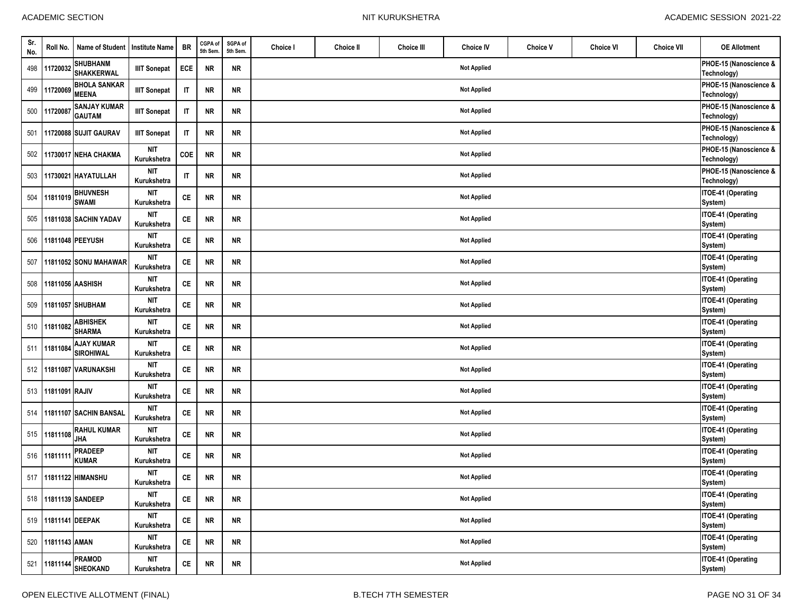| Sr.<br>No. | Roll No.            | Name of Student Institute Name        |                                          | <b>BR</b>              | CGPA of<br>5th Sem | SGPA of<br>5th Sem. | Choice I | Choice II | <b>Choice III</b> | <b>Choice IV</b>   | <b>Choice V</b> | <b>Choice VI</b> | <b>Choice VII</b> | <b>OE Allotment</b>                   |
|------------|---------------------|---------------------------------------|------------------------------------------|------------------------|--------------------|---------------------|----------|-----------|-------------------|--------------------|-----------------|------------------|-------------------|---------------------------------------|
| 498        | 11720032            | <b>SHUBHANM</b><br><b>SHAKKERWAL</b>  | <b>IIIT Sonepat</b>                      | ECE                    | NR                 | <b>NR</b>           |          |           |                   | <b>Not Applied</b> |                 |                  |                   | PHOE-15 (Nanoscience &<br>Technology) |
| 499        | 11720069            | <b>BHOLA SANKAR</b><br><b>MEENA</b>   | <b>IIIT Sonepat</b>                      | $\mathsf{I}\mathsf{T}$ | <b>NR</b>          | <b>NR</b>           |          |           |                   | <b>Not Applied</b> |                 |                  |                   | PHOE-15 (Nanoscience &<br>Technology) |
| 500        | 11720087            | <b>SANJAY KUMAR</b><br><b>GAUTAM</b>  | <b>IIIT Sonepat</b>                      | $\mathsf{I}\mathsf{T}$ | NR                 | <b>NR</b>           |          |           |                   | <b>Not Applied</b> |                 |                  |                   | PHOE-15 (Nanoscience &<br>Technology) |
| 501        |                     | 11720088 SUJIT GAURAV                 | <b>IIIT Sonepat</b>                      | $\sf IT$               | NR                 | NR                  |          |           |                   | <b>Not Applied</b> |                 |                  |                   | PHOE-15 (Nanoscience &<br>Technology) |
| 502        |                     | 11730017 NEHA CHAKMA                  | nit<br>Kurukshetra                       | COE                    | NR                 | <b>NR</b>           |          |           |                   | <b>Not Applied</b> |                 |                  |                   | PHOE-15 (Nanoscience &<br>Technology) |
|            |                     | 503 11730021 HAYATULLAH               | <b>NIT</b><br>Kurukshetra                | $\mathsf{I}\mathsf{T}$ | NR                 | <b>NR</b>           |          |           |                   | <b>Not Applied</b> |                 |                  |                   | PHOE-15 (Nanoscience &<br>Technology) |
| 504        | 11811019            | <b>BHUVNESH</b><br><b>SWAMI</b>       | <b>NIT</b><br>Kurukshetra                | CE                     | <b>NR</b>          | <b>NR</b>           |          |           |                   | <b>Not Applied</b> |                 |                  |                   | ITOE-41 (Operating<br>System)         |
| 505        |                     | 11811038 SACHIN YADAV                 | <b>NIT</b><br>Kurukshetra                | СE                     | <b>NR</b>          | <b>NR</b>           |          |           |                   | <b>Not Applied</b> |                 |                  |                   | ITOE-41 (Operating                    |
| 506        |                     | 11811048 PEEYUSH                      | nit<br>Kurukshetra                       | CE                     | <b>NR</b>          | <b>NR</b>           |          |           |                   | <b>Not Applied</b> |                 |                  |                   | System)<br>ITOE-41 (Operating         |
| 507        |                     | 11811052 SONU MAHAWAR                 | <b>NIT</b><br>Kurukshetra                | CE                     | NR                 | <b>NR</b>           |          |           |                   | <b>Not Applied</b> |                 |                  |                   | System)<br>ITOE-41 (Operating         |
| 508        |                     | 11811056 AASHISH                      | <b>NIT</b>                               | CE                     | NR                 | <b>NR</b>           |          |           |                   | <b>Not Applied</b> |                 |                  |                   | System)<br><b>ITOE-41 (Operating</b>  |
| 509        |                     | 11811057 SHUBHAM                      | Kurukshetra<br><b>NIT</b><br>Kurukshetra | CE                     | <b>NR</b>          | <b>NR</b>           |          |           |                   | <b>Not Applied</b> |                 |                  |                   | System)<br>ITOE-41 (Operating         |
|            | 510 11811082        | <b>ABHISHEK</b><br><b>SHARMA</b>      | <b>NIT</b><br>Kurukshetra                | CE                     | <b>NR</b>          | <b>NR</b>           |          |           |                   | <b>Not Applied</b> |                 |                  |                   | System)<br>ITOE-41 (Operating         |
| 511        | 11811084            | <b>AJAY KUMAR</b><br><b>SIROHIWAL</b> | <b>NIT</b><br>Kurukshetra                | CE                     | <b>NR</b>          | NR                  |          |           |                   | <b>Not Applied</b> |                 |                  |                   | System)<br><b>ITOE-41 (Operating</b>  |
|            |                     | 512 11811087 VARUNAKSHI               | <b>NIT</b>                               | CE                     | <b>NR</b>          | <b>NR</b>           |          |           |                   | <b>Not Applied</b> |                 |                  |                   | System)<br>ITOE-41 (Operating         |
| 513        | 11811091 RAJIV      |                                       | Kurukshetra<br>NIT                       | $\mathsf{CE}$          | NR                 | NR                  |          |           |                   | <b>Not Applied</b> |                 |                  |                   | System)<br>ITOE-41 (Operating         |
| 514        |                     | 11811107 SACHIN BANSAL                | Kurukshetra<br><b>NIT</b>                | <b>CE</b>              | <b>NR</b>          | <b>NR</b>           |          |           |                   | <b>Not Applied</b> |                 |                  |                   | System)<br>ITOE-41 (Operating         |
|            | 515 11811108        | <b>RAHUL KUMAR</b>                    | Kurukshetra<br><b>NIT</b>                | CE                     | <b>NR</b>          | <b>NR</b>           |          |           |                   | <b>Not Applied</b> |                 |                  |                   | System)<br>ITOE-41 (Operating         |
|            | 516 11811111        | <b>JHA</b><br><b>PRADEEP</b>          | Kurukshetra<br><b>NIT</b>                | CE                     | <b>NR</b>          | <b>NR</b>           |          |           |                   | <b>Not Applied</b> |                 |                  |                   | System)<br>ITOE-41 (Operating         |
|            |                     | <b>KUMAR</b><br>517 11811122 HIMANSHU | Kurukshetra<br><b>NIT</b>                | <b>CE</b>              | NR                 | <b>NR</b>           |          |           |                   | <b>Not Applied</b> |                 |                  |                   | System)<br>ITOE-41 (Operating         |
|            |                     |                                       | Kurukshetra                              |                        |                    |                     |          |           |                   |                    |                 |                  |                   | System)                               |
|            |                     | 518 11811139 SANDEEP                  | nit<br>Kurukshetra                       | $\mathsf{CE}$          | <b>NR</b>          | <b>NR</b>           |          |           |                   | <b>Not Applied</b> |                 |                  |                   | ITOE-41 (Operating<br>System)         |
|            | 519 11811141 DEEPAK |                                       | <b>NIT</b><br>Kurukshetra                | $\mathsf{CE}$          | <b>NR</b>          | <b>NR</b>           |          |           |                   | <b>Not Applied</b> |                 |                  |                   | ITOE-41 (Operating<br>System)         |
| 520        | 11811143 AMAN       |                                       | <b>NIT</b><br>Kurukshetra                | $\mathsf{CE}$          | <b>NR</b>          | NR                  |          |           |                   | <b>Not Applied</b> |                 |                  |                   | ITOE-41 (Operating<br>System)         |
|            | 521 11811144        | <b>PRAMOD</b><br><b>SHEOKAND</b>      | <b>NIT</b><br>Kurukshetra                | $\mathsf{CE}$          | <b>NR</b>          | <b>NR</b>           |          |           |                   | <b>Not Applied</b> |                 |                  |                   | ITOE-41 (Operating<br>System)         |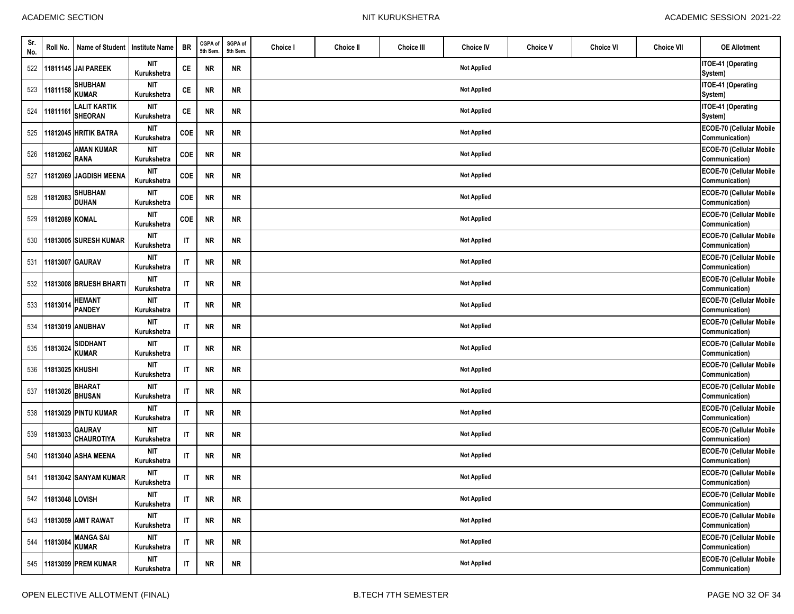$\mathbf{\tau}$ 

| Sr.<br>No. | Roll No.            | Name of Student   Institute Name      |                           | <b>BR</b>              | CGPA of<br>5th Sem | SGPA of<br>5th Sem. | Choice I | Choice II | <b>Choice III</b> | <b>Choice IV</b>   | <b>Choice V</b> | <b>Choice VI</b> | <b>Choice VII</b> | <b>OE Allotment</b>                        |
|------------|---------------------|---------------------------------------|---------------------------|------------------------|--------------------|---------------------|----------|-----------|-------------------|--------------------|-----------------|------------------|-------------------|--------------------------------------------|
|            |                     | 522 11811145 JAI PAREEK               | <b>NIT</b><br>Kurukshetra | CE                     | NR                 | <b>NR</b>           |          |           |                   | <b>Not Applied</b> |                 |                  |                   | ITOE-41 (Operating<br>System)              |
| 523        | 11811158            | <b>SHUBHAM</b><br><b>KUMAR</b>        | <b>NIT</b><br>Kurukshetra | CE                     | <b>NR</b>          | <b>NR</b>           |          |           |                   | <b>Not Applied</b> |                 |                  |                   | ITOE-41 (Operating<br>System)              |
| 524        | 11811161            | <b>LALIT KARTIK</b><br><b>SHEORAN</b> | <b>NIT</b><br>Kurukshetra | <b>CE</b>              | <b>NR</b>          | <b>NR</b>           |          |           |                   | <b>Not Applied</b> |                 |                  |                   | ITOE-41 (Operating<br>System)              |
| 525        |                     | 11812045 HRITIK BATRA                 | nit<br>Kurukshetra        | COE                    | <b>NR</b>          | <b>NR</b>           |          |           |                   | <b>Not Applied</b> |                 |                  |                   | ECOE-70 (Cellular Mobile<br>Communication) |
|            | 526 11812062        | <b>AMAN KUMAR</b><br><b>RANA</b>      | <b>NIT</b><br>Kurukshetra | COE                    | NR                 | <b>NR</b>           |          |           |                   | <b>Not Applied</b> |                 |                  |                   | ECOE-70 (Cellular Mobile<br>Communication) |
| 527        |                     | 11812069 JAGDISH MEENA                | <b>NIT</b><br>Kurukshetra | COE                    | <b>NR</b>          | <b>NR</b>           |          |           |                   | <b>Not Applied</b> |                 |                  |                   | ECOE-70 (Cellular Mobile<br>Communication) |
|            | 528 11812083        | <b>SHUBHAM</b><br><b>DUHAN</b>        | <b>NIT</b><br>Kurukshetra | COE                    | <b>NR</b>          | <b>NR</b>           |          |           |                   | <b>Not Applied</b> |                 |                  |                   | ECOE-70 (Cellular Mobile<br>Communication) |
| 529        | 11812089 KOMAL      |                                       | <b>NIT</b><br>Kurukshetra | COE                    | <b>NR</b>          | <b>NR</b>           |          |           |                   | <b>Not Applied</b> |                 |                  |                   | ECOE-70 (Cellular Mobile<br>Communication) |
| 530        |                     | 11813005 SURESH KUMAR                 | NIT<br>Kurukshetra        | $\mathsf{I}\mathsf{T}$ | <b>NR</b>          | NR                  |          |           |                   | <b>Not Applied</b> |                 |                  |                   | ECOE-70 (Cellular Mobile<br>Communication) |
| 531        | 11813007 GAURAV     |                                       | nit<br>Kurukshetra        | $\mathsf{I}\mathsf{T}$ | NR                 | <b>NR</b>           |          |           |                   | <b>Not Applied</b> |                 |                  |                   | ECOE-70 (Cellular Mobile<br>Communication) |
| 532        |                     | 11813008 BRIJESH BHARTI               | NIT<br>Kurukshetra        | $\mathsf{I}\mathsf{T}$ | NR                 | <b>NR</b>           |          |           |                   | <b>Not Applied</b> |                 |                  |                   | ECOE-70 (Cellular Mobile<br>Communication) |
|            | 533 11813014        | <b>HEMANT</b><br><b>PANDEY</b>        | <b>NIT</b><br>Kurukshetra | $\mathsf{I}\mathsf{T}$ | <b>NR</b>          | <b>NR</b>           |          |           |                   | <b>Not Applied</b> |                 |                  |                   | ECOE-70 (Cellular Mobile<br>Communication) |
| 534        |                     | 11813019 ANUBHAV                      | <b>NIT</b><br>Kurukshetra | $\mathsf{I}\mathsf{T}$ | <b>NR</b>          | <b>NR</b>           |          |           |                   | <b>Not Applied</b> |                 |                  |                   | ECOE-70 (Cellular Mobile<br>Communication) |
| 535        | 11813024            | <b>SIDDHANT</b><br><b>KUMAR</b>       | <b>NIT</b><br>Kurukshetra | $\mathsf{I}\mathsf{T}$ | <b>NR</b>          | <b>NR</b>           |          |           |                   | <b>Not Applied</b> |                 |                  |                   | ECOE-70 (Cellular Mobile<br>Communication) |
| 536        | 11813025 KHUSHI     |                                       | <b>NIT</b><br>Kurukshetra | $\mathsf{I}\mathsf{T}$ | <b>NR</b>          | <b>NR</b>           |          |           |                   | <b>Not Applied</b> |                 |                  |                   | ECOE-70 (Cellular Mobile<br>Communication) |
| 537        | 11813026            | <b>BHARAT</b><br><b>BHUSAN</b>        | NIT<br>Kurukshetra        | $\mathsf{I}\mathsf{T}$ | NR                 | NR                  |          |           |                   | <b>Not Applied</b> |                 |                  |                   | ECOE-70 (Cellular Mobile<br>Communication) |
| 538        |                     | 11813029 PINTU KUMAR                  | <b>NIT</b><br>Kurukshetra | $\mathsf{I}\mathsf{T}$ | <b>NR</b>          | <b>NR</b>           |          |           |                   | <b>Not Applied</b> |                 |                  |                   | ECOE-70 (Cellular Mobile<br>Communication) |
|            | 539 11813033        | <b>GAURAV</b><br><b>CHAUROTIYA</b>    | <b>NIT</b><br>Kurukshetra | $\mathsf{I}\mathsf{T}$ | <b>NR</b>          | <b>NR</b>           |          |           |                   | <b>Not Applied</b> |                 |                  |                   | ECOE-70 (Cellular Mobile<br>Communication) |
|            |                     | 540 11813040 ASHA MEENA               | <b>NIT</b><br>Kurukshetra | $\mathsf{I}\mathsf{T}$ | <b>NR</b>          | <b>NR</b>           |          |           |                   | <b>Not Applied</b> |                 |                  |                   | ECOE-70 (Cellular Mobile<br>Communication) |
|            |                     | 541 11813042 SANYAM KUMAR             | <b>NIT</b><br>Kurukshetra | IT                     | NR                 | <b>NR</b>           |          |           |                   | <b>Not Applied</b> |                 |                  |                   | ECOE-70 (Cellular Mobile<br>Communication) |
|            | 542 11813048 LOVISH |                                       | NIT<br>Kurukshetra        | $\sf IT$               | <b>NR</b>          | <b>NR</b>           |          |           |                   | <b>Not Applied</b> |                 |                  |                   | ECOE-70 (Cellular Mobile<br>Communication) |
|            |                     | 543 11813059 AMIT RAWAT               | <b>NIT</b><br>Kurukshetra | $\sf IT$               | <b>NR</b>          | <b>NR</b>           |          |           |                   | <b>Not Applied</b> |                 |                  |                   | ECOE-70 (Cellular Mobile<br>Communication) |
| 544        | 11813084            | <b>MANGA SAI</b><br><b>KUMAR</b>      | <b>NIT</b><br>Kurukshetra | $\sf IT$               | <b>NR</b>          | NR                  |          |           |                   | <b>Not Applied</b> |                 |                  |                   | ECOE-70 (Cellular Mobile<br>Communication) |
|            |                     | 545 11813099 PREM KUMAR               | <b>NIT</b><br>Kurukshetra | $\sf IT$               | <b>NR</b>          | <b>NR</b>           |          |           |                   | <b>Not Applied</b> |                 |                  |                   | ECOE-70 (Cellular Mobile<br>Communication) |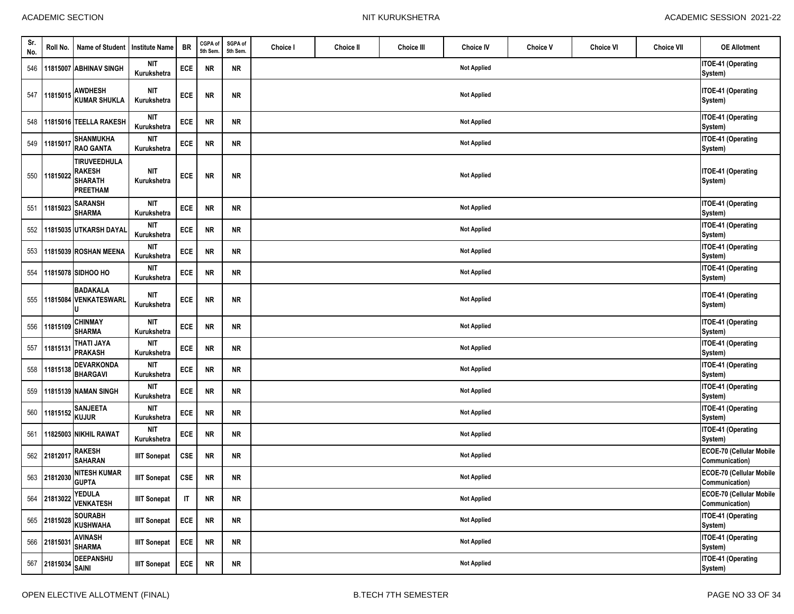| Sr.<br>No. | Roll No.     | Name of Student                                                           | <b>Institute Name</b>     | <b>BR</b>              | CGPA of<br>5th Sem. | SGPA of<br>5th Sem. | Choice I | <b>Choice II</b> | <b>Choice III</b> | <b>Choice IV</b>   | <b>Choice V</b> | <b>Choice VI</b> | <b>Choice VII</b> | <b>OE Allotment</b>                        |
|------------|--------------|---------------------------------------------------------------------------|---------------------------|------------------------|---------------------|---------------------|----------|------------------|-------------------|--------------------|-----------------|------------------|-------------------|--------------------------------------------|
| 546        |              | 11815007 ABHINAV SINGH                                                    | <b>NIT</b><br>Kurukshetra | ECE                    | <b>NR</b>           | <b>NR</b>           |          |                  |                   | <b>Not Applied</b> |                 |                  |                   | <b>ITOE-41 (Operating</b><br>System)       |
|            | 547 11815015 | <b>AWDHESH</b><br><b>KUMAR SHUKLA</b>                                     | NIT<br>Kurukshetra        | ECE                    | <b>NR</b>           | ${\sf NR}$          |          |                  |                   | <b>Not Applied</b> |                 |                  |                   | ITOE-41 (Operating<br>System)              |
|            |              | 548 11815016 TEELLA RAKESH                                                | NIT<br>Kurukshetra        | ECE                    | <b>NR</b>           | <b>NR</b>           |          |                  |                   | <b>Not Applied</b> |                 |                  |                   | ITOE-41 (Operating<br>System)              |
| 549        | 1181501      | <b>SHANMUKHA</b><br><b>RAO GANTA</b>                                      | <b>NIT</b><br>Kurukshetra | ECE                    | <b>NR</b>           | <b>NR</b>           |          |                  |                   | <b>Not Applied</b> |                 |                  |                   | ITOE-41 (Operating<br>System)              |
| 550        | 1181502      | <b>TIRUVEEDHULA</b><br><b>RAKESH</b><br><b>SHARATH</b><br><b>PREETHAM</b> | NIT<br>Kurukshetra        | ECE                    | <b>NR</b>           | ${\sf NR}$          |          |                  |                   | <b>Not Applied</b> |                 |                  |                   | ITOE-41 (Operating<br>System)              |
| 551        | 11815023     | <b>SARANSH</b><br><b>SHARMA</b>                                           | NIT<br>Kurukshetra        | ECE                    | <b>NR</b>           | <b>NR</b>           |          |                  |                   | <b>Not Applied</b> |                 |                  |                   | ITOE-41 (Operating<br>System)              |
| 552        |              | 11815035 UTKARSH DAYAL                                                    | NIT<br>Kurukshetra        | ECE                    | <b>NR</b>           | <b>NR</b>           |          |                  |                   | <b>Not Applied</b> |                 |                  |                   | ITOE-41 (Operating<br>System)              |
|            |              | 553 11815039 ROSHAN MEENA                                                 | <b>NIT</b><br>Kurukshetra | ECE                    | <b>NR</b>           | ${\sf NR}$          |          |                  |                   | <b>Not Applied</b> |                 |                  |                   | ITOE-41 (Operating<br>System)              |
| 554        |              | 11815078 SIDHOO HO                                                        | <b>NIT</b><br>Kurukshetra | ECE                    | <b>NR</b>           | <b>NR</b>           |          |                  |                   | <b>Not Applied</b> |                 |                  |                   | ITOE-41 (Operating<br>System)              |
| 555        |              | <b>BADAKALA</b><br>11815084 VENKATESWARL                                  | NIT<br>Kurukshetra        | ECE                    | <b>NR</b>           | <b>NR</b>           |          |                  |                   | <b>Not Applied</b> |                 |                  |                   | ITOE-41 (Operating<br>System)              |
|            | 556 11815109 | <b>CHINMAY</b><br><b>SHARMA</b>                                           | <b>NIT</b><br>Kurukshetra | ECE                    | <b>NR</b>           | <b>NR</b>           |          |                  |                   | <b>Not Applied</b> |                 |                  |                   | ITOE-41 (Operating<br>System)              |
| 557        | 1181513      | <b>THATI JAYA</b><br><b>PRAKASH</b>                                       | <b>NIT</b><br>Kurukshetra | ECE                    | <b>NR</b>           | <b>NR</b>           |          |                  |                   | <b>Not Applied</b> |                 |                  |                   | ITOE-41 (Operating<br>System)              |
| 558        | 11815138     | <b>DEVARKONDA</b><br><b>BHARGAVI</b>                                      | <b>NIT</b><br>Kurukshetra | ECE                    | <b>NR</b>           | <b>NR</b>           |          |                  |                   | <b>Not Applied</b> |                 |                  |                   | ITOE-41 (Operating<br>System)              |
| 559        |              | 11815139 NAMAN SINGH                                                      | NIT<br>Kurukshetra        | ECE                    | <b>NR</b>           | <b>NR</b>           |          |                  |                   | <b>Not Applied</b> |                 |                  |                   | ITOE-41 (Operating<br>System)              |
| 560        | 11815152     | <b>SANJEETA</b><br><b>KUJUR</b>                                           | NIT<br>Kurukshetra        | ECE                    | <b>NR</b>           | <b>NR</b>           |          |                  |                   | <b>Not Applied</b> |                 |                  |                   | ITOE-41 (Operating<br>System)              |
| 561        |              | 11825003 NIKHIL RAWAT                                                     | NIT<br>Kurukshetra        | ECE                    | <b>NR</b>           | <b>NR</b>           |          |                  |                   | <b>Not Applied</b> |                 |                  |                   | ITOE-41 (Operating<br>System)              |
|            | 562 2181201  | <b>RAKESH</b><br><b>SAHARAN</b>                                           | <b>IIIT Sonepat</b>       | <b>CSE</b>             | NR                  | <b>NR</b>           |          |                  |                   | <b>Not Applied</b> |                 |                  |                   | ECOE-70 (Cellular Mobile<br>Communication) |
|            | 563 21812030 | <b>NITESH KUMAR</b><br><b>GUPTA</b>                                       | <b>IIIT Sonepat</b>       | <b>CSE</b>             | <b>NR</b>           | <b>NR</b>           |          |                  |                   | <b>Not Applied</b> |                 |                  |                   | ECOE-70 (Cellular Mobile<br>Communication) |
|            | 564 21813022 | <b>YEDULA</b><br><b>VENKATESH</b>                                         | <b>IIIT Sonepat</b>       | $\mathsf{I}\mathsf{T}$ | <b>NR</b>           | ${\sf NR}$          |          |                  |                   | <b>Not Applied</b> |                 |                  |                   | ECOE-70 (Cellular Mobile<br>Communication) |
|            | 565 2181502  | <b>SOURABH</b><br><b>KUSHWAHA</b>                                         | <b>IIIT Sonepat</b>       | ECE                    | <b>NR</b>           | <b>NR</b>           |          |                  |                   | <b>Not Applied</b> |                 |                  |                   | ITOE-41 (Operating<br>System)              |
|            | 566 2181503  | <b>AVINASH</b><br><b>SHARMA</b>                                           | <b>IIIT Sonepat</b>       | ECE                    | <b>NR</b>           | <b>NR</b>           |          |                  |                   | <b>Not Applied</b> |                 |                  |                   | ITOE-41 (Operating<br>System)              |
|            | 567 21815034 | <b>DEEPANSHU</b><br><b>SAINI</b>                                          | <b>IIIT Sonepat</b>       | ECE                    | <b>NR</b>           | <b>NR</b>           |          |                  |                   | <b>Not Applied</b> |                 |                  |                   | ITOE-41 (Operating<br>System)              |